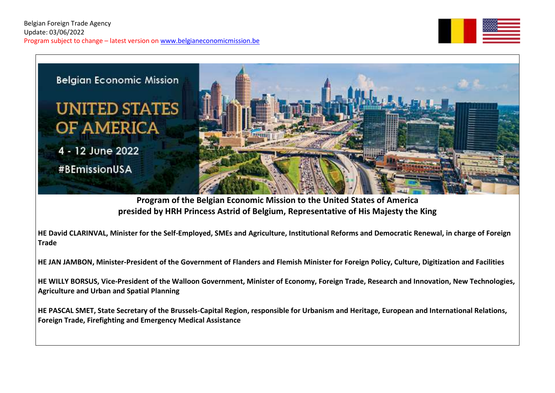



**Program of the Belgian Economic Mission to the United States of America presided by HRH Princess Astrid of Belgium, Representative of His Majesty the King**

**HE David CLARINVAL, Minister for the Self-Employed, SMEs and Agriculture, Institutional Reforms and Democratic Renewal, in charge of Foreign Trade**

**HE JAN JAMBON, Minister-President of the Government of Flanders and Flemish Minister for Foreign Policy, Culture, Digitization and Facilities**

**HE WILLY BORSUS, Vice-President of the Walloon Government, Minister of Economy, Foreign Trade, Research and Innovation, New Technologies, Agriculture and Urban and Spatial Planning** 

**HE PASCAL SMET, State Secretary of the Brussels-Capital Region, responsible for Urbanism and Heritage, European and International Relations, Foreign Trade, Firefighting and Emergency Medical Assistance**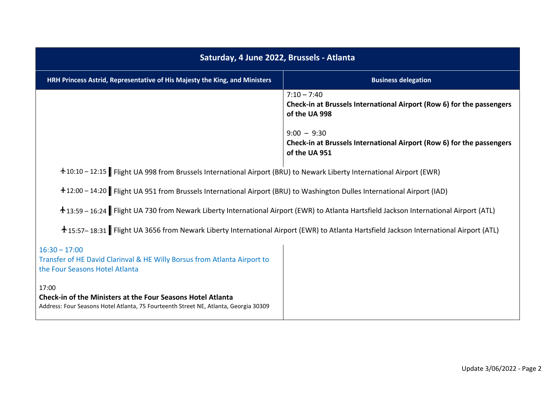| Saturday, 4 June 2022, Brussels - Atlanta                                                                                                                           |                                                                                                         |  |
|---------------------------------------------------------------------------------------------------------------------------------------------------------------------|---------------------------------------------------------------------------------------------------------|--|
| HRH Princess Astrid, Representative of His Majesty the King, and Ministers                                                                                          | <b>Business delegation</b>                                                                              |  |
|                                                                                                                                                                     | $7:10 - 7:40$<br>Check-in at Brussels International Airport (Row 6) for the passengers<br>of the UA 998 |  |
|                                                                                                                                                                     | $9:00 - 9:30$<br>Check-in at Brussels International Airport (Row 6) for the passengers<br>of the UA 951 |  |
| +10:10 - 12:15 Flight UA 998 from Brussels International Airport (BRU) to Newark Liberty International Airport (EWR)                                                |                                                                                                         |  |
| +12:00 - 14:20 Flight UA 951 from Brussels International Airport (BRU) to Washington Dulles International Airport (IAD)                                             |                                                                                                         |  |
| +13:59 - 16:24 Flight UA 730 from Newark Liberty International Airport (EWR) to Atlanta Hartsfield Jackson International Airport (ATL)                              |                                                                                                         |  |
| +15:57-18:31 Flight UA 3656 from Newark Liberty International Airport (EWR) to Atlanta Hartsfield Jackson International Airport (ATL)                               |                                                                                                         |  |
| $16:30 - 17:00$<br>Transfer of HE David Clarinval & HE Willy Borsus from Atlanta Airport to<br>the Four Seasons Hotel Atlanta                                       |                                                                                                         |  |
| 17:00<br><b>Check-in of the Ministers at the Four Seasons Hotel Atlanta</b><br>Address: Four Seasons Hotel Atlanta, 75 Fourteenth Street NE, Atlanta, Georgia 30309 |                                                                                                         |  |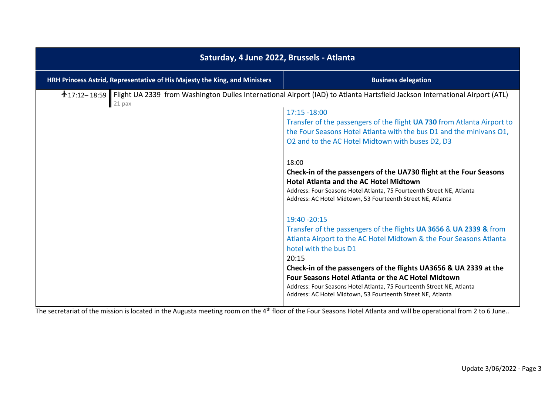| Saturday, 4 June 2022, Brussels - Atlanta                                  |                                                                                                                                                                                                                                                                                                                                                                                                                                                                                                                                                                                                                                                                                                                                                                                                                                                                                                                                                                                                                                                                                                          |  |
|----------------------------------------------------------------------------|----------------------------------------------------------------------------------------------------------------------------------------------------------------------------------------------------------------------------------------------------------------------------------------------------------------------------------------------------------------------------------------------------------------------------------------------------------------------------------------------------------------------------------------------------------------------------------------------------------------------------------------------------------------------------------------------------------------------------------------------------------------------------------------------------------------------------------------------------------------------------------------------------------------------------------------------------------------------------------------------------------------------------------------------------------------------------------------------------------|--|
| HRH Princess Astrid, Representative of His Majesty the King, and Ministers | <b>Business delegation</b>                                                                                                                                                                                                                                                                                                                                                                                                                                                                                                                                                                                                                                                                                                                                                                                                                                                                                                                                                                                                                                                                               |  |
| $21$ pax                                                                   | ↑17:12-18:59 Flight UA 2339 from Washington Dulles International Airport (IAD) to Atlanta Hartsfield Jackson International Airport (ATL)<br>17:15 -18:00<br>Transfer of the passengers of the flight UA 730 from Atlanta Airport to<br>the Four Seasons Hotel Atlanta with the bus D1 and the minivans O1,<br>O2 and to the AC Hotel Midtown with buses D2, D3<br>18:00<br>Check-in of the passengers of the UA730 flight at the Four Seasons<br><b>Hotel Atlanta and the AC Hotel Midtown</b><br>Address: Four Seasons Hotel Atlanta, 75 Fourteenth Street NE, Atlanta<br>Address: AC Hotel Midtown, 53 Fourteenth Street NE, Atlanta<br>19:40 - 20:15<br>Transfer of the passengers of the flights UA 3656 & UA 2339 & from<br>Atlanta Airport to the AC Hotel Midtown & the Four Seasons Atlanta<br>hotel with the bus D1<br>20:15<br>Check-in of the passengers of the flights UA3656 & UA 2339 at the<br>Four Seasons Hotel Atlanta or the AC Hotel Midtown<br>Address: Four Seasons Hotel Atlanta, 75 Fourteenth Street NE, Atlanta<br>Address: AC Hotel Midtown, 53 Fourteenth Street NE, Atlanta |  |

The secretariat of the mission is located in the Augusta meeting room on the 4<sup>th</sup> floor of the Four Seasons Hotel Atlanta and will be operational from 2 to 6 June..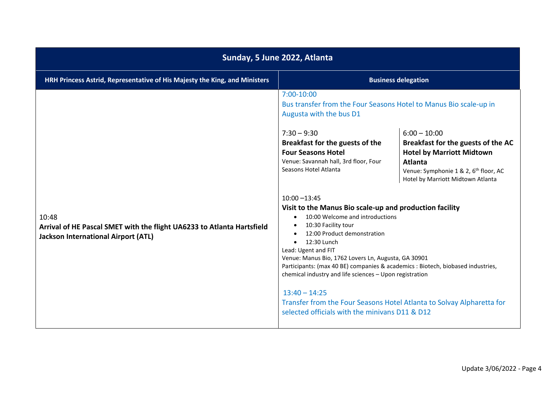| Sunday, 5 June 2022, Atlanta                                                                                                  |                                                                                                                                                                                                                                                                                                                                                                                                                                                                                                                                                                                                                                                                                                                                                                                                                               |                                                                                                                                                                                                      |
|-------------------------------------------------------------------------------------------------------------------------------|-------------------------------------------------------------------------------------------------------------------------------------------------------------------------------------------------------------------------------------------------------------------------------------------------------------------------------------------------------------------------------------------------------------------------------------------------------------------------------------------------------------------------------------------------------------------------------------------------------------------------------------------------------------------------------------------------------------------------------------------------------------------------------------------------------------------------------|------------------------------------------------------------------------------------------------------------------------------------------------------------------------------------------------------|
| HRH Princess Astrid, Representative of His Majesty the King, and Ministers                                                    |                                                                                                                                                                                                                                                                                                                                                                                                                                                                                                                                                                                                                                                                                                                                                                                                                               | <b>Business delegation</b>                                                                                                                                                                           |
| 10:48<br>Arrival of HE Pascal SMET with the flight UA6233 to Atlanta Hartsfield<br><b>Jackson International Airport (ATL)</b> | 7:00-10:00<br>Bus transfer from the Four Seasons Hotel to Manus Bio scale-up in<br>Augusta with the bus D1<br>$7:30 - 9:30$<br>Breakfast for the guests of the<br><b>Four Seasons Hotel</b><br>Venue: Savannah hall, 3rd floor, Four<br>Seasons Hotel Atlanta<br>$10:00 - 13:45$<br>Visit to the Manus Bio scale-up and production facility<br>10:00 Welcome and introductions<br>10:30 Facility tour<br>12:00 Product demonstration<br>12:30 Lunch<br>Lead: Ugent and FIT<br>Venue: Manus Bio, 1762 Lovers Ln, Augusta, GA 30901<br>Participants: (max 40 BE) companies & academics : Biotech, biobased industries,<br>chemical industry and life sciences - Upon registration<br>$13:40 - 14:25$<br>Transfer from the Four Seasons Hotel Atlanta to Solvay Alpharetta for<br>selected officials with the minivans D11 & D12 | $6:00 - 10:00$<br>Breakfast for the guests of the AC<br><b>Hotel by Marriott Midtown</b><br><b>Atlanta</b><br>Venue: Symphonie 1 & 2, 6 <sup>th</sup> floor, AC<br>Hotel by Marriott Midtown Atlanta |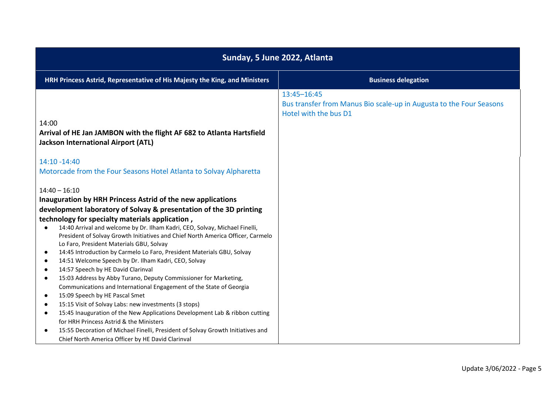| Sunday, 5 June 2022, Atlanta                                                                 |                                                                                                             |
|----------------------------------------------------------------------------------------------|-------------------------------------------------------------------------------------------------------------|
| HRH Princess Astrid, Representative of His Majesty the King, and Ministers                   | <b>Business delegation</b>                                                                                  |
|                                                                                              | 13:45-16:45<br>Bus transfer from Manus Bio scale-up in Augusta to the Four Seasons<br>Hotel with the bus D1 |
| 14:00                                                                                        |                                                                                                             |
| Arrival of HE Jan JAMBON with the flight AF 682 to Atlanta Hartsfield                        |                                                                                                             |
| <b>Jackson International Airport (ATL)</b>                                                   |                                                                                                             |
|                                                                                              |                                                                                                             |
| 14:10 -14:40                                                                                 |                                                                                                             |
| Motorcade from the Four Seasons Hotel Atlanta to Solvay Alpharetta                           |                                                                                                             |
|                                                                                              |                                                                                                             |
| $14:40 - 16:10$                                                                              |                                                                                                             |
| Inauguration by HRH Princess Astrid of the new applications                                  |                                                                                                             |
| development laboratory of Solvay & presentation of the 3D printing                           |                                                                                                             |
| technology for specialty materials application,                                              |                                                                                                             |
| 14:40 Arrival and welcome by Dr. Ilham Kadri, CEO, Solvay, Michael Finelli,<br>$\bullet$     |                                                                                                             |
| President of Solvay Growth Initiatives and Chief North America Officer, Carmelo              |                                                                                                             |
| Lo Faro, President Materials GBU, Solvay                                                     |                                                                                                             |
| 14:45 Introduction by Carmelo Lo Faro, President Materials GBU, Solvay<br>$\bullet$          |                                                                                                             |
| 14:51 Welcome Speech by Dr. Ilham Kadri, CEO, Solvay<br>$\bullet$                            |                                                                                                             |
| 14:57 Speech by HE David Clarinval<br>$\bullet$                                              |                                                                                                             |
| 15:03 Address by Abby Turano, Deputy Commissioner for Marketing,<br>$\bullet$                |                                                                                                             |
| Communications and International Engagement of the State of Georgia                          |                                                                                                             |
| 15:09 Speech by HE Pascal Smet<br>$\bullet$                                                  |                                                                                                             |
| 15:15 Visit of Solvay Labs: new investments (3 stops)<br>$\bullet$                           |                                                                                                             |
| 15:45 Inauguration of the New Applications Development Lab & ribbon cutting<br>$\bullet$     |                                                                                                             |
| for HRH Princess Astrid & the Ministers                                                      |                                                                                                             |
| 15:55 Decoration of Michael Finelli, President of Solvay Growth Initiatives and<br>$\bullet$ |                                                                                                             |
| Chief North America Officer by HE David Clarinval                                            |                                                                                                             |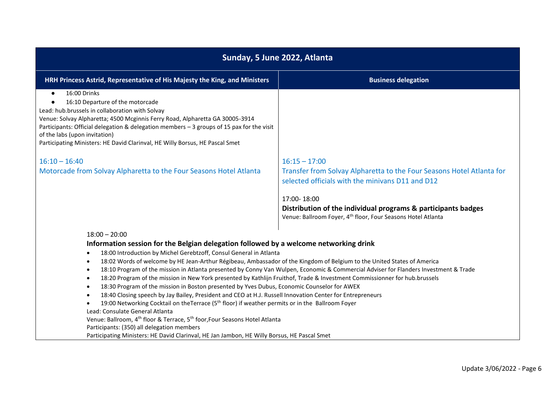| Sunday, 5 June 2022, Atlanta                                                                                                                                                                                                                                                                                                                                                                                                                                                                                                                                                                                                                                                                                                                                                                                                                                                                                                                                                                                                                                                                                                            |                                                                                                                                           |  |
|-----------------------------------------------------------------------------------------------------------------------------------------------------------------------------------------------------------------------------------------------------------------------------------------------------------------------------------------------------------------------------------------------------------------------------------------------------------------------------------------------------------------------------------------------------------------------------------------------------------------------------------------------------------------------------------------------------------------------------------------------------------------------------------------------------------------------------------------------------------------------------------------------------------------------------------------------------------------------------------------------------------------------------------------------------------------------------------------------------------------------------------------|-------------------------------------------------------------------------------------------------------------------------------------------|--|
| HRH Princess Astrid, Representative of His Majesty the King, and Ministers                                                                                                                                                                                                                                                                                                                                                                                                                                                                                                                                                                                                                                                                                                                                                                                                                                                                                                                                                                                                                                                              | <b>Business delegation</b>                                                                                                                |  |
| 16:00 Drinks<br>$\bullet$<br>16:10 Departure of the motorcade<br>$\bullet$<br>Lead: hub.brussels in collaboration with Solvay<br>Venue: Solvay Alpharetta; 4500 Mcginnis Ferry Road, Alpharetta GA 30005-3914<br>Participants: Official delegation & delegation members - 3 groups of 15 pax for the visit<br>of the labs (upon invitation)<br>Participating Ministers: HE David Clarinval, HE Willy Borsus, HE Pascal Smet                                                                                                                                                                                                                                                                                                                                                                                                                                                                                                                                                                                                                                                                                                             |                                                                                                                                           |  |
| $16:10 - 16:40$                                                                                                                                                                                                                                                                                                                                                                                                                                                                                                                                                                                                                                                                                                                                                                                                                                                                                                                                                                                                                                                                                                                         | $16:15 - 17:00$                                                                                                                           |  |
| Motorcade from Solvay Alpharetta to the Four Seasons Hotel Atlanta                                                                                                                                                                                                                                                                                                                                                                                                                                                                                                                                                                                                                                                                                                                                                                                                                                                                                                                                                                                                                                                                      | Transfer from Solvay Alpharetta to the Four Seasons Hotel Atlanta for<br>selected officials with the minivans D11 and D12                 |  |
|                                                                                                                                                                                                                                                                                                                                                                                                                                                                                                                                                                                                                                                                                                                                                                                                                                                                                                                                                                                                                                                                                                                                         | 17:00-18:00                                                                                                                               |  |
|                                                                                                                                                                                                                                                                                                                                                                                                                                                                                                                                                                                                                                                                                                                                                                                                                                                                                                                                                                                                                                                                                                                                         | Distribution of the individual programs & participants badges<br>Venue: Ballroom Foyer, 4 <sup>th</sup> floor, Four Seasons Hotel Atlanta |  |
| $18:00 - 20:00$<br>Information session for the Belgian delegation followed by a welcome networking drink<br>18:00 Introduction by Michel Gerebtzoff, Consul General in Atlanta<br>$\bullet$<br>18:02 Words of welcome by HE Jean-Arthur Régibeau, Ambassador of the Kingdom of Belgium to the United States of America<br>$\bullet$<br>$\bullet$<br>18:20 Program of the mission in New York presented by Kathlijn Fruithof, Trade & Investment Commissionner for hub.brussels<br>$\bullet$<br>18:30 Program of the mission in Boston presented by Yves Dubus, Economic Counselor for AWEX<br>$\bullet$<br>18:40 Closing speech by Jay Bailey, President and CEO at H.J. Russell Innovation Center for Entrepreneurs<br>$\bullet$<br>19:00 Networking Cocktail on the Terrace (5 <sup>th</sup> floor) if weather permits or in the Ballroom Foyer<br>Lead: Consulate General Atlanta<br>Venue: Ballroom, 4 <sup>th</sup> floor & Terrace, 5 <sup>th</sup> foor, Four Seasons Hotel Atlanta<br>Participants: (350) all delegation members<br>Participating Ministers: HE David Clarinval, HE Jan Jambon, HE Willy Borsus, HE Pascal Smet | 18:10 Program of the mission in Atlanta presented by Conny Van Wulpen, Economic & Commercial Adviser for Flanders Investment & Trade      |  |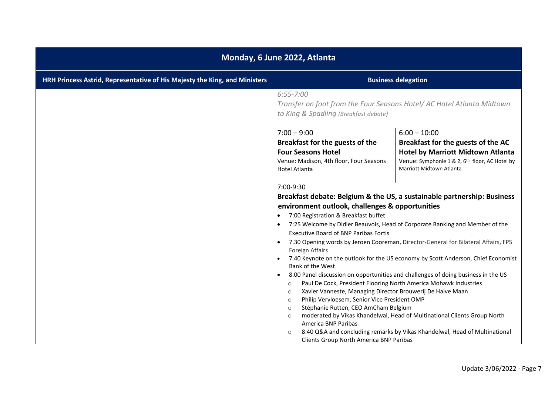| Monday, 6 June 2022, Atlanta                                               |                                                                                                                                                                                                                                                                                                                                                                                                                                                                                                                                                                  |                                                                                                                                                                                                                                                                                                                                                                                                                                                                                                                                                                                   |
|----------------------------------------------------------------------------|------------------------------------------------------------------------------------------------------------------------------------------------------------------------------------------------------------------------------------------------------------------------------------------------------------------------------------------------------------------------------------------------------------------------------------------------------------------------------------------------------------------------------------------------------------------|-----------------------------------------------------------------------------------------------------------------------------------------------------------------------------------------------------------------------------------------------------------------------------------------------------------------------------------------------------------------------------------------------------------------------------------------------------------------------------------------------------------------------------------------------------------------------------------|
| HRH Princess Astrid, Representative of His Majesty the King, and Ministers |                                                                                                                                                                                                                                                                                                                                                                                                                                                                                                                                                                  | <b>Business delegation</b>                                                                                                                                                                                                                                                                                                                                                                                                                                                                                                                                                        |
|                                                                            | $6:55 - 7:00$<br>Transfer on foot from the Four Seasons Hotel/ AC Hotel Atlanta Midtown<br>to King & Spadling (Breakfast debate)<br>$7:00 - 9:00$<br>Breakfast for the guests of the<br><b>Four Seasons Hotel</b><br>Venue: Madison, 4th floor, Four Seasons<br><b>Hotel Atlanta</b><br>7:00-9:30                                                                                                                                                                                                                                                                | $6:00 - 10:00$<br>Breakfast for the guests of the AC<br><b>Hotel by Marriott Midtown Atlanta</b><br>Venue: Symphonie 1 & 2, 6 <sup>th</sup> floor, AC Hotel by<br><b>Marriott Midtown Atlanta</b>                                                                                                                                                                                                                                                                                                                                                                                 |
|                                                                            | environment outlook, challenges & opportunities<br>7:00 Registration & Breakfast buffet<br><b>Executive Board of BNP Paribas Fortis</b><br>Foreign Affairs<br><b>Bank of the West</b><br>$\bullet$<br>Paul De Cock, President Flooring North America Mohawk Industries<br>$\circ$<br>Xavier Vanneste, Managing Director Brouwerij De Halve Maan<br>$\circ$<br>Philip Vervloesem, Senior Vice President OMP<br>$\circ$<br>Stéphanie Rutten, CEO AmCham Belgium<br>$\circ$<br>$\circ$<br>America BNP Paribas<br>$\circ$<br>Clients Group North America BNP Paribas | Breakfast debate: Belgium & the US, a sustainable partnership: Business<br>7:25 Welcome by Didier Beauvois, Head of Corporate Banking and Member of the<br>7.30 Opening words by Jeroen Cooreman, Director-General for Bilateral Affairs, FPS<br>7.40 Keynote on the outlook for the US economy by Scott Anderson, Chief Economist<br>8.00 Panel discussion on opportunities and challenges of doing business in the US<br>moderated by Vikas Khandelwal, Head of Multinational Clients Group North<br>8:40 Q&A and concluding remarks by Vikas Khandelwal, Head of Multinational |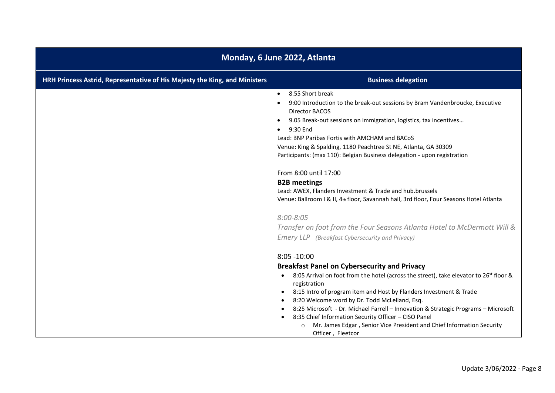| Monday, 6 June 2022, Atlanta                                               |                                                                                                                                                                                                                                                                                                                                                                                                                                                                                                                                                                                        |  |
|----------------------------------------------------------------------------|----------------------------------------------------------------------------------------------------------------------------------------------------------------------------------------------------------------------------------------------------------------------------------------------------------------------------------------------------------------------------------------------------------------------------------------------------------------------------------------------------------------------------------------------------------------------------------------|--|
| HRH Princess Astrid, Representative of His Majesty the King, and Ministers | <b>Business delegation</b>                                                                                                                                                                                                                                                                                                                                                                                                                                                                                                                                                             |  |
|                                                                            | 8.55 Short break<br>$\bullet$<br>9:00 Introduction to the break-out sessions by Bram Vandenbroucke, Executive<br>Director BACOS<br>9.05 Break-out sessions on immigration, logistics, tax incentives<br>9:30 End<br>$\bullet$<br>Lead: BNP Paribas Fortis with AMCHAM and BACoS<br>Venue: King & Spalding, 1180 Peachtree St NE, Atlanta, GA 30309<br>Participants: (max 110): Belgian Business delegation - upon registration<br>From 8:00 until 17:00                                                                                                                                |  |
|                                                                            | <b>B2B</b> meetings<br>Lead: AWEX, Flanders Investment & Trade and hub.brussels<br>Venue: Ballroom I & II, 4th floor, Savannah hall, 3rd floor, Four Seasons Hotel Atlanta<br>$8:00 - 8:05$<br>Transfer on foot from the Four Seasons Atlanta Hotel to McDermott Will &<br>Emery LLP (Breakfast Cybersecurity and Privacy)                                                                                                                                                                                                                                                             |  |
|                                                                            | $8:05 - 10:00$<br><b>Breakfast Panel on Cybersecurity and Privacy</b><br>8:05 Arrival on foot from the hotel (across the street), take elevator to 26 <sup>st</sup> floor &<br>registration<br>8:15 Intro of program item and Host by Flanders Investment & Trade<br>$\bullet$<br>8:20 Welcome word by Dr. Todd McLelland, Esq.<br>8:25 Microsoft - Dr. Michael Farrell - Innovation & Strategic Programs - Microsoft<br>8:35 Chief Information Security Officer - CISO Panel<br>Mr. James Edgar, Senior Vice President and Chief Information Security<br>$\circ$<br>Officer, Fleetcor |  |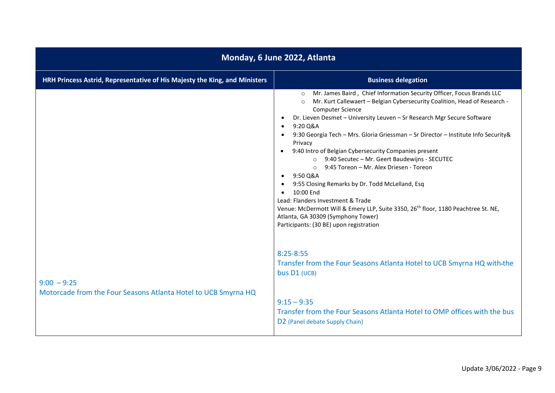| Monday, 6 June 2022, Atlanta                                                    |                                                                                                                                                                                                                                                                                                                                                                                                                                                                                                                                                                                                                                                                                                                                                                                                                                                                                                                          |  |
|---------------------------------------------------------------------------------|--------------------------------------------------------------------------------------------------------------------------------------------------------------------------------------------------------------------------------------------------------------------------------------------------------------------------------------------------------------------------------------------------------------------------------------------------------------------------------------------------------------------------------------------------------------------------------------------------------------------------------------------------------------------------------------------------------------------------------------------------------------------------------------------------------------------------------------------------------------------------------------------------------------------------|--|
| HRH Princess Astrid, Representative of His Majesty the King, and Ministers      | <b>Business delegation</b>                                                                                                                                                                                                                                                                                                                                                                                                                                                                                                                                                                                                                                                                                                                                                                                                                                                                                               |  |
|                                                                                 | Mr. James Baird, Chief Information Security Officer, Focus Brands LLC<br>$\circ$<br>Mr. Kurt Callewaert - Belgian Cybersecurity Coalition, Head of Research -<br>$\circ$<br><b>Computer Science</b><br>Dr. Lieven Desmet - University Leuven - Sr Research Mgr Secure Software<br>$\bullet$<br>9:20 Q&A<br>$\bullet$<br>9:30 Georgia Tech - Mrs. Gloria Griessman - Sr Director - Institute Info Security &<br>Privacy<br>9:40 Intro of Belgian Cybersecurity Companies present<br>$\bullet$<br>○ 9:40 Secutec - Mr. Geert Baudewijns - SECUTEC<br>9:45 Toreon - Mr. Alex Driesen - Toreon<br>$\circ$<br>$-9:50 Q&A$<br>9:55 Closing Remarks by Dr. Todd McLelland, Esq<br>10:00 End<br>$\bullet$<br>Lead: Flanders Investment & Trade<br>Venue: McDermott Will & Emery LLP, Suite 3350, 26 <sup>th</sup> floor, 1180 Peachtree St. NE,<br>Atlanta, GA 30309 (Symphony Tower)<br>Participants: (30 BE) upon registration |  |
| $9:00 - 9:25$<br>Motorcade from the Four Seasons Atlanta Hotel to UCB Smyrna HQ | $8:25 - 8:55$<br>Transfer from the Four Seasons Atlanta Hotel to UCB Smyrna HQ with-the<br>bus D1 (UCB)<br>$9:15 - 9:35$                                                                                                                                                                                                                                                                                                                                                                                                                                                                                                                                                                                                                                                                                                                                                                                                 |  |
|                                                                                 | Transfer from the Four Seasons Atlanta Hotel to OMP offices with the bus<br>D <sub>2</sub> (Panel debate Supply Chain)                                                                                                                                                                                                                                                                                                                                                                                                                                                                                                                                                                                                                                                                                                                                                                                                   |  |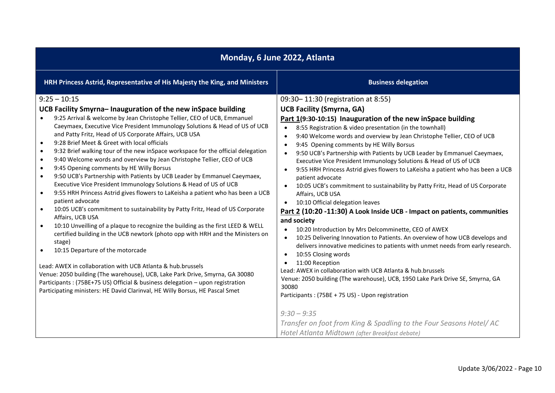| Monday, 6 June 2022, Atlanta                                                                                                                                                                                                                                                                                                                                                                                                                                                                                                                                                                                                                                                                                                                                                                                                                                                                                                                                                                                                                                                                                                                                                                                                                                                                                                                                                                                                                                                                                                                                         |                                                                                                                                                                                                                                                                                                                                                                                                                                                                                                                                                                                                                                                                                                                                                                                                                                                                                                                                                                                                                                                                                                                                                                                                                                                                                                                                                                                                             |  |
|----------------------------------------------------------------------------------------------------------------------------------------------------------------------------------------------------------------------------------------------------------------------------------------------------------------------------------------------------------------------------------------------------------------------------------------------------------------------------------------------------------------------------------------------------------------------------------------------------------------------------------------------------------------------------------------------------------------------------------------------------------------------------------------------------------------------------------------------------------------------------------------------------------------------------------------------------------------------------------------------------------------------------------------------------------------------------------------------------------------------------------------------------------------------------------------------------------------------------------------------------------------------------------------------------------------------------------------------------------------------------------------------------------------------------------------------------------------------------------------------------------------------------------------------------------------------|-------------------------------------------------------------------------------------------------------------------------------------------------------------------------------------------------------------------------------------------------------------------------------------------------------------------------------------------------------------------------------------------------------------------------------------------------------------------------------------------------------------------------------------------------------------------------------------------------------------------------------------------------------------------------------------------------------------------------------------------------------------------------------------------------------------------------------------------------------------------------------------------------------------------------------------------------------------------------------------------------------------------------------------------------------------------------------------------------------------------------------------------------------------------------------------------------------------------------------------------------------------------------------------------------------------------------------------------------------------------------------------------------------------|--|
| HRH Princess Astrid, Representative of His Majesty the King, and Ministers                                                                                                                                                                                                                                                                                                                                                                                                                                                                                                                                                                                                                                                                                                                                                                                                                                                                                                                                                                                                                                                                                                                                                                                                                                                                                                                                                                                                                                                                                           | <b>Business delegation</b>                                                                                                                                                                                                                                                                                                                                                                                                                                                                                                                                                                                                                                                                                                                                                                                                                                                                                                                                                                                                                                                                                                                                                                                                                                                                                                                                                                                  |  |
| $9:25 - 10:15$<br>UCB Facility Smyrna-Inauguration of the new inSpace building<br>9:25 Arrival & welcome by Jean Christophe Tellier, CEO of UCB, Emmanuel<br>Caeymaex, Executive Vice President Immunology Solutions & Head of US of UCB<br>and Patty Fritz, Head of US Corporate Affairs, UCB USA<br>9:28 Brief Meet & Greet with local officials<br>$\bullet$<br>9:32 Brief walking tour of the new inSpace workspace for the official delegation<br>$\bullet$<br>9:40 Welcome words and overview by Jean Christophe Tellier, CEO of UCB<br>$\bullet$<br>9:45 Opening comments by HE Willy Borsus<br>$\bullet$<br>9:50 UCB's Partnership with Patients by UCB Leader by Emmanuel Caeymaex,<br>$\bullet$<br>Executive Vice President Immunology Solutions & Head of US of UCB<br>9:55 HRH Princess Astrid gives flowers to LaKeisha a patient who has been a UCB<br>$\bullet$<br>patient advocate<br>10:05 UCB's commitment to sustainability by Patty Fritz, Head of US Corporate<br>$\bullet$<br>Affairs, UCB USA<br>10:10 Unveilling of a plaque to recognize the building as the first LEED & WELL<br>$\bullet$<br>certified building in the UCB newtork (photo opp with HRH and the Ministers on<br>stage)<br>10:15 Departure of the motorcade<br>Lead: AWEX in collaboration with UCB Atlanta & hub.brussels<br>Venue: 2050 building (The warehouse), UCB, Lake Park Drive, Smyrna, GA 30080<br>Participants: (75BE+75 US) Official & business delegation - upon registration<br>Participating ministers: HE David Clarinval, HE Willy Borsus, HE Pascal Smet | 09:30-11:30 (registration at 8:55)<br><b>UCB Facility (Smyrna, GA)</b><br>Part 1(9:30-10:15) Inauguration of the new inSpace building<br>8:55 Registration & video presentation (in the townhall)<br>$\bullet$<br>9:40 Welcome words and overview by Jean Christophe Tellier, CEO of UCB<br>$\bullet$<br>9:45 Opening comments by HE Willy Borsus<br>$\bullet$<br>9:50 UCB's Partnership with Patients by UCB Leader by Emmanuel Caeymaex,<br>Executive Vice President Immunology Solutions & Head of US of UCB<br>9:55 HRH Princess Astrid gives flowers to LaKeisha a patient who has been a UCB<br>$\bullet$<br>patient advocate<br>10:05 UCB's commitment to sustainability by Patty Fritz, Head of US Corporate<br>$\bullet$<br>Affairs, UCB USA<br>10:10 Official delegation leaves<br>Part 2 (10:20 -11:30) A Look Inside UCB - Impact on patients, communities<br>and society<br>10:20 Introduction by Mrs Delcomminette, CEO of AWEX<br>10:25 Delivering Innovation to Patients. An overview of how UCB develops and<br>$\bullet$<br>delivers innovative medicines to patients with unmet needs from early research.<br>10:55 Closing words<br>٠<br>11:00 Reception<br>Lead: AWEX in collaboration with UCB Atlanta & hub.brussels<br>Venue: 2050 building (The warehouse), UCB, 1950 Lake Park Drive SE, Smyrna, GA<br>30080<br>Participants: (75BE + 75 US) - Upon registration<br>$9:30 - 9:35$ |  |
|                                                                                                                                                                                                                                                                                                                                                                                                                                                                                                                                                                                                                                                                                                                                                                                                                                                                                                                                                                                                                                                                                                                                                                                                                                                                                                                                                                                                                                                                                                                                                                      | Transfer on foot from King & Spadling to the Four Seasons Hotel/ AC<br>Hotel Atlanta Midtown (after Breakfast debate)                                                                                                                                                                                                                                                                                                                                                                                                                                                                                                                                                                                                                                                                                                                                                                                                                                                                                                                                                                                                                                                                                                                                                                                                                                                                                       |  |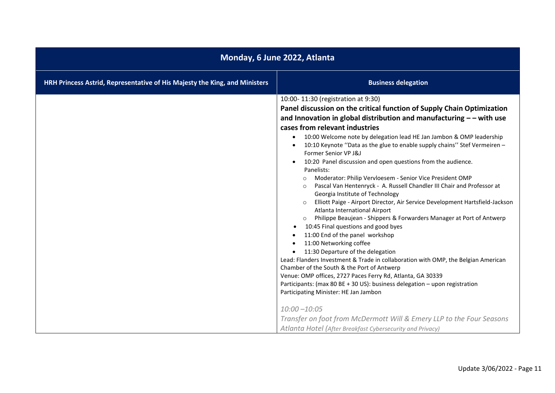| Monday, 6 June 2022, Atlanta                                               |                                                                                                                                                                                                                                                                                                                                                                                                                                                                                                                                                                                                                                                                                                                                                                                                                                                                                                                                                                                                                                                                                                                                                                                                                                                                                                                                                                                                                                                                                                       |  |
|----------------------------------------------------------------------------|-------------------------------------------------------------------------------------------------------------------------------------------------------------------------------------------------------------------------------------------------------------------------------------------------------------------------------------------------------------------------------------------------------------------------------------------------------------------------------------------------------------------------------------------------------------------------------------------------------------------------------------------------------------------------------------------------------------------------------------------------------------------------------------------------------------------------------------------------------------------------------------------------------------------------------------------------------------------------------------------------------------------------------------------------------------------------------------------------------------------------------------------------------------------------------------------------------------------------------------------------------------------------------------------------------------------------------------------------------------------------------------------------------------------------------------------------------------------------------------------------------|--|
| HRH Princess Astrid, Representative of His Majesty the King, and Ministers | <b>Business delegation</b>                                                                                                                                                                                                                                                                                                                                                                                                                                                                                                                                                                                                                                                                                                                                                                                                                                                                                                                                                                                                                                                                                                                                                                                                                                                                                                                                                                                                                                                                            |  |
|                                                                            | 10:00-11:30 (registration at 9:30)<br>Panel discussion on the critical function of Supply Chain Optimization<br>and Innovation in global distribution and manufacturing $-$ - with use<br>cases from relevant industries<br>10:00 Welcome note by delegation lead HE Jan Jambon & OMP leadership<br>10:10 Keynote "Data as the glue to enable supply chains" Stef Vermeiren -<br>Former Senior VP J&J<br>10:20 Panel discussion and open questions from the audience.<br>Panelists:<br>Moderator: Philip Vervloesem - Senior Vice President OMP<br>$\circ$<br>Pascal Van Hentenryck - A. Russell Chandler III Chair and Professor at<br>$\circ$<br>Georgia Institute of Technology<br>Elliott Paige - Airport Director, Air Service Development Hartsfield-Jackson<br>Atlanta International Airport<br>Philippe Beaujean - Shippers & Forwarders Manager at Port of Antwerp<br>10:45 Final questions and good byes<br>11:00 End of the panel workshop<br>11:00 Networking coffee<br>11:30 Departure of the delegation<br>Lead: Flanders Investment & Trade in collaboration with OMP, the Belgian American<br>Chamber of the South & the Port of Antwerp<br>Venue: OMP offices, 2727 Paces Ferry Rd, Atlanta, GA 30339<br>Participants: (max 80 BE + 30 US): business delegation - upon registration<br>Participating Minister: HE Jan Jambon<br>$10:00 - 10:05$<br>Transfer on foot from McDermott Will & Emery LLP to the Four Seasons<br>Atlanta Hotel (After Breakfast Cybersecurity and Privacy) |  |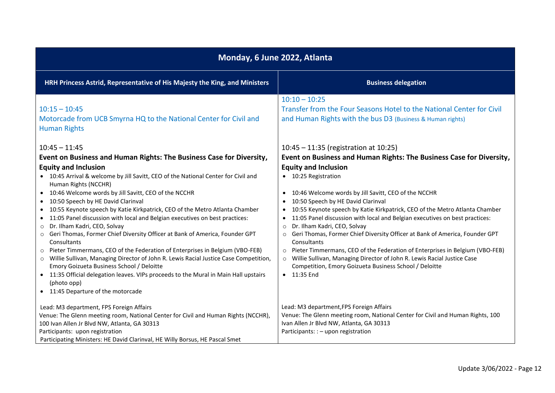| Monday, 6 June 2022, Atlanta                                                                                                                                                                                                                                                                                                                                                                                                                                                                                                                                                                                                                                                                                                                                                                                                                                                                                                                                                                                    |                                                                                                                                                                                                                                                                                                                                                                                                                                                                                                                                                                                                                                                                                                                                                                                                           |  |
|-----------------------------------------------------------------------------------------------------------------------------------------------------------------------------------------------------------------------------------------------------------------------------------------------------------------------------------------------------------------------------------------------------------------------------------------------------------------------------------------------------------------------------------------------------------------------------------------------------------------------------------------------------------------------------------------------------------------------------------------------------------------------------------------------------------------------------------------------------------------------------------------------------------------------------------------------------------------------------------------------------------------|-----------------------------------------------------------------------------------------------------------------------------------------------------------------------------------------------------------------------------------------------------------------------------------------------------------------------------------------------------------------------------------------------------------------------------------------------------------------------------------------------------------------------------------------------------------------------------------------------------------------------------------------------------------------------------------------------------------------------------------------------------------------------------------------------------------|--|
| HRH Princess Astrid, Representative of His Majesty the King, and Ministers                                                                                                                                                                                                                                                                                                                                                                                                                                                                                                                                                                                                                                                                                                                                                                                                                                                                                                                                      | <b>Business delegation</b>                                                                                                                                                                                                                                                                                                                                                                                                                                                                                                                                                                                                                                                                                                                                                                                |  |
| $10:15 - 10:45$<br>Motorcade from UCB Smyrna HQ to the National Center for Civil and<br><b>Human Rights</b>                                                                                                                                                                                                                                                                                                                                                                                                                                                                                                                                                                                                                                                                                                                                                                                                                                                                                                     | $10:10 - 10:25$<br>Transfer from the Four Seasons Hotel to the National Center for Civil<br>and Human Rights with the bus D3 (Business & Human rights)                                                                                                                                                                                                                                                                                                                                                                                                                                                                                                                                                                                                                                                    |  |
| $10:45 - 11:45$                                                                                                                                                                                                                                                                                                                                                                                                                                                                                                                                                                                                                                                                                                                                                                                                                                                                                                                                                                                                 | $10:45 - 11:35$ (registration at 10:25)                                                                                                                                                                                                                                                                                                                                                                                                                                                                                                                                                                                                                                                                                                                                                                   |  |
| Event on Business and Human Rights: The Business Case for Diversity,<br><b>Equity and Inclusion</b><br>• 10:45 Arrival & welcome by Jill Savitt, CEO of the National Center for Civil and<br>Human Rights (NCCHR)<br>• 10:46 Welcome words by Jill Savitt, CEO of the NCCHR<br>• 10:50 Speech by HE David Clarinval<br>• 10:55 Keynote speech by Katie Kirkpatrick, CEO of the Metro Atlanta Chamber<br>• 11:05 Panel discussion with local and Belgian executives on best practices:<br>Dr. Ilham Kadri, CEO, Solvay<br>$\circ$<br>o Geri Thomas, Former Chief Diversity Officer at Bank of America, Founder GPT<br>Consultants<br>Pieter Timmermans, CEO of the Federation of Enterprises in Belgium (VBO-FEB)<br>$\circ$<br>o Willie Sullivan, Managing Director of John R. Lewis Racial Justice Case Competition,<br>Emory Goizueta Business School / Deloitte<br>• 11:35 Official delegation leaves. VIPs proceeds to the Mural in Main Hall upstairs<br>(photo opp)<br>• 11:45 Departure of the motorcade | Event on Business and Human Rights: The Business Case for Diversity,<br><b>Equity and Inclusion</b><br>• 10:25 Registration<br>10:46 Welcome words by Jill Savitt, CEO of the NCCHR<br>$\bullet$<br>10:50 Speech by HE David Clarinval<br>10:55 Keynote speech by Katie Kirkpatrick, CEO of the Metro Atlanta Chamber<br>11:05 Panel discussion with local and Belgian executives on best practices:<br>Dr. Ilham Kadri, CEO, Solvay<br>$\circ$<br>Geri Thomas, Former Chief Diversity Officer at Bank of America, Founder GPT<br>$\circ$<br>Consultants<br>o Pieter Timmermans, CEO of the Federation of Enterprises in Belgium (VBO-FEB)<br>Willie Sullivan, Managing Director of John R. Lewis Racial Justice Case<br>$\circ$<br>Competition, Emory Goizueta Business School / Deloitte<br>• 11:35 End |  |
| Lead: M3 department, FPS Foreign Affairs<br>Venue: The Glenn meeting room, National Center for Civil and Human Rights (NCCHR),<br>100 Ivan Allen Jr Blvd NW, Atlanta, GA 30313<br>Participants: upon registration<br>Participating Ministers: HE David Clarinval, HE Willy Borsus, HE Pascal Smet                                                                                                                                                                                                                                                                                                                                                                                                                                                                                                                                                                                                                                                                                                               | Lead: M3 department, FPS Foreign Affairs<br>Venue: The Glenn meeting room, National Center for Civil and Human Rights, 100<br>Ivan Allen Jr Blvd NW, Atlanta, GA 30313<br>Participants: : - upon registration                                                                                                                                                                                                                                                                                                                                                                                                                                                                                                                                                                                             |  |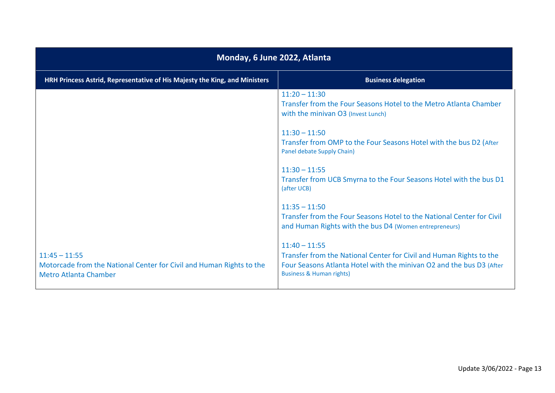| Monday, 6 June 2022, Atlanta                                                                                            |                                                                                                                                                                                                       |  |
|-------------------------------------------------------------------------------------------------------------------------|-------------------------------------------------------------------------------------------------------------------------------------------------------------------------------------------------------|--|
| HRH Princess Astrid, Representative of His Majesty the King, and Ministers                                              | <b>Business delegation</b>                                                                                                                                                                            |  |
|                                                                                                                         | $11:20 - 11:30$<br>Transfer from the Four Seasons Hotel to the Metro Atlanta Chamber<br>with the minivan O3 (Invest Lunch)                                                                            |  |
|                                                                                                                         | $11:30 - 11:50$<br>Transfer from OMP to the Four Seasons Hotel with the bus D2 (After<br>Panel debate Supply Chain)                                                                                   |  |
|                                                                                                                         | $11:30 - 11:55$<br>Transfer from UCB Smyrna to the Four Seasons Hotel with the bus D1<br>(after UCB)                                                                                                  |  |
|                                                                                                                         | $11:35 - 11:50$<br>Transfer from the Four Seasons Hotel to the National Center for Civil<br>and Human Rights with the bus D4 (Women entrepreneurs)                                                    |  |
| $11:45 - 11:55$<br>Motorcade from the National Center for Civil and Human Rights to the<br><b>Metro Atlanta Chamber</b> | $11:40 - 11:55$<br>Transfer from the National Center for Civil and Human Rights to the<br>Four Seasons Atlanta Hotel with the minivan O2 and the bus D3 (After<br><b>Business &amp; Human rights)</b> |  |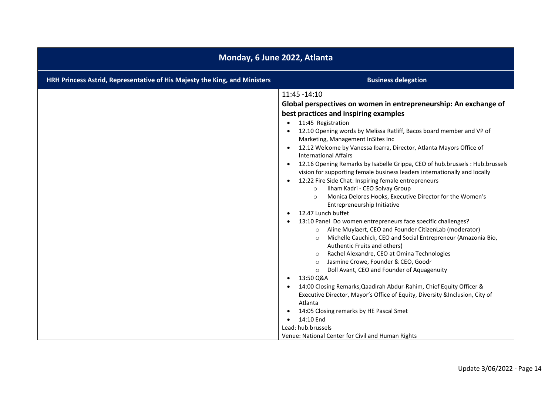| Monday, 6 June 2022, Atlanta                                               |                                                                                                                                                                                                                                                                                                                                                                                                                                                                                                                                                                                                                                                                                                                                                                                                                                                                                                                                                                                                                                                                                                                                                                                                                                                                                                                                                                                                                                                                                                              |
|----------------------------------------------------------------------------|--------------------------------------------------------------------------------------------------------------------------------------------------------------------------------------------------------------------------------------------------------------------------------------------------------------------------------------------------------------------------------------------------------------------------------------------------------------------------------------------------------------------------------------------------------------------------------------------------------------------------------------------------------------------------------------------------------------------------------------------------------------------------------------------------------------------------------------------------------------------------------------------------------------------------------------------------------------------------------------------------------------------------------------------------------------------------------------------------------------------------------------------------------------------------------------------------------------------------------------------------------------------------------------------------------------------------------------------------------------------------------------------------------------------------------------------------------------------------------------------------------------|
| HRH Princess Astrid, Representative of His Majesty the King, and Ministers | <b>Business delegation</b>                                                                                                                                                                                                                                                                                                                                                                                                                                                                                                                                                                                                                                                                                                                                                                                                                                                                                                                                                                                                                                                                                                                                                                                                                                                                                                                                                                                                                                                                                   |
|                                                                            | 11:45 - 14:10<br>Global perspectives on women in entrepreneurship: An exchange of<br>best practices and inspiring examples<br>11:45 Registration<br>$\bullet$<br>12.10 Opening words by Melissa Ratliff, Bacos board member and VP of<br>Marketing, Management InSites Inc<br>12.12 Welcome by Vanessa Ibarra, Director, Atlanta Mayors Office of<br><b>International Affairs</b><br>12.16 Opening Remarks by Isabelle Grippa, CEO of hub.brussels : Hub.brussels<br>vision for supporting female business leaders internationally and locally<br>12:22 Fire Side Chat: Inspiring female entrepreneurs<br>Ilham Kadri - CEO Solvay Group<br>$\circ$<br>Monica Delores Hooks, Executive Director for the Women's<br>$\circ$<br>Entrepreneurship Initiative<br>12.47 Lunch buffet<br>13:10 Panel Do women entrepreneurs face specific challenges?<br>Aline Muylaert, CEO and Founder CitizenLab (moderator)<br>$\circ$<br>Michelle Cauchick, CEO and Social Entrepreneur (Amazonia Bio,<br>$\circ$<br>Authentic Fruits and others)<br>Rachel Alexandre, CEO at Omina Technologies<br>Jasmine Crowe, Founder & CEO, Goodr<br>$\circ$<br>Doll Avant, CEO and Founder of Aquagenuity<br>$\circ$<br>13:50 Q&A<br>14:00 Closing Remarks, Qaadirah Abdur-Rahim, Chief Equity Officer &<br>Executive Director, Mayor's Office of Equity, Diversity & Inclusion, City of<br>Atlanta<br>14:05 Closing remarks by HE Pascal Smet<br>14:10 End<br>Lead: hub.brussels<br>Venue: National Center for Civil and Human Rights |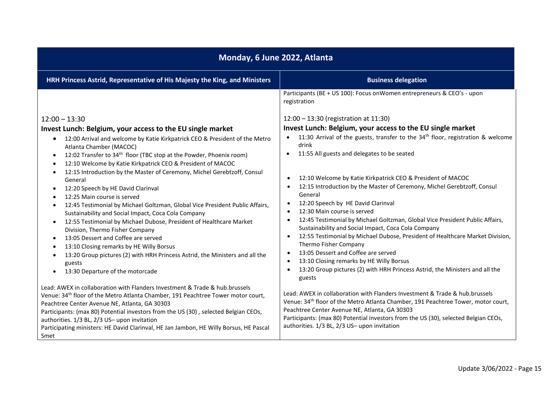| Monday, 6 June 2022, Atlanta                                                                                                                                                                                                                                                                                                                                                                                                                                                                                                                                                                                                                                                                                                                                                                                                                                                                                                                                                                                                                                                                                                                                                                                                                                                                 |                                                                                                                                                                                                                                                                                                                                                                                                                                                                                                                                                                                                                                                                                                                                                                                                                                                                                                                                                                                                                                                                                                                                     |  |
|----------------------------------------------------------------------------------------------------------------------------------------------------------------------------------------------------------------------------------------------------------------------------------------------------------------------------------------------------------------------------------------------------------------------------------------------------------------------------------------------------------------------------------------------------------------------------------------------------------------------------------------------------------------------------------------------------------------------------------------------------------------------------------------------------------------------------------------------------------------------------------------------------------------------------------------------------------------------------------------------------------------------------------------------------------------------------------------------------------------------------------------------------------------------------------------------------------------------------------------------------------------------------------------------|-------------------------------------------------------------------------------------------------------------------------------------------------------------------------------------------------------------------------------------------------------------------------------------------------------------------------------------------------------------------------------------------------------------------------------------------------------------------------------------------------------------------------------------------------------------------------------------------------------------------------------------------------------------------------------------------------------------------------------------------------------------------------------------------------------------------------------------------------------------------------------------------------------------------------------------------------------------------------------------------------------------------------------------------------------------------------------------------------------------------------------------|--|
| HRH Princess Astrid, Representative of His Majesty the King, and Ministers                                                                                                                                                                                                                                                                                                                                                                                                                                                                                                                                                                                                                                                                                                                                                                                                                                                                                                                                                                                                                                                                                                                                                                                                                   | <b>Business delegation</b>                                                                                                                                                                                                                                                                                                                                                                                                                                                                                                                                                                                                                                                                                                                                                                                                                                                                                                                                                                                                                                                                                                          |  |
| $12:00 - 13:30$<br>Invest Lunch: Belgium, your access to the EU single market<br>12:00 Arrival and welcome by Katie Kirkpatrick CEO & President of the Metro<br>٠<br>Atlanta Chamber (MACOC)<br>12:02 Transfer to 34 <sup>th</sup> floor (TBC stop at the Powder, Phoenix room)<br>$\bullet$<br>12:10 Welcome by Katie Kirkpatrick CEO & President of MACOC<br>$\bullet$<br>12:15 Introduction by the Master of Ceremony, Michel Gerebtzoff, Consul<br>$\bullet$<br>General<br>12:20 Speech by HE David Clarinval<br>$\bullet$<br>12:25 Main course is served<br>$\bullet$<br>12:45 Testimonial by Michael Goltzman, Global Vice President Public Affairs,<br>$\bullet$<br>Sustainability and Social Impact, Coca Cola Company<br>12:55 Testimonial by Michael Dubose, President of Healthcare Market<br>$\bullet$<br>Division, Thermo Fisher Company<br>13:05 Dessert and Coffee are served<br>$\bullet$<br>13:10 Closing remarks by HE Willy Borsus<br>$\bullet$<br>13:20 Group pictures (2) with HRH Princess Astrid, the Ministers and all the<br>guests<br>13:30 Departure of the motorcade<br>$\bullet$<br>Lead: AWEX in collaboration with Flanders Investment & Trade & hub.brussels<br>Venue: 34 <sup>th</sup> floor of the Metro Atlanta Chamber, 191 Peachtree Tower motor court, | Participants (BE + US 100): Focus on Women entrepreneurs & CEO's - upon<br>registration<br>12:00 - 13:30 (registration at 11:30)<br>Invest Lunch: Belgium, your access to the EU single market<br>11:30 Arrival of the guests, transfer to the 34 <sup>th</sup> floor, registration & welcome<br>drink<br>11:55 All guests and delegates to be seated<br>$\bullet$<br>12:10 Welcome by Katie Kirkpatrick CEO & President of MACOC<br>12:15 Introduction by the Master of Ceremony, Michel Gerebtzoff, Consul<br>General<br>12:20 Speech by HE David Clarinval<br>12:30 Main course is served<br>12:45 Testimonial by Michael Goltzman, Global Vice President Public Affairs,<br>Sustainability and Social Impact, Coca Cola Company<br>12:55 Testimonial by Michael Dubose, President of Healthcare Market Division,<br>Thermo Fisher Company<br>13:05 Dessert and Coffee are served<br>13:10 Closing remarks by HE Willy Borsus<br>$\bullet$<br>13:20 Group pictures (2) with HRH Princess Astrid, the Ministers and all the<br>$\bullet$<br>guests<br>Lead: AWEX in collaboration with Flanders Investment & Trade & hub.brussels |  |
| Peachtree Center Avenue NE, Atlanta, GA 30303<br>Participants: (max 80) Potential investors from the US (30), selected Belgian CEOs,<br>authorities. 1/3 BL, 2/3 US- upon invitation<br>Participating ministers: HE David Clarinval, HE Jan Jambon, HE Willy Borsus, HE Pascal<br>Smet                                                                                                                                                                                                                                                                                                                                                                                                                                                                                                                                                                                                                                                                                                                                                                                                                                                                                                                                                                                                       | Venue: 34 <sup>th</sup> floor of the Metro Atlanta Chamber, 191 Peachtree Tower, motor court,<br>Peachtree Center Avenue NE, Atlanta, GA 30303<br>Participants: (max 80) Potential investors from the US (30), selected Belgian CEOs,<br>authorities. 1/3 BL, 2/3 US- upon invitation                                                                                                                                                                                                                                                                                                                                                                                                                                                                                                                                                                                                                                                                                                                                                                                                                                               |  |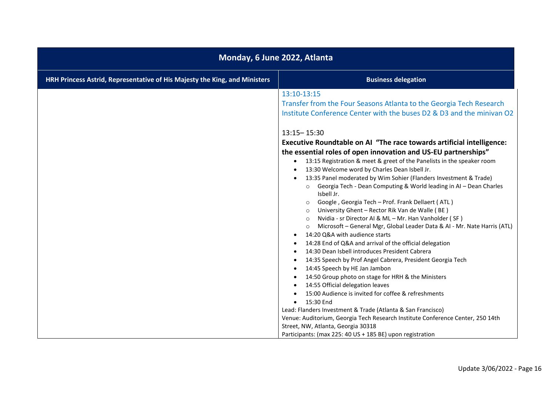| Monday, 6 June 2022, Atlanta                                               |                                                                                                                                                                                                                                                                                                                                                                                                                                                                                                                                                                                                                                                                                                                                                                                                                                                                                                                                                                                                                                                                                                                                                                                                                                       |
|----------------------------------------------------------------------------|---------------------------------------------------------------------------------------------------------------------------------------------------------------------------------------------------------------------------------------------------------------------------------------------------------------------------------------------------------------------------------------------------------------------------------------------------------------------------------------------------------------------------------------------------------------------------------------------------------------------------------------------------------------------------------------------------------------------------------------------------------------------------------------------------------------------------------------------------------------------------------------------------------------------------------------------------------------------------------------------------------------------------------------------------------------------------------------------------------------------------------------------------------------------------------------------------------------------------------------|
| HRH Princess Astrid, Representative of His Majesty the King, and Ministers | <b>Business delegation</b>                                                                                                                                                                                                                                                                                                                                                                                                                                                                                                                                                                                                                                                                                                                                                                                                                                                                                                                                                                                                                                                                                                                                                                                                            |
|                                                                            | 13:10-13:15<br>Transfer from the Four Seasons Atlanta to the Georgia Tech Research<br>Institute Conference Center with the buses D2 & D3 and the minivan O2<br>$13:15 - 15:30$<br>Executive Roundtable on AI "The race towards artificial intelligence:<br>the essential roles of open innovation and US-EU partnerships"<br>13:15 Registration & meet & greet of the Panelists in the speaker room<br>13:30 Welcome word by Charles Dean Isbell Jr.<br>13:35 Panel moderated by Wim Sohier (Flanders Investment & Trade)<br>o Georgia Tech - Dean Computing & World leading in AI - Dean Charles<br>Isbell Jr.<br>Google, Georgia Tech - Prof. Frank Dellaert (ATL)<br>$\circ$<br>University Ghent - Rector Rik Van de Walle (BE)<br>Nvidia - sr Director AI & ML - Mr. Han Vanholder (SF)<br>$\circ$<br>Microsoft - General Mgr, Global Leader Data & AI - Mr. Nate Harris (ATL)<br>$\circ$<br>14:20 Q&A with audience starts<br>14:28 End of Q&A and arrival of the official delegation<br>14:30 Dean Isbell introduces President Cabrera<br>14:35 Speech by Prof Angel Cabrera, President Georgia Tech<br>14:45 Speech by HE Jan Jambon<br>14:50 Group photo on stage for HRH & the Ministers<br>14:55 Official delegation leaves |
|                                                                            | 15:00 Audience is invited for coffee & refreshments<br>15:30 End                                                                                                                                                                                                                                                                                                                                                                                                                                                                                                                                                                                                                                                                                                                                                                                                                                                                                                                                                                                                                                                                                                                                                                      |
|                                                                            | Lead: Flanders Investment & Trade (Atlanta & San Francisco)<br>Venue: Auditorium, Georgia Tech Research Institute Conference Center, 250 14th<br>Street, NW, Atlanta, Georgia 30318<br>Participants: (max 225: 40 US + 185 BE) upon registration                                                                                                                                                                                                                                                                                                                                                                                                                                                                                                                                                                                                                                                                                                                                                                                                                                                                                                                                                                                      |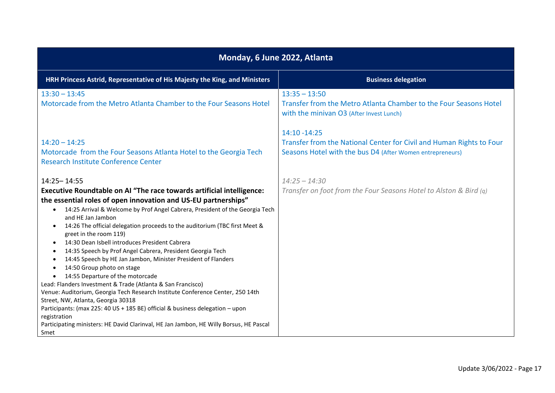| Monday, 6 June 2022, Atlanta                                                                                                                                                                                                                                                                                                                                                                                                                                                                                                                                                                                                                                                                                                                                                                                                                                                                                                                                                                                                                                   |                                                                                                                                                    |  |
|----------------------------------------------------------------------------------------------------------------------------------------------------------------------------------------------------------------------------------------------------------------------------------------------------------------------------------------------------------------------------------------------------------------------------------------------------------------------------------------------------------------------------------------------------------------------------------------------------------------------------------------------------------------------------------------------------------------------------------------------------------------------------------------------------------------------------------------------------------------------------------------------------------------------------------------------------------------------------------------------------------------------------------------------------------------|----------------------------------------------------------------------------------------------------------------------------------------------------|--|
| HRH Princess Astrid, Representative of His Majesty the King, and Ministers                                                                                                                                                                                                                                                                                                                                                                                                                                                                                                                                                                                                                                                                                                                                                                                                                                                                                                                                                                                     | <b>Business delegation</b>                                                                                                                         |  |
| $13:30 - 13:45$<br>Motorcade from the Metro Atlanta Chamber to the Four Seasons Hotel                                                                                                                                                                                                                                                                                                                                                                                                                                                                                                                                                                                                                                                                                                                                                                                                                                                                                                                                                                          | $13:35 - 13:50$<br>Transfer from the Metro Atlanta Chamber to the Four Seasons Hotel<br>with the minivan O3 (After Invest Lunch)                   |  |
| $14:20 - 14:25$<br>Motorcade from the Four Seasons Atlanta Hotel to the Georgia Tech<br>Research Institute Conference Center                                                                                                                                                                                                                                                                                                                                                                                                                                                                                                                                                                                                                                                                                                                                                                                                                                                                                                                                   | 14:10 - 14:25<br>Transfer from the National Center for Civil and Human Rights to Four<br>Seasons Hotel with the bus D4 (After Women entrepreneurs) |  |
| 14:25 - 14:55<br>Executive Roundtable on AI "The race towards artificial intelligence:<br>the essential roles of open innovation and US-EU partnerships"<br>14:25 Arrival & Welcome by Prof Angel Cabrera, President of the Georgia Tech<br>$\bullet$<br>and HE Jan Jambon<br>14:26 The official delegation proceeds to the auditorium (TBC first Meet &<br>$\bullet$<br>greet in the room 119)<br>14:30 Dean Isbell introduces President Cabrera<br>$\bullet$<br>14:35 Speech by Prof Angel Cabrera, President Georgia Tech<br>$\bullet$<br>14:45 Speech by HE Jan Jambon, Minister President of Flanders<br>14:50 Group photo on stage<br>14:55 Departure of the motorcade<br>Lead: Flanders Investment & Trade (Atlanta & San Francisco)<br>Venue: Auditorium, Georgia Tech Research Institute Conference Center, 250 14th<br>Street, NW, Atlanta, Georgia 30318<br>Participants: (max 225: 40 US + 185 BE) official & business delegation - upon<br>registration<br>Participating ministers: HE David Clarinval, HE Jan Jambon, HE Willy Borsus, HE Pascal | $14:25 - 14:30$<br>Transfer on foot from the Four Seasons Hotel to Alston & Bird (q)                                                               |  |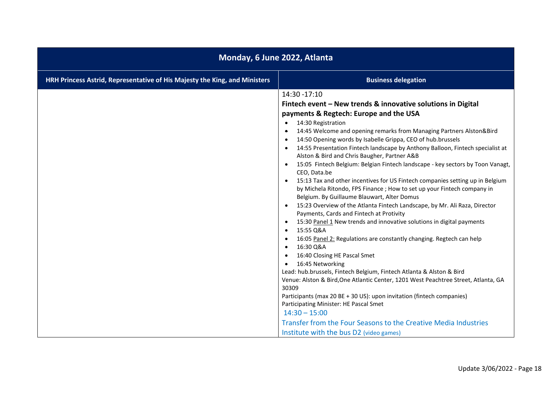| Monday, 6 June 2022, Atlanta                                               |                                                                                                                                                                                                                                                                                                                                                                                                                                                                                                                                                                                                                                                                                                                                                                                                                                                                                                                                                                                                                                                                                                                                                                                                                                                                                                                                                                                                                                                                                                                                                                                                                                                                                                 |
|----------------------------------------------------------------------------|-------------------------------------------------------------------------------------------------------------------------------------------------------------------------------------------------------------------------------------------------------------------------------------------------------------------------------------------------------------------------------------------------------------------------------------------------------------------------------------------------------------------------------------------------------------------------------------------------------------------------------------------------------------------------------------------------------------------------------------------------------------------------------------------------------------------------------------------------------------------------------------------------------------------------------------------------------------------------------------------------------------------------------------------------------------------------------------------------------------------------------------------------------------------------------------------------------------------------------------------------------------------------------------------------------------------------------------------------------------------------------------------------------------------------------------------------------------------------------------------------------------------------------------------------------------------------------------------------------------------------------------------------------------------------------------------------|
| HRH Princess Astrid, Representative of His Majesty the King, and Ministers | <b>Business delegation</b>                                                                                                                                                                                                                                                                                                                                                                                                                                                                                                                                                                                                                                                                                                                                                                                                                                                                                                                                                                                                                                                                                                                                                                                                                                                                                                                                                                                                                                                                                                                                                                                                                                                                      |
|                                                                            | 14:30 - 17:10<br>Fintech event - New trends & innovative solutions in Digital<br>payments & Regtech: Europe and the USA<br>14:30 Registration<br>$\bullet$<br>14:45 Welcome and opening remarks from Managing Partners Alston&Bird<br>$\bullet$<br>14:50 Opening words by Isabelle Grippa, CEO of hub.brussels<br>$\bullet$<br>14:55 Presentation Fintech landscape by Anthony Balloon, Fintech specialist at<br>$\bullet$<br>Alston & Bird and Chris Baugher, Partner A&B<br>15:05 Fintech Belgium: Belgian Fintech landscape - key sectors by Toon Vanagt,<br>$\bullet$<br>CEO, Data.be<br>15:13 Tax and other incentives for US Fintech companies setting up in Belgium<br>$\bullet$<br>by Michela Ritondo, FPS Finance; How to set up your Fintech company in<br>Belgium. By Guillaume Blauwart, Alter Domus<br>15:23 Overview of the Atlanta Fintech Landscape, by Mr. Ali Raza, Director<br>$\bullet$<br>Payments, Cards and Fintech at Protivity<br>15:30 Panel 1 New trends and innovative solutions in digital payments<br>$\bullet$<br>15:55 Q&A<br>$\bullet$<br>16:05 Panel 2: Regulations are constantly changing. Regtech can help<br>$\bullet$<br>16:30 Q&A<br>$\bullet$<br>16:40 Closing HE Pascal Smet<br>$\bullet$<br>16:45 Networking<br>$\bullet$<br>Lead: hub.brussels, Fintech Belgium, Fintech Atlanta & Alston & Bird<br>Venue: Alston & Bird, One Atlantic Center, 1201 West Peachtree Street, Atlanta, GA<br>30309<br>Participants (max 20 BE + 30 US): upon invitation (fintech companies)<br>Participating Minister: HE Pascal Smet<br>$14:30 - 15:00$<br>Transfer from the Four Seasons to the Creative Media Industries<br>Institute with the bus D2 (video games) |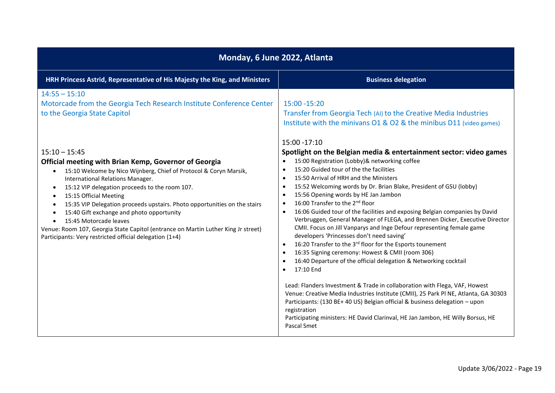| Monday, 6 June 2022, Atlanta                                                                                                                                                                                                                                                                                                                                                                                                                                                                                                                                                                                                       |                                                                                                                                                                                                                                                                                                                                                                                                                                                                                                                                                                                                                                                                                                                                                                                                                                                                                                                                                                                                                                                                                                                                                                                                                                                                                                                              |  |
|------------------------------------------------------------------------------------------------------------------------------------------------------------------------------------------------------------------------------------------------------------------------------------------------------------------------------------------------------------------------------------------------------------------------------------------------------------------------------------------------------------------------------------------------------------------------------------------------------------------------------------|------------------------------------------------------------------------------------------------------------------------------------------------------------------------------------------------------------------------------------------------------------------------------------------------------------------------------------------------------------------------------------------------------------------------------------------------------------------------------------------------------------------------------------------------------------------------------------------------------------------------------------------------------------------------------------------------------------------------------------------------------------------------------------------------------------------------------------------------------------------------------------------------------------------------------------------------------------------------------------------------------------------------------------------------------------------------------------------------------------------------------------------------------------------------------------------------------------------------------------------------------------------------------------------------------------------------------|--|
| HRH Princess Astrid, Representative of His Majesty the King, and Ministers                                                                                                                                                                                                                                                                                                                                                                                                                                                                                                                                                         | <b>Business delegation</b>                                                                                                                                                                                                                                                                                                                                                                                                                                                                                                                                                                                                                                                                                                                                                                                                                                                                                                                                                                                                                                                                                                                                                                                                                                                                                                   |  |
| $14:55 - 15:10$<br>Motorcade from the Georgia Tech Research Institute Conference Center<br>to the Georgia State Capitol                                                                                                                                                                                                                                                                                                                                                                                                                                                                                                            | 15:00 - 15:20<br>Transfer from Georgia Tech (AI) to the Creative Media Industries<br>Institute with the minivans 01 & 02 & the minibus D11 (video games)<br>15:00 - 17:10                                                                                                                                                                                                                                                                                                                                                                                                                                                                                                                                                                                                                                                                                                                                                                                                                                                                                                                                                                                                                                                                                                                                                    |  |
| $15:10 - 15:45$<br>Official meeting with Brian Kemp, Governor of Georgia<br>15:10 Welcome by Nico Wijnberg, Chief of Protocol & Coryn Marsik,<br>$\bullet$<br>International Relations Manager.<br>15:12 VIP delegation proceeds to the room 107.<br>$\bullet$<br>15:15 Official Meeting<br>$\bullet$<br>15:35 VIP Delegation proceeds upstairs. Photo opportunities on the stairs<br>$\bullet$<br>15:40 Gift exchange and photo opportunity<br>$\bullet$<br>15:45 Motorcade leaves<br>Venue: Room 107, Georgia State Capitol (entrance on Martin Luther King Jr street)<br>Participants: Very restricted official delegation (1+4) | Spotlight on the Belgian media & entertainment sector: video games<br>15:00 Registration (Lobby)& networking coffee<br>15:20 Guided tour of the the facilities<br>$\bullet$<br>15:50 Arrival of HRH and the Ministers<br>$\bullet$<br>15:52 Welcoming words by Dr. Brian Blake, President of GSU (lobby)<br>$\bullet$<br>15:56 Opening words by HE Jan Jambon<br>$\bullet$<br>16:00 Transfer to the 2 <sup>nd</sup> floor<br>16:06 Guided tour of the facilities and exposing Belgian companies by David<br>$\bullet$<br>Verbruggen, General Manager of FLEGA, and Brennen Dicker, Executive Director<br>CMII. Focus on Jill Vanparys and Inge Defour representing female game<br>developers 'Princesses don't need saving'<br>16:20 Transfer to the 3 <sup>rd</sup> floor for the Esports tounement<br>$\bullet$<br>16:35 Signing ceremony: Howest & CMII (room 306)<br>16:40 Departure of the official delegation & Networking cocktail<br>17:10 End<br>Lead: Flanders Investment & Trade in collaboration with Flega, VAF, Howest<br>Venue: Creative Media Industries Institute (CMII), 25 Park PI NE, Atlanta, GA 30303<br>Participants: (130 BE+ 40 US) Belgian official & business delegation - upon<br>registration<br>Participating ministers: HE David Clarinval, HE Jan Jambon, HE Willy Borsus, HE<br>Pascal Smet |  |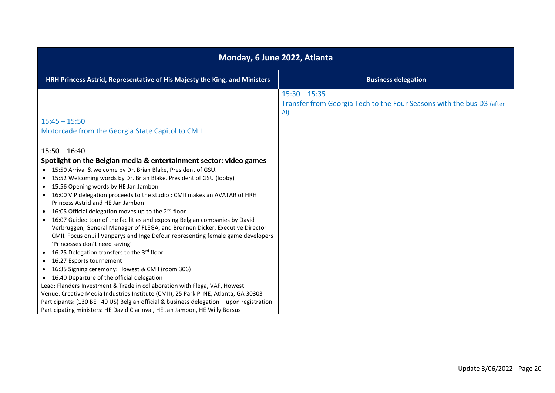| Monday, 6 June 2022, Atlanta                                                                                                                                                                                                                                                                                                                                                                                                                                                                                                                                                                                                                                                                                                                                                                                                                                                                    |                                                                                                 |
|-------------------------------------------------------------------------------------------------------------------------------------------------------------------------------------------------------------------------------------------------------------------------------------------------------------------------------------------------------------------------------------------------------------------------------------------------------------------------------------------------------------------------------------------------------------------------------------------------------------------------------------------------------------------------------------------------------------------------------------------------------------------------------------------------------------------------------------------------------------------------------------------------|-------------------------------------------------------------------------------------------------|
| HRH Princess Astrid, Representative of His Majesty the King, and Ministers                                                                                                                                                                                                                                                                                                                                                                                                                                                                                                                                                                                                                                                                                                                                                                                                                      | <b>Business delegation</b>                                                                      |
| $15:45 - 15:50$                                                                                                                                                                                                                                                                                                                                                                                                                                                                                                                                                                                                                                                                                                                                                                                                                                                                                 | $15:30 - 15:35$<br>Transfer from Georgia Tech to the Four Seasons with the bus D3 (after<br>AI) |
| Motorcade from the Georgia State Capitol to CMII                                                                                                                                                                                                                                                                                                                                                                                                                                                                                                                                                                                                                                                                                                                                                                                                                                                |                                                                                                 |
| $15:50 - 16:40$<br>Spotlight on the Belgian media & entertainment sector: video games<br>• 15:50 Arrival & welcome by Dr. Brian Blake, President of GSU.<br>• 15:52 Welcoming words by Dr. Brian Blake, President of GSU (lobby)<br>• 15:56 Opening words by HE Jan Jambon<br>• 16:00 VIP delegation proceeds to the studio : CMII makes an AVATAR of HRH<br>Princess Astrid and HE Jan Jambon<br>• 16:05 Official delegation moves up to the 2 <sup>nd</sup> floor<br>• 16:07 Guided tour of the facilities and exposing Belgian companies by David<br>Verbruggen, General Manager of FLEGA, and Brennen Dicker, Executive Director<br>CMII. Focus on Jill Vanparys and Inge Defour representing female game developers<br>'Princesses don't need saving'<br>• 16:25 Delegation transfers to the 3rd floor<br>• 16:27 Esports tournement<br>• 16:35 Signing ceremony: Howest & CMII (room 306) |                                                                                                 |
| • 16:40 Departure of the official delegation<br>Lead: Flanders Investment & Trade in collaboration with Flega, VAF, Howest                                                                                                                                                                                                                                                                                                                                                                                                                                                                                                                                                                                                                                                                                                                                                                      |                                                                                                 |
| Venue: Creative Media Industries Institute (CMII), 25 Park Pl NE, Atlanta, GA 30303<br>Participants: (130 BE+ 40 US) Belgian official & business delegation - upon registration<br>Participating ministers: HE David Clarinval, HE Jan Jambon, HE Willy Borsus                                                                                                                                                                                                                                                                                                                                                                                                                                                                                                                                                                                                                                  |                                                                                                 |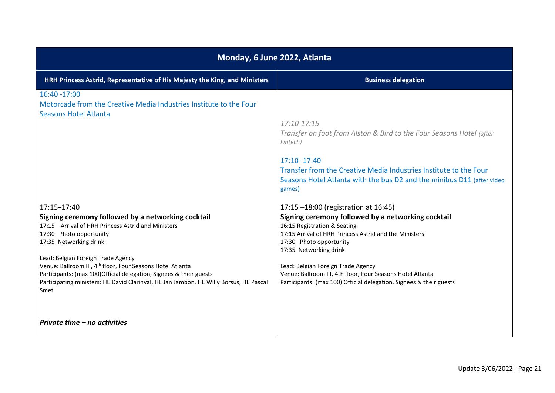| Monday, 6 June 2022, Atlanta                                                                                                                                                                                                                                                                                                                                                                                         |  |  |
|----------------------------------------------------------------------------------------------------------------------------------------------------------------------------------------------------------------------------------------------------------------------------------------------------------------------------------------------------------------------------------------------------------------------|--|--|
| <b>Business delegation</b>                                                                                                                                                                                                                                                                                                                                                                                           |  |  |
| $17:10 - 17:15$<br>Transfer on foot from Alston & Bird to the Four Seasons Hotel (after<br>17:10-17:40<br>Transfer from the Creative Media Industries Institute to the Four<br>Seasons Hotel Atlanta with the bus D2 and the minibus D11 (after video                                                                                                                                                                |  |  |
| 17:15 -18:00 (registration at 16:45)<br>Signing ceremony followed by a networking cocktail<br>16:15 Registration & Seating<br>17:15 Arrival of HRH Princess Astrid and the Ministers<br>17:30 Photo opportunity<br>17:35 Networking drink<br>Lead: Belgian Foreign Trade Agency<br>Venue: Ballroom III, 4th floor, Four Seasons Hotel Atlanta<br>Participants: (max 100) Official delegation, Signees & their guests |  |  |
|                                                                                                                                                                                                                                                                                                                                                                                                                      |  |  |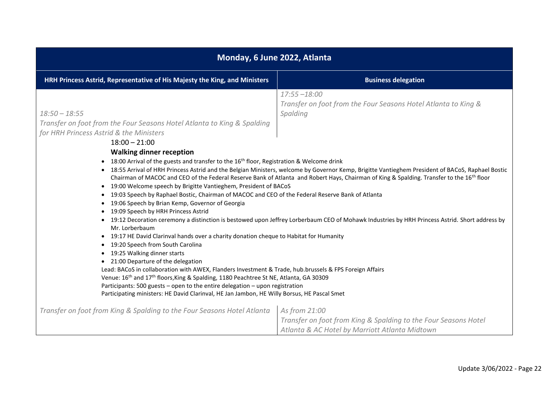| Monday, 6 June 2022, Atlanta                                                                                                                                                                                                                                                                                                                                                                                                                                                                                                                                                                                                                                                                                                                                                                                                                                                  |                                                                                                                                                                                                                                                                                                                                                                                                                                                                                                                                                               |
|-------------------------------------------------------------------------------------------------------------------------------------------------------------------------------------------------------------------------------------------------------------------------------------------------------------------------------------------------------------------------------------------------------------------------------------------------------------------------------------------------------------------------------------------------------------------------------------------------------------------------------------------------------------------------------------------------------------------------------------------------------------------------------------------------------------------------------------------------------------------------------|---------------------------------------------------------------------------------------------------------------------------------------------------------------------------------------------------------------------------------------------------------------------------------------------------------------------------------------------------------------------------------------------------------------------------------------------------------------------------------------------------------------------------------------------------------------|
| HRH Princess Astrid, Representative of His Majesty the King, and Ministers                                                                                                                                                                                                                                                                                                                                                                                                                                                                                                                                                                                                                                                                                                                                                                                                    | <b>Business delegation</b>                                                                                                                                                                                                                                                                                                                                                                                                                                                                                                                                    |
| $18:50 - 18:55$<br>Transfer on foot from the Four Seasons Hotel Atlanta to King & Spalding<br>for HRH Princess Astrid & the Ministers<br>$18:00 - 21:00$<br><b>Walking dinner reception</b><br>18:00 Arrival of the guests and transfer to the $16th$ floor, Registration & Welcome drink<br>$\bullet$<br>• 19:00 Welcome speech by Brigitte Vantieghem, President of BACoS<br>19:03 Speech by Raphael Bostic, Chairman of MACOC and CEO of the Federal Reserve Bank of Atlanta<br>$\bullet$<br>19:06 Speech by Brian Kemp, Governor of Georgia<br>$\bullet$<br>19:09 Speech by HRH Princess Astrid<br>$\bullet$<br>٠<br>Mr. Lorberbaum                                                                                                                                                                                                                                       | $17:55 - 18:00$<br>Transfer on foot from the Four Seasons Hotel Atlanta to King &<br>Spalding<br>• 18:55 Arrival of HRH Princess Astrid and the Belgian Ministers, welcome by Governor Kemp, Brigitte Vantieghem President of BACoS, Raphael Bostic<br>Chairman of MACOC and CEO of the Federal Reserve Bank of Atlanta and Robert Hays, Chairman of King & Spalding. Transfer to the 16 <sup>th</sup> floor<br>19:12 Decoration ceremony a distinction is bestowed upon Jeffrey Lorberbaum CEO of Mohawk Industries by HRH Princess Astrid. Short address by |
| 19:17 HE David Clarinval hands over a charity donation cheque to Habitat for Humanity<br>$\bullet$<br>19:20 Speech from South Carolina<br>$\bullet$<br>19:25 Walking dinner starts<br>$\bullet$<br>21:00 Departure of the delegation<br>$\bullet$<br>Lead: BACoS in collaboration with AWEX, Flanders Investment & Trade, hub.brussels & FPS Foreign Affairs<br>Venue: 16 <sup>th</sup> and 17 <sup>th</sup> floors, King & Spalding, 1180 Peachtree St NE, Atlanta, GA 30309<br>Participants: 500 guests - open to the entire delegation - upon registration<br>Participating ministers: HE David Clarinval, HE Jan Jambon, HE Willy Borsus, HE Pascal Smet<br>Transfer on foot from King & Spalding to the Four Seasons Hotel Atlanta<br>As from 21:00<br>Transfer on foot from King & Spalding to the Four Seasons Hotel<br>Atlanta & AC Hotel by Marriott Atlanta Midtown |                                                                                                                                                                                                                                                                                                                                                                                                                                                                                                                                                               |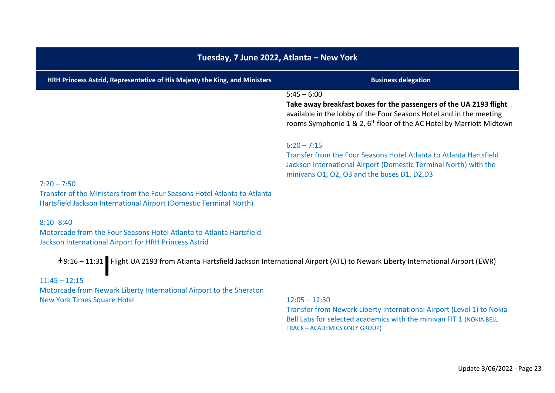| Tuesday, 7 June 2022, Atlanta - New York                                                                                                                                         |                                                                                                                                                                                                                                                                                                                                                                                                                                                          |  |
|----------------------------------------------------------------------------------------------------------------------------------------------------------------------------------|----------------------------------------------------------------------------------------------------------------------------------------------------------------------------------------------------------------------------------------------------------------------------------------------------------------------------------------------------------------------------------------------------------------------------------------------------------|--|
| HRH Princess Astrid, Representative of His Majesty the King, and Ministers                                                                                                       | <b>Business delegation</b>                                                                                                                                                                                                                                                                                                                                                                                                                               |  |
| $7:20 - 7:50$<br>Transfer of the Ministers from the Four Seasons Hotel Atlanta to Atlanta<br>Hartsfield Jackson International Airport (Domestic Terminal North)<br>$8:10 - 8:40$ | $5:45 - 6:00$<br>Take away breakfast boxes for the passengers of the UA 2193 flight<br>available in the lobby of the Four Seasons Hotel and in the meeting<br>rooms Symphonie 1 & 2, 6 <sup>th</sup> floor of the AC Hotel by Marriott Midtown<br>$6:20 - 7:15$<br>Transfer from the Four Seasons Hotel Atlanta to Atlanta Hartsfield<br>Jackson International Airport (Domestic Terminal North) with the<br>minivans O1, O2, O3 and the buses D1, D2,D3 |  |
| Motorcade from the Four Seasons Hotel Atlanta to Atlanta Hartsfield<br>Jackson International Airport for HRH Princess Astrid                                                     |                                                                                                                                                                                                                                                                                                                                                                                                                                                          |  |
| +9:16 - 11:31 Flight UA 2193 from Atlanta Hartsfield Jackson International Airport (ATL) to Newark Liberty International Airport (EWR)                                           |                                                                                                                                                                                                                                                                                                                                                                                                                                                          |  |
| $11:45 - 12:15$<br>Motorcade from Newark Liberty International Airport to the Sheraton<br><b>New York Times Square Hotel</b>                                                     | $12:05 - 12:30$<br>Transfer from Newark Liberty International Airport (Level 1) to Nokia<br>Bell Labs for selected academics with the minivan FIT 1 (NOKIA BELL<br><b>TRACK - ACADEMICS ONLY GROUP)</b>                                                                                                                                                                                                                                                  |  |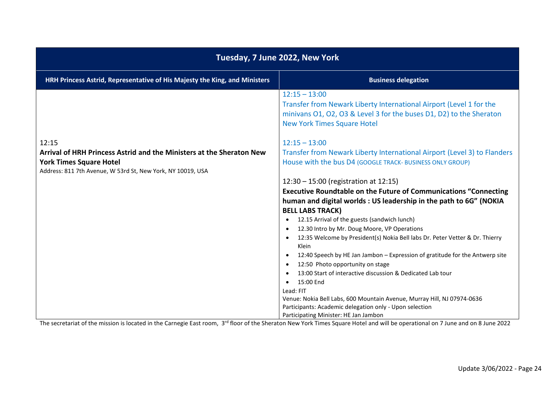| Tuesday, 7 June 2022, New York                                                                |                                                                                                                                                                                                     |
|-----------------------------------------------------------------------------------------------|-----------------------------------------------------------------------------------------------------------------------------------------------------------------------------------------------------|
| HRH Princess Astrid, Representative of His Majesty the King, and Ministers                    | <b>Business delegation</b>                                                                                                                                                                          |
|                                                                                               | $12:15 - 13:00$<br>Transfer from Newark Liberty International Airport (Level 1 for the<br>minivans O1, O2, O3 & Level 3 for the buses D1, D2) to the Sheraton<br><b>New York Times Square Hotel</b> |
| 12:15                                                                                         | $12:15 - 13:00$                                                                                                                                                                                     |
| Arrival of HRH Princess Astrid and the Ministers at the Sheraton New                          | Transfer from Newark Liberty International Airport (Level 3) to Flanders                                                                                                                            |
| <b>York Times Square Hotel</b><br>Address: 811 7th Avenue, W 53rd St, New York, NY 10019, USA | House with the bus D4 (GOOGLE TRACK- BUSINESS ONLY GROUP)                                                                                                                                           |
|                                                                                               | 12:30 - 15:00 (registration at 12:15)                                                                                                                                                               |
|                                                                                               | <b>Executive Roundtable on the Future of Communications "Connecting</b>                                                                                                                             |
|                                                                                               | human and digital worlds : US leadership in the path to 6G" (NOKIA                                                                                                                                  |
|                                                                                               | <b>BELL LABS TRACK)</b>                                                                                                                                                                             |
|                                                                                               | 12.15 Arrival of the guests (sandwich lunch)                                                                                                                                                        |
|                                                                                               | 12.30 Intro by Mr. Doug Moore, VP Operations                                                                                                                                                        |
|                                                                                               | 12:35 Welcome by President(s) Nokia Bell labs Dr. Peter Vetter & Dr. Thierry                                                                                                                        |
|                                                                                               | Klein                                                                                                                                                                                               |
|                                                                                               | 12:40 Speech by HE Jan Jambon - Expression of gratitude for the Antwerp site                                                                                                                        |
|                                                                                               | 12:50 Photo opportunity on stage                                                                                                                                                                    |
|                                                                                               | 13:00 Start of interactive discussion & Dedicated Lab tour                                                                                                                                          |
|                                                                                               | 15:00 End<br>$\bullet$<br>Lead: FIT                                                                                                                                                                 |
|                                                                                               | Venue: Nokia Bell Labs, 600 Mountain Avenue, Murray Hill, NJ 07974-0636                                                                                                                             |
|                                                                                               | Participants: Academic delegation only - Upon selection                                                                                                                                             |
|                                                                                               | Participating Minister: HE Jan Jambon                                                                                                                                                               |

The secretariat of the mission is located in the Carnegie East room, 3<sup>rd</sup> floor of the Sheraton New York Times Square Hotel and will be operational on 7 June and on 8 June 2022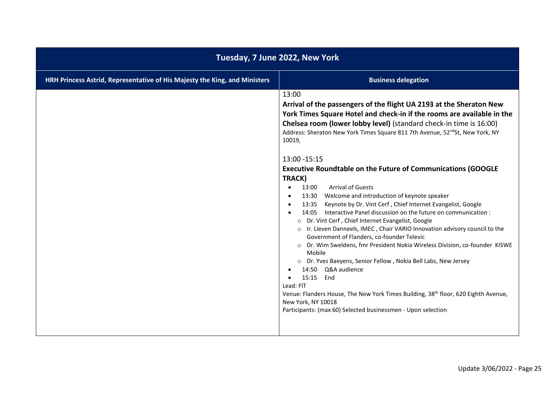| HRH Princess Astrid, Representative of His Majesty the King, and Ministers<br><b>Business delegation</b><br>13:00<br>Arrival of the passengers of the flight UA 2193 at the Sheraton New                                                                                                                                                                                                                                                                                                                                                                                                                                                                                                                                                                                                                                                                                                                                                                                                                                                                                                                                   | Tuesday, 7 June 2022, New York                                         |  |
|----------------------------------------------------------------------------------------------------------------------------------------------------------------------------------------------------------------------------------------------------------------------------------------------------------------------------------------------------------------------------------------------------------------------------------------------------------------------------------------------------------------------------------------------------------------------------------------------------------------------------------------------------------------------------------------------------------------------------------------------------------------------------------------------------------------------------------------------------------------------------------------------------------------------------------------------------------------------------------------------------------------------------------------------------------------------------------------------------------------------------|------------------------------------------------------------------------|--|
|                                                                                                                                                                                                                                                                                                                                                                                                                                                                                                                                                                                                                                                                                                                                                                                                                                                                                                                                                                                                                                                                                                                            |                                                                        |  |
| Chelsea room (lower lobby level) (standard check-in time is 16:00)<br>Address: Sheraton New York Times Square 811 7th Avenue, 52 <sup>nd</sup> St, New York, NY<br>10019,<br>13:00 - 15:15<br><b>Executive Roundtable on the Future of Communications (GOOGLE</b><br>TRACK)<br><b>Arrival of Guests</b><br>13:00<br>$\bullet$<br>13:30 Welcome and introduction of keynote speaker<br>Keynote by Dr. Vint Cerf, Chief Internet Evangelist, Google<br>13:35<br>14:05 Interactive Panel discussion on the future on communication :<br>O Dr. Vint Cerf, Chief Internet Evangelist, Google<br>o Ir. Lieven Danneels, IMEC, Chair VARIO Innovation advisory council to the<br>Government of Flanders, co-founder Televic<br>o Dr. Wim Sweldens, fmr President Nokia Wireless Division, co-founder KISWE<br>Mobile<br>o Dr. Yves Baeyens, Senior Fellow, Nokia Bell Labs, New Jersey<br>14:50 Q&A audience<br>15:15<br>End<br>Lead: FIT<br>Venue: Flanders House, The New York Times Building, 38 <sup>th</sup> floor, 620 Eighth Avenue,<br>New York, NY 10018<br>Participants: (max 60) Selected businessmen - Upon selection | York Times Square Hotel and check-in if the rooms are available in the |  |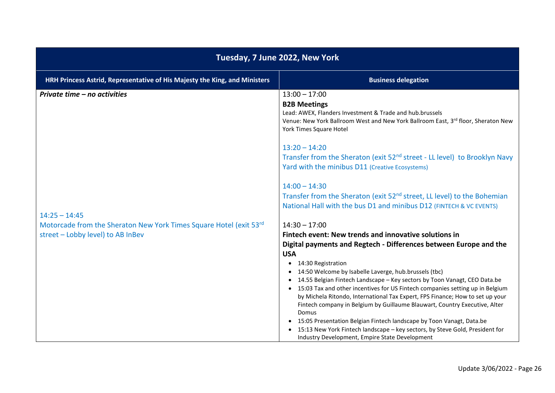| Tuesday, 7 June 2022, New York                                                                                                                              |                                                                                                                                                                                                                                                                                                                                                                                                                                                                                                                                                                                                                                                                                                                     |
|-------------------------------------------------------------------------------------------------------------------------------------------------------------|---------------------------------------------------------------------------------------------------------------------------------------------------------------------------------------------------------------------------------------------------------------------------------------------------------------------------------------------------------------------------------------------------------------------------------------------------------------------------------------------------------------------------------------------------------------------------------------------------------------------------------------------------------------------------------------------------------------------|
| HRH Princess Astrid, Representative of His Majesty the King, and Ministers                                                                                  | <b>Business delegation</b>                                                                                                                                                                                                                                                                                                                                                                                                                                                                                                                                                                                                                                                                                          |
| Private time - no activities<br>$14:25 - 14:45$<br>Motorcade from the Sheraton New York Times Square Hotel (exit 53rd)<br>street - Lobby level) to AB InBev | $13:00 - 17:00$<br><b>B2B Meetings</b><br>Lead: AWEX, Flanders Investment & Trade and hub.brussels<br>Venue: New York Ballroom West and New York Ballroom East, 3rd floor, Sheraton New<br>York Times Square Hotel<br>$13:20 - 14:20$<br>Transfer from the Sheraton (exit 52 <sup>nd</sup> street - LL level) to Brooklyn Navy<br>Yard with the minibus D11 (Creative Ecosystems)<br>$14:00 - 14:30$<br>Transfer from the Sheraton (exit 52 <sup>nd</sup> street, LL level) to the Bohemian<br>National Hall with the bus D1 and minibus D12 (FINTECH & VC EVENTS)<br>$14:30 - 17:00$<br>Fintech event: New trends and innovative solutions in<br>Digital payments and Regtech - Differences between Europe and the |
|                                                                                                                                                             | <b>USA</b><br>14:30 Registration<br>$\bullet$<br>14:50 Welcome by Isabelle Laverge, hub.brussels (tbc)<br>$\bullet$<br>14.55 Belgian Fintech Landscape - Key sectors by Toon Vanagt, CEO Data.be<br>$\bullet$<br>• 15:03 Tax and other incentives for US Fintech companies setting up in Belgium<br>by Michela Ritondo, International Tax Expert, FPS Finance; How to set up your<br>Fintech company in Belgium by Guillaume Blauwart, Country Executive, Alter<br>Domus<br>• 15:05 Presentation Belgian Fintech landscape by Toon Vanagt, Data.be<br>15:13 New York Fintech landscape - key sectors, by Steve Gold, President for<br>Industry Development, Empire State Development                                |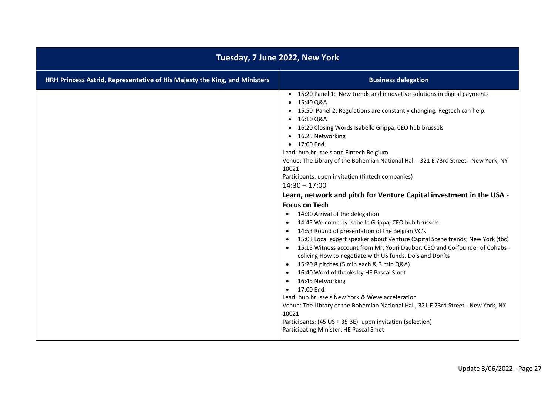| Tuesday, 7 June 2022, New York                                             |                                                                                                                                                                                                                                                                                                                                                                                                                                                                                                                                                                                                                                                                                                                                                                                                                                                                                                                                                                                                                                                                                                                                                                                                                                                                                                                                                                                          |
|----------------------------------------------------------------------------|------------------------------------------------------------------------------------------------------------------------------------------------------------------------------------------------------------------------------------------------------------------------------------------------------------------------------------------------------------------------------------------------------------------------------------------------------------------------------------------------------------------------------------------------------------------------------------------------------------------------------------------------------------------------------------------------------------------------------------------------------------------------------------------------------------------------------------------------------------------------------------------------------------------------------------------------------------------------------------------------------------------------------------------------------------------------------------------------------------------------------------------------------------------------------------------------------------------------------------------------------------------------------------------------------------------------------------------------------------------------------------------|
| HRH Princess Astrid, Representative of His Majesty the King, and Ministers | <b>Business delegation</b>                                                                                                                                                                                                                                                                                                                                                                                                                                                                                                                                                                                                                                                                                                                                                                                                                                                                                                                                                                                                                                                                                                                                                                                                                                                                                                                                                               |
|                                                                            | • 15:20 Panel 1: New trends and innovative solutions in digital payments<br>15:40 Q&A<br>15:50 Panel 2: Regulations are constantly changing. Regtech can help.<br>16:10 Q&A<br>16:20 Closing Words Isabelle Grippa, CEO hub.brussels<br>$\bullet$<br>16.25 Networking<br>• 17:00 End<br>Lead: hub.brussels and Fintech Belgium<br>Venue: The Library of the Bohemian National Hall - 321 E 73rd Street - New York, NY<br>10021<br>Participants: upon invitation (fintech companies)<br>$14:30 - 17:00$<br>Learn, network and pitch for Venture Capital investment in the USA -<br><b>Focus on Tech</b><br>14:30 Arrival of the delegation<br>$\bullet$<br>14:45 Welcome by Isabelle Grippa, CEO hub.brussels<br>14:53 Round of presentation of the Belgian VC's<br>15:03 Local expert speaker about Venture Capital Scene trends, New York (tbc)<br>15:15 Witness account from Mr. Youri Dauber, CEO and Co-founder of Cohabs -<br>coliving How to negotiate with US funds. Do's and Don'ts<br>15:20 8 pitches (5 min each & 3 min Q&A)<br>$\bullet$<br>16:40 Word of thanks by HE Pascal Smet<br>16:45 Networking<br>17:00 End<br>Lead: hub.brussels New York & Weve acceleration<br>Venue: The Library of the Bohemian National Hall, 321 E 73rd Street - New York, NY<br>10021<br>Participants: (45 US + 35 BE)-upon invitation (selection)<br>Participating Minister: HE Pascal Smet |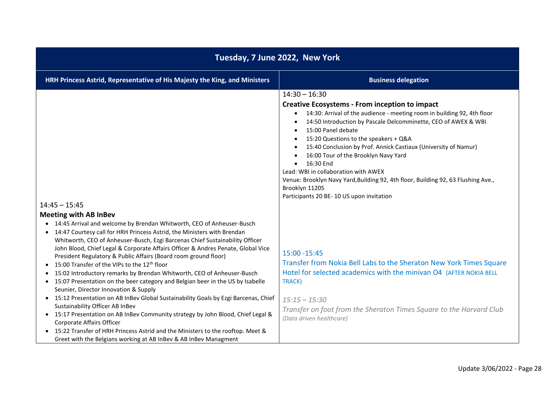| Tuesday, 7 June 2022, New York                                                                                                                                                                                                                                                                                                                                                                                                                                                                                                                                                                                                                                                                                                                                                                                                                                                                                                                                                                                                                                                                                                                                                      |                                                                                                                                                                                                                                                                                                                                                                                                                                                                                                                                                                                                                                   |  |
|-------------------------------------------------------------------------------------------------------------------------------------------------------------------------------------------------------------------------------------------------------------------------------------------------------------------------------------------------------------------------------------------------------------------------------------------------------------------------------------------------------------------------------------------------------------------------------------------------------------------------------------------------------------------------------------------------------------------------------------------------------------------------------------------------------------------------------------------------------------------------------------------------------------------------------------------------------------------------------------------------------------------------------------------------------------------------------------------------------------------------------------------------------------------------------------|-----------------------------------------------------------------------------------------------------------------------------------------------------------------------------------------------------------------------------------------------------------------------------------------------------------------------------------------------------------------------------------------------------------------------------------------------------------------------------------------------------------------------------------------------------------------------------------------------------------------------------------|--|
| HRH Princess Astrid, Representative of His Majesty the King, and Ministers                                                                                                                                                                                                                                                                                                                                                                                                                                                                                                                                                                                                                                                                                                                                                                                                                                                                                                                                                                                                                                                                                                          | <b>Business delegation</b>                                                                                                                                                                                                                                                                                                                                                                                                                                                                                                                                                                                                        |  |
| $14:45 - 15:45$                                                                                                                                                                                                                                                                                                                                                                                                                                                                                                                                                                                                                                                                                                                                                                                                                                                                                                                                                                                                                                                                                                                                                                     | $14:30 - 16:30$<br><b>Creative Ecosystems - From inception to impact</b><br>14:30: Arrival of the audience - meeting room in building 92, 4th floor<br>$\bullet$<br>14:50 Introduction by Pascale Delcomminette, CEO of AWEX & WBI<br>15:00 Panel debate<br>$\bullet$<br>15:20 Questions to the speakers + Q&A<br>15:40 Conclusion by Prof. Annick Castiaux (University of Namur)<br>16:00 Tour of the Brooklyn Navy Yard<br>16:30 End<br>Lead: WBI in collaboration with AWEX<br>Venue: Brooklyn Navy Yard, Building 92, 4th floor, Building 92, 63 Flushing Ave.,<br>Brooklyn 11205<br>Participants 20 BE-10 US upon invitation |  |
| <b>Meeting with AB InBev</b><br>14:45 Arrival and welcome by Brendan Whitworth, CEO of Anheuser-Busch<br>$\bullet$<br>14:47 Courtesy call for HRH Princess Astrid, the Ministers with Brendan<br>$\bullet$<br>Whitworth, CEO of Anheuser-Busch, Ezgi Barcenas Chief Sustainability Officer<br>John Blood, Chief Legal & Corporate Affairs Officer & Andres Penate, Global Vice<br>President Regulatory & Public Affairs (Board room ground floor)<br>15:00 Transfer of the VIPs to the 12 <sup>th</sup> floor<br>$\bullet$<br>15:02 Introductory remarks by Brendan Whitworth, CEO of Anheuser-Busch<br>$\bullet$<br>15:07 Presentation on the beer category and Belgian beer in the US by Isabelle<br>$\bullet$<br>Seunier, Director Innovation & Supply<br>15:12 Presentation on AB InBev Global Sustainability Goals by Ezgi Barcenas, Chief<br>$\bullet$<br>Sustainability Officer AB InBev<br>• 15:17 Presentation on AB InBev Community strategy by John Blood, Chief Legal &<br>Corporate Affairs Officer<br>15:22 Transfer of HRH Princess Astrid and the Ministers to the rooftop. Meet &<br>$\bullet$<br>Greet with the Belgians working at AB InBev & AB InBev Managment | 15:00 - 15:45<br>Transfer from Nokia Bell Labs to the Sheraton New York Times Square<br>Hotel for selected academics with the minivan O4 (AFTER NOKIA BELL<br>TRACK)<br>$15:15 - 15:30$<br>Transfer on foot from the Sheraton Times Square to the Harvard Club<br>(Data driven healthcare)                                                                                                                                                                                                                                                                                                                                        |  |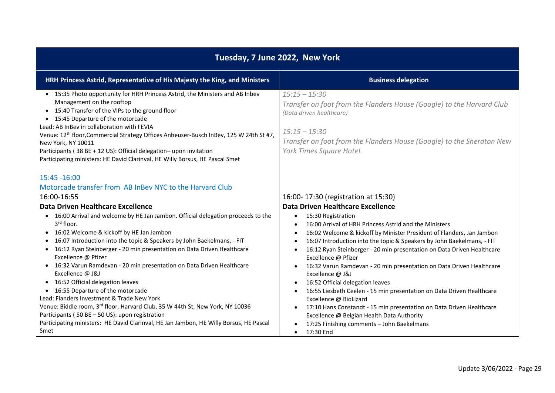| Tuesday, 7 June 2022, New York                                                                                                                                                                                                                                                                                                                                                                                                                                                                                                                                                                                                                                                                                                                                                                                                                                                                                                                               |                                                                                                                                                                                                                                                                                                                                                                                                                                                                                                                                                                                                                                                                                                                                                                                                                                                                                      |
|--------------------------------------------------------------------------------------------------------------------------------------------------------------------------------------------------------------------------------------------------------------------------------------------------------------------------------------------------------------------------------------------------------------------------------------------------------------------------------------------------------------------------------------------------------------------------------------------------------------------------------------------------------------------------------------------------------------------------------------------------------------------------------------------------------------------------------------------------------------------------------------------------------------------------------------------------------------|--------------------------------------------------------------------------------------------------------------------------------------------------------------------------------------------------------------------------------------------------------------------------------------------------------------------------------------------------------------------------------------------------------------------------------------------------------------------------------------------------------------------------------------------------------------------------------------------------------------------------------------------------------------------------------------------------------------------------------------------------------------------------------------------------------------------------------------------------------------------------------------|
| HRH Princess Astrid, Representative of His Majesty the King, and Ministers                                                                                                                                                                                                                                                                                                                                                                                                                                                                                                                                                                                                                                                                                                                                                                                                                                                                                   | <b>Business delegation</b>                                                                                                                                                                                                                                                                                                                                                                                                                                                                                                                                                                                                                                                                                                                                                                                                                                                           |
| • 15:35 Photo opportunity for HRH Princess Astrid, the Ministers and AB Inbev<br>Management on the rooftop<br>• 15:40 Transfer of the VIPs to the ground floor<br>• 15:45 Departure of the motorcade<br>Lead: AB InBev in collaboration with FEVIA<br>Venue: 12 <sup>th</sup> floor, Commercial Strategy Offices Anheuser-Busch InBev, 125 W 24th St #7,<br>New York, NY 10011<br>Participants (38 BE + 12 US): Official delegation- upon invitation<br>Participating ministers: HE David Clarinval, HE Willy Borsus, HE Pascal Smet                                                                                                                                                                                                                                                                                                                                                                                                                         | $15:15 - 15:30$<br>Transfer on foot from the Flanders House (Google) to the Harvard Club<br>(Data driven healthcare)<br>$15:15 - 15:30$<br>Transfer on foot from the Flanders House (Google) to the Sheraton New<br>York Times Square Hotel.                                                                                                                                                                                                                                                                                                                                                                                                                                                                                                                                                                                                                                         |
| $15:45 - 16:00$<br>Motorcade transfer from AB InBey NYC to the Harvard Club<br>16:00-16:55<br>Data Driven Healthcare Excellence<br>• 16:00 Arrival and welcome by HE Jan Jambon. Official delegation proceeds to the<br>3rd floor.<br>16:02 Welcome & kickoff by HE Jan Jambon<br>$\bullet$<br>16:07 Introduction into the topic & Speakers by John Baekelmans, - FIT<br>$\bullet$<br>16:12 Ryan Steinberger - 20 min presentation on Data Driven Healthcare<br>Excellence @ Pfizer<br>• 16:32 Varun Ramdevan - 20 min presentation on Data Driven Healthcare<br>Excellence @ J&J<br>• 16:52 Official delegation leaves<br>16:55 Departure of the motorcade<br>$\bullet$<br>Lead: Flanders Investment & Trade New York<br>Venue: Biddle room, 3rd floor, Harvard Club, 35 W 44th St, New York, NY 10036<br>Participants (50 BE - 50 US): upon registration<br>Participating ministers: HE David Clarinval, HE Jan Jambon, HE Willy Borsus, HE Pascal<br>Smet | 16:00-17:30 (registration at 15:30)<br>Data Driven Healthcare Excellence<br>15:30 Registration<br>$\bullet$<br>16:00 Arrival of HRH Princess Astrid and the Ministers<br>16:02 Welcome & kickoff by Minister President of Flanders, Jan Jambon<br>16:07 Introduction into the topic & Speakers by John Baekelmans, - FIT<br>16:12 Ryan Steinberger - 20 min presentation on Data Driven Healthcare<br>Excellence @ Pfizer<br>16:32 Varun Ramdevan - 20 min presentation on Data Driven Healthcare<br>$\bullet$<br>Excellence @ J&J<br>16:52 Official delegation leaves<br>16:55 Liesbeth Ceelen - 15 min presentation on Data Driven Healthcare<br>Excellence @ BioLizard<br>17:10 Hans Constandt - 15 min presentation on Data Driven Healthcare<br>$\bullet$<br>Excellence @ Belgian Health Data Authority<br>17:25 Finishing comments - John Baekelmans<br>17:30 End<br>$\bullet$ |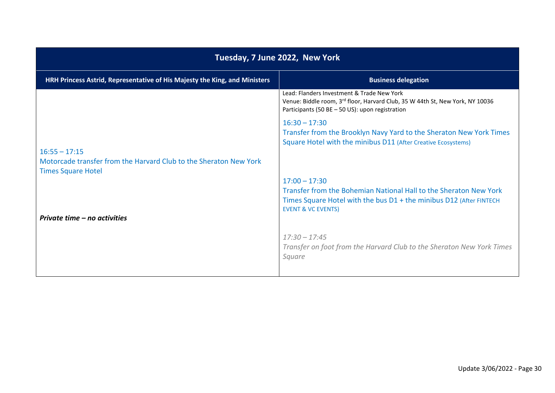| Tuesday, 7 June 2022, New York                                                                                    |                                                                                                                                                                                              |
|-------------------------------------------------------------------------------------------------------------------|----------------------------------------------------------------------------------------------------------------------------------------------------------------------------------------------|
| HRH Princess Astrid, Representative of His Majesty the King, and Ministers                                        | <b>Business delegation</b>                                                                                                                                                                   |
|                                                                                                                   | Lead: Flanders Investment & Trade New York<br>Venue: Biddle room, 3rd floor, Harvard Club, 35 W 44th St, New York, NY 10036<br>Participants (50 BE - 50 US): upon registration               |
|                                                                                                                   | $16:30 - 17:30$<br>Transfer from the Brooklyn Navy Yard to the Sheraton New York Times<br>Square Hotel with the minibus D11 (After Creative Ecosystems)                                      |
| $16:55 - 17:15$<br>Motorcade transfer from the Harvard Club to the Sheraton New York<br><b>Times Square Hotel</b> |                                                                                                                                                                                              |
|                                                                                                                   | $17:00 - 17:30$<br>Transfer from the Bohemian National Hall to the Sheraton New York<br>Times Square Hotel with the bus D1 + the minibus D12 (After FINTECH<br><b>EVENT &amp; VC EVENTS)</b> |
| Private time – no activities                                                                                      |                                                                                                                                                                                              |
|                                                                                                                   | $17:30 - 17:45$<br>Transfer on foot from the Harvard Club to the Sheraton New York Times<br>Square                                                                                           |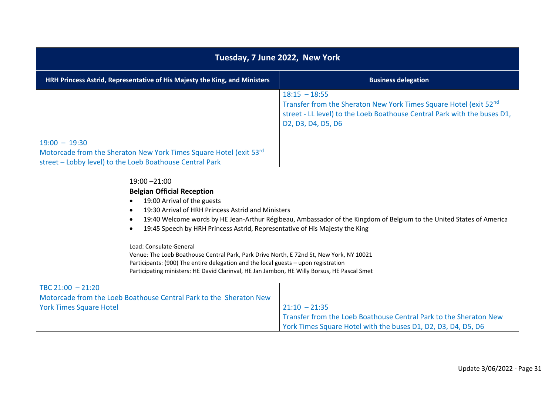| Tuesday, 7 June 2022, New York                                                                                                                                                                                                                                                                                                                                                                                                                                                                                                                               |                                                                                                                                                                                        |
|--------------------------------------------------------------------------------------------------------------------------------------------------------------------------------------------------------------------------------------------------------------------------------------------------------------------------------------------------------------------------------------------------------------------------------------------------------------------------------------------------------------------------------------------------------------|----------------------------------------------------------------------------------------------------------------------------------------------------------------------------------------|
| HRH Princess Astrid, Representative of His Majesty the King, and Ministers                                                                                                                                                                                                                                                                                                                                                                                                                                                                                   | <b>Business delegation</b>                                                                                                                                                             |
|                                                                                                                                                                                                                                                                                                                                                                                                                                                                                                                                                              | $18:15 - 18:55$<br>Transfer from the Sheraton New York Times Square Hotel (exit 52nd<br>street - LL level) to the Loeb Boathouse Central Park with the buses D1,<br>D2, D3, D4, D5, D6 |
| $19:00 - 19:30$                                                                                                                                                                                                                                                                                                                                                                                                                                                                                                                                              |                                                                                                                                                                                        |
| Motorcade from the Sheraton New York Times Square Hotel (exit 53rd)<br>street - Lobby level) to the Loeb Boathouse Central Park                                                                                                                                                                                                                                                                                                                                                                                                                              |                                                                                                                                                                                        |
| $19:00 - 21:00$<br><b>Belgian Official Reception</b><br>19:00 Arrival of the guests<br>19:30 Arrival of HRH Princess Astrid and Ministers<br>19:40 Welcome words by HE Jean-Arthur Régibeau, Ambassador of the Kingdom of Belgium to the United States of America<br>19:45 Speech by HRH Princess Astrid, Representative of His Majesty the King<br>Lead: Consulate General<br>Venue: The Loeb Boathouse Central Park, Park Drive North, E 72nd St, New York, NY 10021<br>Participants: (900) The entire delegation and the local guests - upon registration |                                                                                                                                                                                        |
| Participating ministers: HE David Clarinval, HE Jan Jambon, HE Willy Borsus, HE Pascal Smet                                                                                                                                                                                                                                                                                                                                                                                                                                                                  |                                                                                                                                                                                        |
| TBC $21:00 - 21:20$                                                                                                                                                                                                                                                                                                                                                                                                                                                                                                                                          |                                                                                                                                                                                        |
| Motorcade from the Loeb Boathouse Central Park to the Sheraton New                                                                                                                                                                                                                                                                                                                                                                                                                                                                                           |                                                                                                                                                                                        |
| <b>York Times Square Hotel</b>                                                                                                                                                                                                                                                                                                                                                                                                                                                                                                                               | $21:10 - 21:35$<br>Transfer from the Loeb Boathouse Central Park to the Sheraton New                                                                                                   |
|                                                                                                                                                                                                                                                                                                                                                                                                                                                                                                                                                              | York Times Square Hotel with the buses D1, D2, D3, D4, D5, D6                                                                                                                          |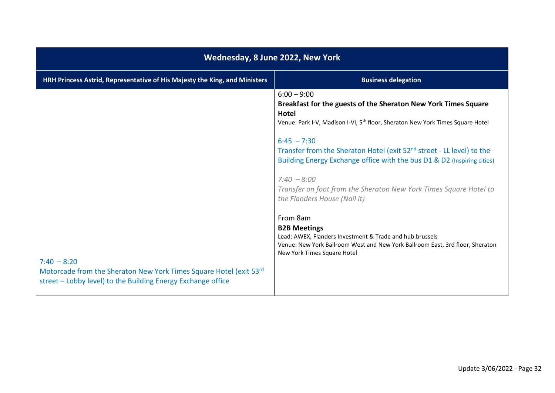| Wednesday, 8 June 2022, New York                                                                                                                                                                                                                           |                                                                                                                                                                                                                                                                                                                                                                                                                                                                                                                                                                                                               |
|------------------------------------------------------------------------------------------------------------------------------------------------------------------------------------------------------------------------------------------------------------|---------------------------------------------------------------------------------------------------------------------------------------------------------------------------------------------------------------------------------------------------------------------------------------------------------------------------------------------------------------------------------------------------------------------------------------------------------------------------------------------------------------------------------------------------------------------------------------------------------------|
| HRH Princess Astrid, Representative of His Majesty the King, and Ministers                                                                                                                                                                                 | <b>Business delegation</b>                                                                                                                                                                                                                                                                                                                                                                                                                                                                                                                                                                                    |
| $6:00 - 9:00$<br><b>Hotel</b><br>$6:45 - 7:30$<br>$7:40 - 8:00$<br>From 8am<br><b>B2B Meetings</b><br>$7:40 - 8:20$<br>Motorcade from the Sheraton New York Times Square Hotel (exit 53rd)<br>street - Lobby level) to the Building Energy Exchange office | Breakfast for the guests of the Sheraton New York Times Square<br>Venue: Park I-V, Madison I-VI, 5 <sup>th</sup> floor, Sheraton New York Times Square Hotel<br>Transfer from the Sheraton Hotel (exit 52 <sup>nd</sup> street - LL level) to the<br>Building Energy Exchange office with the bus D1 & D2 (Inspiring cities)<br>Transfer on foot from the Sheraton New York Times Square Hotel to<br>the Flanders House (Nail it)<br>Lead: AWEX, Flanders Investment & Trade and hub.brussels<br>Venue: New York Ballroom West and New York Ballroom East, 3rd floor, Sheraton<br>New York Times Square Hotel |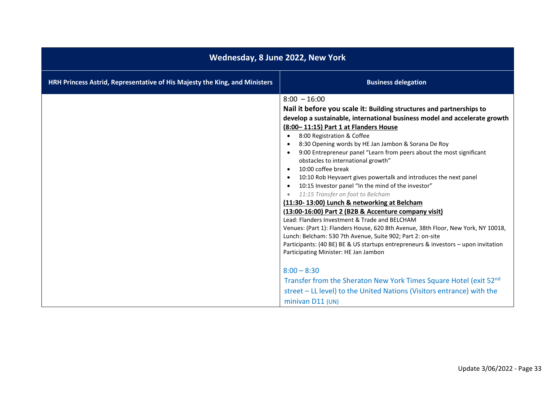| Wednesday, 8 June 2022, New York                                           |                                                                                                                                                                                                                                                                                                                                                                                                                                                                                                                                                                                                                                                                                                                                                                                                                                                                                                                                                                                                                                                                                                                                                                                                                |
|----------------------------------------------------------------------------|----------------------------------------------------------------------------------------------------------------------------------------------------------------------------------------------------------------------------------------------------------------------------------------------------------------------------------------------------------------------------------------------------------------------------------------------------------------------------------------------------------------------------------------------------------------------------------------------------------------------------------------------------------------------------------------------------------------------------------------------------------------------------------------------------------------------------------------------------------------------------------------------------------------------------------------------------------------------------------------------------------------------------------------------------------------------------------------------------------------------------------------------------------------------------------------------------------------|
| HRH Princess Astrid, Representative of His Majesty the King, and Ministers | <b>Business delegation</b>                                                                                                                                                                                                                                                                                                                                                                                                                                                                                                                                                                                                                                                                                                                                                                                                                                                                                                                                                                                                                                                                                                                                                                                     |
|                                                                            | $8:00 - 16:00$<br>Nail it before you scale it: Building structures and partnerships to<br>develop a sustainable, international business model and accelerate growth<br>(8:00-11:15) Part 1 at Flanders House<br>8:00 Registration & Coffee<br>8:30 Opening words by HE Jan Jambon & Sorana De Roy<br>9:00 Entrepreneur panel "Learn from peers about the most significant<br>obstacles to international growth"<br>10:00 coffee break<br>10:10 Rob Heyvaert gives powertalk and introduces the next panel<br>10:15 Investor panel "In the mind of the investor"<br>11:15 Transfer on foot to Belcham<br>(11:30-13:00) Lunch & networking at Belcham<br>(13:00-16:00) Part 2 (B2B & Accenture company visit)<br>Lead: Flanders Investment & Trade and BELCHAM<br>Venues: (Part 1): Flanders House, 620 8th Avenue, 38th Floor, New York, NY 10018,<br>Lunch: Belcham: 530 7th Avenue, Suite 902; Part 2: on-site<br>Participants: (40 BE) BE & US startups entrepreneurs & investors - upon invitation<br>Participating Minister: HE Jan Jambon<br>$8:00 - 8:30$<br>Transfer from the Sheraton New York Times Square Hotel (exit 52nd)<br>street - LL level) to the United Nations (Visitors entrance) with the |
|                                                                            | minivan $D11$ (UN)                                                                                                                                                                                                                                                                                                                                                                                                                                                                                                                                                                                                                                                                                                                                                                                                                                                                                                                                                                                                                                                                                                                                                                                             |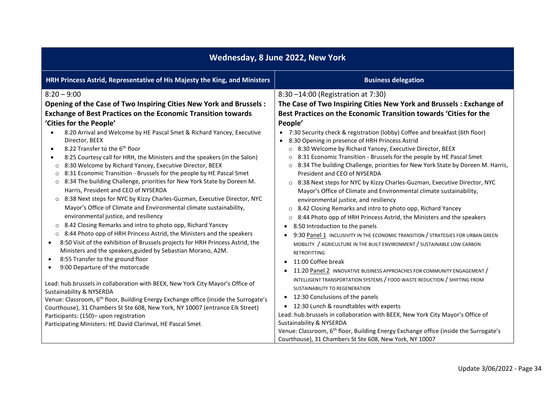| HRH Princess Astrid, Representative of His Majesty the King, and Ministers<br><b>Business delegation</b><br>$8:20 - 9:00$<br>8:30 -14:00 (Registration at 7:30)<br>Opening of the Case of Two Inspiring Cities New York and Brussels :<br>The Case of Two Inspiring Cities New York and Brussels: Exchange of<br>Best Practices on the Economic Transition towards 'Cities for the<br><b>Exchange of Best Practices on the Economic Transition towards</b><br>'Cities for the People'<br>People'<br>8:20 Arrival and Welcome by HE Pascal Smet & Richard Yancey, Executive<br>• 7:30 Security check & registration (lobby) Coffee and breakfast (6th floor)<br>$\bullet$<br>Director, BEEX<br>• 8:30 Opening in presence of HRH Princess Astrid<br>8.22 Transfer to the 6 <sup>th</sup> floor<br>8:30 Welcome by Richard Yancey, Executive Director, BEEX<br>$\bullet$<br>$\circ$<br>8:31 Economic Transition - Brussels for the people by HE Pascal Smet<br>8:25 Courtesy call for HRH, the Ministers and the speakers (in the Salon)<br>$\bullet$<br>8:30 Welcome by Richard Yancey, Executive Director, BEEX<br>8:34 The building Challenge, priorities for New York State by Doreen M. Harris,<br>$\circ$<br>$\circ$<br>8:31 Economic Transition - Brussels for the people by HE Pascal Smet<br>President and CEO of NYSERDA<br>$\circ$<br>8:34 The building Challenge, priorities for New York State by Doreen M.<br>$\circ$<br>8:38 Next steps for NYC by Kizzy Charles-Guzman, Executive Director, NYC<br>$\circ$<br>Harris, President and CEO of NYSERDA<br>Mayor's Office of Climate and Environmental climate sustainability,<br>○ 8:38 Next steps for NYC by Kizzy Charles-Guzman, Executive Director, NYC<br>environmental justice, and resiliency<br>Mayor's Office of Climate and Environmental climate sustainability,<br>8.42 Closing Remarks and intro to photo opp, Richard Yancey<br>$\circ$<br>environmental justice, and resiliency<br>8:44 Photo opp of HRH Princess Astrid, the Ministers and the speakers<br>$\circ$<br>8.42 Closing Remarks and intro to photo opp, Richard Yancey<br>$\circ$<br>8:50 Introduction to the panels<br>$\bullet$<br>8:44 Photo opp of HRH Princess Astrid, the Ministers and the speakers<br>$\circ$<br>9:30 Panel 1 INCLUSIVITY IN THE ECONOMIC TRANSITION / STRATEGIES FOR URBAN GREEN<br>8:50 Visit of the exhibition of Brussels projects for HRH Princess Astrid, the<br>$\bullet$<br>MOBILITY / AGRICULTURE IN THE BUILT ENVIRONMENT / SUSTAINABLE LOW CARBON<br>Ministers and the speakers, guided by Sebastian Morano, A2M.<br><b>RETROFITTING</b><br>8:55 Transfer to the ground floor<br>$\bullet$<br>11:00 Coffee break<br>$\bullet$<br>9:00 Departure of the motorcade<br>$\bullet$<br>11:20 Panel 2 INNOVATIVE BUSINESS APPROACHES FOR COMMUNITY ENGAGEMENT /<br>$\bullet$<br>INTELLIGENT TRANSPORTATION SYSTEMS / FOOD WASTE REDUCTION / SHIFTING FROM<br>Lead: hub.brussels in collaboration with BEEX, New York City Mayor's Office of<br>SUSTAINABILITY TO REGENERATION<br>Sustainability & NYSERDA<br>12:30 Conclusions of the panels<br>$\bullet$<br>Venue: Classroom, 6 <sup>th</sup> floor, Building Energy Exchange office (inside the Surrogate's |                                                         | Wednesday, 8 June 2022, New York                                              |                                          |
|--------------------------------------------------------------------------------------------------------------------------------------------------------------------------------------------------------------------------------------------------------------------------------------------------------------------------------------------------------------------------------------------------------------------------------------------------------------------------------------------------------------------------------------------------------------------------------------------------------------------------------------------------------------------------------------------------------------------------------------------------------------------------------------------------------------------------------------------------------------------------------------------------------------------------------------------------------------------------------------------------------------------------------------------------------------------------------------------------------------------------------------------------------------------------------------------------------------------------------------------------------------------------------------------------------------------------------------------------------------------------------------------------------------------------------------------------------------------------------------------------------------------------------------------------------------------------------------------------------------------------------------------------------------------------------------------------------------------------------------------------------------------------------------------------------------------------------------------------------------------------------------------------------------------------------------------------------------------------------------------------------------------------------------------------------------------------------------------------------------------------------------------------------------------------------------------------------------------------------------------------------------------------------------------------------------------------------------------------------------------------------------------------------------------------------------------------------------------------------------------------------------------------------------------------------------------------------------------------------------------------------------------------------------------------------------------------------------------------------------------------------------------------------------------------------------------------------------------------------------------------------------------------------------------------------------------------------------------------------------------------------------------------------------------------------------------------------------------------------------------------------------------------------------------------------------------------------------------------------|---------------------------------------------------------|-------------------------------------------------------------------------------|------------------------------------------|
|                                                                                                                                                                                                                                                                                                                                                                                                                                                                                                                                                                                                                                                                                                                                                                                                                                                                                                                                                                                                                                                                                                                                                                                                                                                                                                                                                                                                                                                                                                                                                                                                                                                                                                                                                                                                                                                                                                                                                                                                                                                                                                                                                                                                                                                                                                                                                                                                                                                                                                                                                                                                                                                                                                                                                                                                                                                                                                                                                                                                                                                                                                                                                                                                                                |                                                         |                                                                               |                                          |
| Lead: hub.brussels in collaboration with BEEX, New York City Mayor's Office of<br>Participants: (150)- upon registration<br>Sustainability & NYSERDA<br>Participating Ministers: HE David Clarinval, HE Pascal Smet<br>Venue: Classroom, 6 <sup>th</sup> floor, Building Energy Exchange office (inside the Surrogate's                                                                                                                                                                                                                                                                                                                                                                                                                                                                                                                                                                                                                                                                                                                                                                                                                                                                                                                                                                                                                                                                                                                                                                                                                                                                                                                                                                                                                                                                                                                                                                                                                                                                                                                                                                                                                                                                                                                                                                                                                                                                                                                                                                                                                                                                                                                                                                                                                                                                                                                                                                                                                                                                                                                                                                                                                                                                                                        | Courthouse), 31 Chambers St Ste 608, New York, NY 10007 | Courthouse), 31 Chambers St Ste 608, New York, NY 10007 (entrance Elk Street) | • 12:30 Lunch & roundtables with experts |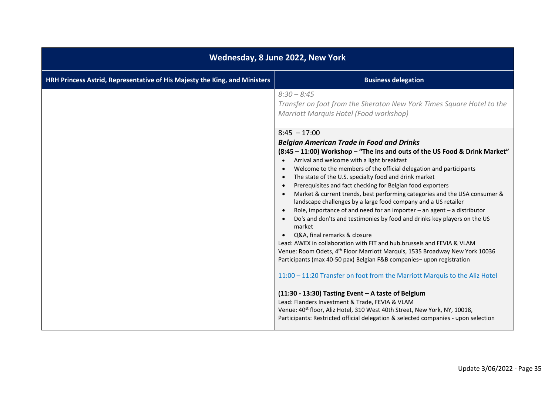| Wednesday, 8 June 2022, New York                                           |                                                                                                                                                                                                                                                                                                                                                                                                                                                                                                                                                                                                                                                                         |
|----------------------------------------------------------------------------|-------------------------------------------------------------------------------------------------------------------------------------------------------------------------------------------------------------------------------------------------------------------------------------------------------------------------------------------------------------------------------------------------------------------------------------------------------------------------------------------------------------------------------------------------------------------------------------------------------------------------------------------------------------------------|
| HRH Princess Astrid, Representative of His Majesty the King, and Ministers | <b>Business delegation</b>                                                                                                                                                                                                                                                                                                                                                                                                                                                                                                                                                                                                                                              |
|                                                                            | $8:30 - 8:45$<br>Transfer on foot from the Sheraton New York Times Square Hotel to the<br>Marriott Marquis Hotel (Food workshop)<br>$8:45 - 17:00$<br><b>Belgian American Trade in Food and Drinks</b>                                                                                                                                                                                                                                                                                                                                                                                                                                                                  |
|                                                                            | (8:45 - 11:00) Workshop - "The ins and outs of the US Food & Drink Market"<br>Arrival and welcome with a light breakfast<br>Welcome to the members of the official delegation and participants<br>The state of the U.S. specialty food and drink market<br>$\bullet$<br>Prerequisites and fact checking for Belgian food exporters<br>$\bullet$<br>Market & current trends, best performing categories and the USA consumer &<br>landscape challenges by a large food company and a US retailer<br>Role, importance of and need for an importer $-$ an agent $-$ a distributor<br>$\bullet$<br>Do's and don'ts and testimonies by food and drinks key players on the US |
|                                                                            | market<br>Q&A, final remarks & closure<br>Lead: AWEX in collaboration with FIT and hub.brussels and FEVIA & VLAM<br>Venue: Room Odets, 4 <sup>th</sup> Floor Marriott Marquis, 1535 Broadway New York 10036<br>Participants (max 40-50 pax) Belgian F&B companies-upon registration<br>11:00 - 11:20 Transfer on foot from the Marriott Marquis to the Aliz Hotel                                                                                                                                                                                                                                                                                                       |
|                                                                            | (11:30 - 13:30) Tasting Event - A taste of Belgium<br>Lead: Flanders Investment & Trade, FEVIA & VLAM<br>Venue: 40 <sup>st</sup> floor, Aliz Hotel, 310 West 40th Street, New York, NY, 10018,<br>Participants: Restricted official delegation & selected companies - upon selection                                                                                                                                                                                                                                                                                                                                                                                    |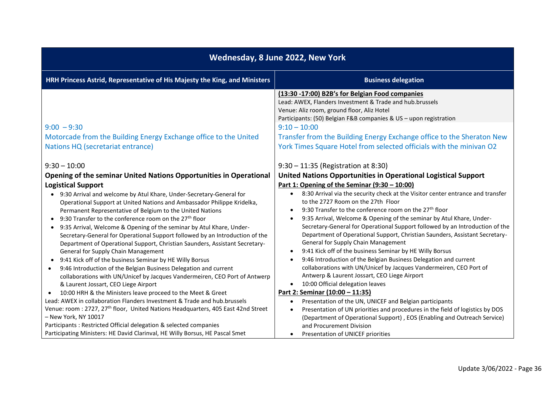| Wednesday, 8 June 2022, New York                                                                                                                                                                                                                                                                                                                                                                                                                                                                                                                                                                                                                                                                                                                                                                                                                                                                                                                        |                                                                                                                                                                                                                                                                                                                                                                                                                                                                                                                                                                                                                                                                                                                                                                                                                                                                                |
|---------------------------------------------------------------------------------------------------------------------------------------------------------------------------------------------------------------------------------------------------------------------------------------------------------------------------------------------------------------------------------------------------------------------------------------------------------------------------------------------------------------------------------------------------------------------------------------------------------------------------------------------------------------------------------------------------------------------------------------------------------------------------------------------------------------------------------------------------------------------------------------------------------------------------------------------------------|--------------------------------------------------------------------------------------------------------------------------------------------------------------------------------------------------------------------------------------------------------------------------------------------------------------------------------------------------------------------------------------------------------------------------------------------------------------------------------------------------------------------------------------------------------------------------------------------------------------------------------------------------------------------------------------------------------------------------------------------------------------------------------------------------------------------------------------------------------------------------------|
| HRH Princess Astrid, Representative of His Majesty the King, and Ministers                                                                                                                                                                                                                                                                                                                                                                                                                                                                                                                                                                                                                                                                                                                                                                                                                                                                              | <b>Business delegation</b>                                                                                                                                                                                                                                                                                                                                                                                                                                                                                                                                                                                                                                                                                                                                                                                                                                                     |
|                                                                                                                                                                                                                                                                                                                                                                                                                                                                                                                                                                                                                                                                                                                                                                                                                                                                                                                                                         | (13:30 -17:00) B2B's for Belgian Food companies<br>Lead: AWEX, Flanders Investment & Trade and hub.brussels<br>Venue: Aliz room, ground floor, Aliz Hotel<br>Participants: (50) Belgian F&B companies & US - upon registration                                                                                                                                                                                                                                                                                                                                                                                                                                                                                                                                                                                                                                                 |
| $9:00 - 9:30$                                                                                                                                                                                                                                                                                                                                                                                                                                                                                                                                                                                                                                                                                                                                                                                                                                                                                                                                           | $9:10 - 10:00$                                                                                                                                                                                                                                                                                                                                                                                                                                                                                                                                                                                                                                                                                                                                                                                                                                                                 |
| Motorcade from the Building Energy Exchange office to the United                                                                                                                                                                                                                                                                                                                                                                                                                                                                                                                                                                                                                                                                                                                                                                                                                                                                                        | Transfer from the Building Energy Exchange office to the Sheraton New                                                                                                                                                                                                                                                                                                                                                                                                                                                                                                                                                                                                                                                                                                                                                                                                          |
| Nations HQ (secretariat entrance)                                                                                                                                                                                                                                                                                                                                                                                                                                                                                                                                                                                                                                                                                                                                                                                                                                                                                                                       | York Times Square Hotel from selected officials with the minivan O2                                                                                                                                                                                                                                                                                                                                                                                                                                                                                                                                                                                                                                                                                                                                                                                                            |
| $9:30 - 10:00$<br>Opening of the seminar United Nations Opportunities in Operational                                                                                                                                                                                                                                                                                                                                                                                                                                                                                                                                                                                                                                                                                                                                                                                                                                                                    | 9:30 - 11:35 (Registration at 8:30)<br>United Nations Opportunities in Operational Logistical Support                                                                                                                                                                                                                                                                                                                                                                                                                                                                                                                                                                                                                                                                                                                                                                          |
| <b>Logistical Support</b>                                                                                                                                                                                                                                                                                                                                                                                                                                                                                                                                                                                                                                                                                                                                                                                                                                                                                                                               | Part 1: Opening of the Seminar (9:30 - 10:00)                                                                                                                                                                                                                                                                                                                                                                                                                                                                                                                                                                                                                                                                                                                                                                                                                                  |
| • 9:30 Arrival and welcome by Atul Khare, Under-Secretary-General for<br>Operational Support at United Nations and Ambassador Philippe Kridelka,<br>Permanent Representative of Belgium to the United Nations<br>9:30 Transfer to the conference room on the 27 <sup>th</sup> floor<br>$\bullet$<br>9:35 Arrival, Welcome & Opening of the seminar by Atul Khare, Under-<br>$\bullet$<br>Secretary-General for Operational Support followed by an Introduction of the<br>Department of Operational Support, Christian Saunders, Assistant Secretary-<br>General for Supply Chain Management<br>9:41 Kick off of the business Seminar by HE Willy Borsus<br>$\bullet$<br>9:46 Introduction of the Belgian Business Delegation and current<br>$\bullet$<br>collaborations with UN/Unicef by Jacques Vandermeiren, CEO Port of Antwerp<br>& Laurent Jossart, CEO Liege Airport<br>10:00 HRH & the Ministers leave proceed to the Meet & Greet<br>$\bullet$ | 8:30 Arrival via the security check at the Visitor center entrance and transfer<br>$\bullet$<br>to the 2727 Room on the 27th Floor<br>9:30 Transfer to the conference room on the 27 <sup>th</sup> floor<br>$\bullet$<br>9:35 Arrival, Welcome & Opening of the seminar by Atul Khare, Under-<br>$\bullet$<br>Secretary-General for Operational Support followed by an Introduction of the<br>Department of Operational Support, Christian Saunders, Assistant Secretary-<br><b>General for Supply Chain Management</b><br>9:41 Kick off of the business Seminar by HE Willy Borsus<br>$\bullet$<br>9:46 Introduction of the Belgian Business Delegation and current<br>$\bullet$<br>collaborations with UN/Unicef by Jacques Vandermeiren, CEO Port of<br>Antwerp & Laurent Jossart, CEO Liege Airport<br>10:00 Official delegation leaves<br>Part 2: Seminar (10:00 - 11:35) |
| Lead: AWEX in collaboration Flanders Investment & Trade and hub.brussels                                                                                                                                                                                                                                                                                                                                                                                                                                                                                                                                                                                                                                                                                                                                                                                                                                                                                | Presentation of the UN, UNICEF and Belgian participants<br>$\bullet$                                                                                                                                                                                                                                                                                                                                                                                                                                                                                                                                                                                                                                                                                                                                                                                                           |
| Venue: room: 2727, 27 <sup>th</sup> floor, United Nations Headquarters, 405 East 42nd Street<br>- New York, NY 10017<br>Participants : Restricted Official delegation & selected companies                                                                                                                                                                                                                                                                                                                                                                                                                                                                                                                                                                                                                                                                                                                                                              | Presentation of UN priorities and procedures in the field of logistics by DOS<br>$\bullet$<br>(Department of Operational Support), EOS (Enabling and Outreach Service)<br>and Procurement Division                                                                                                                                                                                                                                                                                                                                                                                                                                                                                                                                                                                                                                                                             |
| Participating Ministers: HE David Clarinval, HE Willy Borsus, HE Pascal Smet                                                                                                                                                                                                                                                                                                                                                                                                                                                                                                                                                                                                                                                                                                                                                                                                                                                                            | Presentation of UNICEF priorities<br>$\bullet$                                                                                                                                                                                                                                                                                                                                                                                                                                                                                                                                                                                                                                                                                                                                                                                                                                 |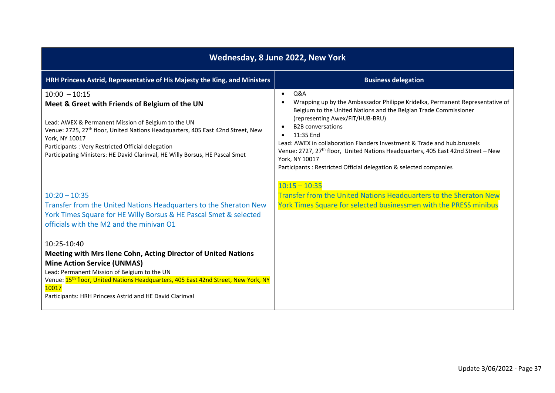| Wednesday, 8 June 2022, New York                                                                                                                                                                                                                                                                                                                                               |                                                                                                                                                                                                                                                                                                                                                                                                                                                                                                                      |
|--------------------------------------------------------------------------------------------------------------------------------------------------------------------------------------------------------------------------------------------------------------------------------------------------------------------------------------------------------------------------------|----------------------------------------------------------------------------------------------------------------------------------------------------------------------------------------------------------------------------------------------------------------------------------------------------------------------------------------------------------------------------------------------------------------------------------------------------------------------------------------------------------------------|
| HRH Princess Astrid, Representative of His Majesty the King, and Ministers                                                                                                                                                                                                                                                                                                     | <b>Business delegation</b>                                                                                                                                                                                                                                                                                                                                                                                                                                                                                           |
| $10:00 - 10:15$<br>Meet & Greet with Friends of Belgium of the UN<br>Lead: AWEX & Permanent Mission of Belgium to the UN<br>Venue: 2725, 27 <sup>th</sup> floor, United Nations Headquarters, 405 East 42nd Street, New<br>York, NY 10017<br>Participants: Very Restricted Official delegation<br>Participating Ministers: HE David Clarinval, HE Willy Borsus, HE Pascal Smet | Q&A<br>$\bullet$<br>Wrapping up by the Ambassador Philippe Kridelka, Permanent Representative of<br>Belgium to the United Nations and the Belgian Trade Commissioner<br>(representing Awex/FIT/HUB-BRU)<br><b>B2B</b> conversations<br>11:35 End<br>Lead: AWEX in collaboration Flanders Investment & Trade and hub.brussels<br>Venue: 2727, 27 <sup>th</sup> floor, United Nations Headquarters, 405 East 42nd Street - New<br>York, NY 10017<br>Participants : Restricted Official delegation & selected companies |
| $10:20 - 10:35$<br>Transfer from the United Nations Headquarters to the Sheraton New<br>York Times Square for HE Willy Borsus & HE Pascal Smet & selected<br>officials with the M2 and the minivan O1                                                                                                                                                                          | $10:15 - 10:35$<br>Transfer from the United Nations Headquarters to the Sheraton New<br>York Times Square for selected businessmen with the PRESS minibus                                                                                                                                                                                                                                                                                                                                                            |
| 10:25-10:40<br>Meeting with Mrs Ilene Cohn, Acting Director of United Nations<br><b>Mine Action Service (UNMAS)</b><br>Lead: Permanent Mission of Belgium to the UN<br>Venue: 15 <sup>th</sup> floor, United Nations Headquarters, 405 East 42nd Street, New York, NY<br>10017<br>Participants: HRH Princess Astrid and HE David Clarinval                                     |                                                                                                                                                                                                                                                                                                                                                                                                                                                                                                                      |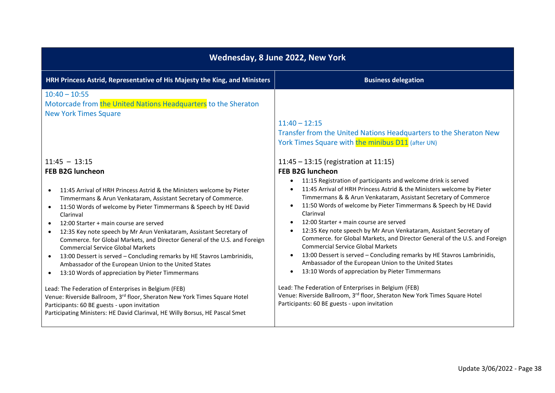| Wednesday, 8 June 2022, New York                                                                                                                                                                                                                                                                                                                                                                                                                                                                                                                                                                                                                                                                                                                                            |                                                                                                                                                                                                                                                                                                                                                                                                                                                                                                                                                                                                                                                                                                                                                                                                                                                                        |
|-----------------------------------------------------------------------------------------------------------------------------------------------------------------------------------------------------------------------------------------------------------------------------------------------------------------------------------------------------------------------------------------------------------------------------------------------------------------------------------------------------------------------------------------------------------------------------------------------------------------------------------------------------------------------------------------------------------------------------------------------------------------------------|------------------------------------------------------------------------------------------------------------------------------------------------------------------------------------------------------------------------------------------------------------------------------------------------------------------------------------------------------------------------------------------------------------------------------------------------------------------------------------------------------------------------------------------------------------------------------------------------------------------------------------------------------------------------------------------------------------------------------------------------------------------------------------------------------------------------------------------------------------------------|
| HRH Princess Astrid, Representative of His Majesty the King, and Ministers                                                                                                                                                                                                                                                                                                                                                                                                                                                                                                                                                                                                                                                                                                  | <b>Business delegation</b>                                                                                                                                                                                                                                                                                                                                                                                                                                                                                                                                                                                                                                                                                                                                                                                                                                             |
| $10:40 - 10:55$<br>Motorcade from the United Nations Headquarters to the Sheraton<br><b>New York Times Square</b>                                                                                                                                                                                                                                                                                                                                                                                                                                                                                                                                                                                                                                                           | $11:40 - 12:15$<br>Transfer from the United Nations Headquarters to the Sheraton New<br>York Times Square with the minibus D11 (after UN)                                                                                                                                                                                                                                                                                                                                                                                                                                                                                                                                                                                                                                                                                                                              |
| $11:45 - 13:15$<br><b>FEB B2G luncheon</b><br>11:45 Arrival of HRH Princess Astrid & the Ministers welcome by Pieter<br>$\bullet$<br>Timmermans & Arun Venkataram, Assistant Secretary of Commerce.<br>11:50 Words of welcome by Pieter Timmermans & Speech by HE David<br>$\bullet$<br>Clarinval<br>12:00 Starter + main course are served<br>12:35 Key note speech by Mr Arun Venkataram, Assistant Secretary of<br>$\bullet$<br>Commerce. for Global Markets, and Director General of the U.S. and Foreign<br><b>Commercial Service Global Markets</b><br>13:00 Dessert is served - Concluding remarks by HE Stavros Lambrinidis,<br>$\bullet$<br>Ambassador of the European Union to the United States<br>13:10 Words of appreciation by Pieter Timmermans<br>$\bullet$ | $11:45 - 13:15$ (registration at 11:15)<br><b>FEB B2G luncheon</b><br>11:15 Registration of participants and welcome drink is served<br>$\bullet$<br>11:45 Arrival of HRH Princess Astrid & the Ministers welcome by Pieter<br>$\bullet$<br>Timmermans & & Arun Venkataram, Assistant Secretary of Commerce<br>11:50 Words of welcome by Pieter Timmermans & Speech by HE David<br>$\bullet$<br>Clarinval<br>12:00 Starter + main course are served<br>12:35 Key note speech by Mr Arun Venkataram, Assistant Secretary of<br>$\bullet$<br>Commerce. for Global Markets, and Director General of the U.S. and Foreign<br><b>Commercial Service Global Markets</b><br>13:00 Dessert is served - Concluding remarks by HE Stavros Lambrinidis,<br>Ambassador of the European Union to the United States<br>13:10 Words of appreciation by Pieter Timmermans<br>$\bullet$ |
| Lead: The Federation of Enterprises in Belgium (FEB)<br>Venue: Riverside Ballroom, 3rd floor, Sheraton New York Times Square Hotel<br>Participants: 60 BE guests - upon invitation<br>Participating Ministers: HE David Clarinval, HE Willy Borsus, HE Pascal Smet                                                                                                                                                                                                                                                                                                                                                                                                                                                                                                          | Lead: The Federation of Enterprises in Belgium (FEB)<br>Venue: Riverside Ballroom, 3rd floor, Sheraton New York Times Square Hotel<br>Participants: 60 BE guests - upon invitation                                                                                                                                                                                                                                                                                                                                                                                                                                                                                                                                                                                                                                                                                     |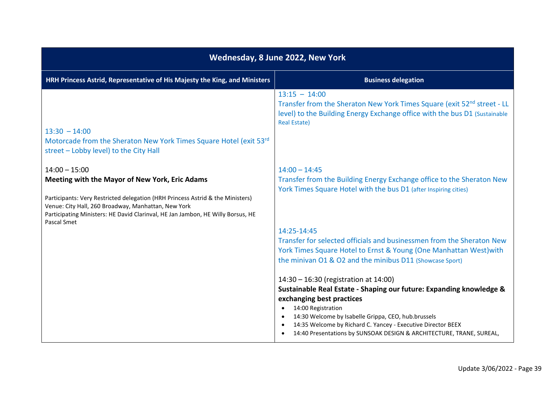| Wednesday, 8 June 2022, New York                                                                                                                                                                                                                                                              |                                                                                                                                                                                                                                                                                                                                                                                                                                                                                                                                                                                                                                              |
|-----------------------------------------------------------------------------------------------------------------------------------------------------------------------------------------------------------------------------------------------------------------------------------------------|----------------------------------------------------------------------------------------------------------------------------------------------------------------------------------------------------------------------------------------------------------------------------------------------------------------------------------------------------------------------------------------------------------------------------------------------------------------------------------------------------------------------------------------------------------------------------------------------------------------------------------------------|
| HRH Princess Astrid, Representative of His Majesty the King, and Ministers                                                                                                                                                                                                                    | <b>Business delegation</b>                                                                                                                                                                                                                                                                                                                                                                                                                                                                                                                                                                                                                   |
| $13:30 - 14:00$<br>Motorcade from the Sheraton New York Times Square Hotel (exit 53rd)<br>street - Lobby level) to the City Hall                                                                                                                                                              | $13:15 - 14:00$<br>Transfer from the Sheraton New York Times Square (exit 52 <sup>nd</sup> street - LL<br>level) to the Building Energy Exchange office with the bus D1 (Sustainable<br><b>Real Estate)</b>                                                                                                                                                                                                                                                                                                                                                                                                                                  |
| $14:00 - 15:00$<br>Meeting with the Mayor of New York, Eric Adams<br>Participants: Very Restricted delegation (HRH Princess Astrid & the Ministers)<br>Venue: City Hall, 260 Broadway, Manhattan, New York<br>Participating Ministers: HE David Clarinval, HE Jan Jambon, HE Willy Borsus, HE | $14:00 - 14:45$<br>Transfer from the Building Energy Exchange office to the Sheraton New<br>York Times Square Hotel with the bus D1 (after Inspiring cities)                                                                                                                                                                                                                                                                                                                                                                                                                                                                                 |
| Pascal Smet                                                                                                                                                                                                                                                                                   | 14:25-14:45<br>Transfer for selected officials and businessmen from the Sheraton New<br>York Times Square Hotel to Ernst & Young (One Manhattan West) with<br>the minivan O1 & O2 and the minibus D11 (Showcase Sport)<br>14:30 - 16:30 (registration at 14:00)<br>Sustainable Real Estate - Shaping our future: Expanding knowledge &<br>exchanging best practices<br>14:00 Registration<br>$\bullet$<br>14:30 Welcome by Isabelle Grippa, CEO, hub.brussels<br>$\bullet$<br>14:35 Welcome by Richard C. Yancey - Executive Director BEEX<br>$\bullet$<br>14:40 Presentations by SUNSOAK DESIGN & ARCHITECTURE, TRANE, SUREAL,<br>$\bullet$ |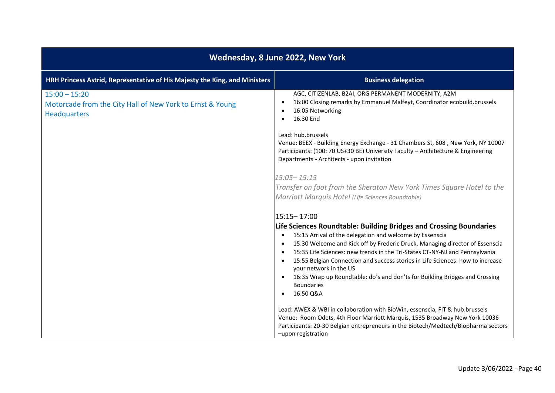| Wednesday, 8 June 2022, New York                                                                    |                                                                                                                                                                                                                                                                                                                                                                                                                                                                                                                                                                                                                                                                  |
|-----------------------------------------------------------------------------------------------------|------------------------------------------------------------------------------------------------------------------------------------------------------------------------------------------------------------------------------------------------------------------------------------------------------------------------------------------------------------------------------------------------------------------------------------------------------------------------------------------------------------------------------------------------------------------------------------------------------------------------------------------------------------------|
| HRH Princess Astrid, Representative of His Majesty the King, and Ministers                          | <b>Business delegation</b>                                                                                                                                                                                                                                                                                                                                                                                                                                                                                                                                                                                                                                       |
| $15:00 - 15:20$<br>Motorcade from the City Hall of New York to Ernst & Young<br><b>Headquarters</b> | AGC, CITIZENLAB, B2AI, ORG PERMANENT MODERNITY, A2M<br>16:00 Closing remarks by Emmanuel Malfeyt, Coordinator ecobuild.brussels<br>$\bullet$<br>16:05 Networking<br>16.30 End                                                                                                                                                                                                                                                                                                                                                                                                                                                                                    |
|                                                                                                     | Lead: hub.brussels<br>Venue: BEEX - Building Energy Exchange - 31 Chambers St, 608, New York, NY 10007<br>Participants: (100: 70 US+30 BE) University Faculty - Architecture & Engineering<br>Departments - Architects - upon invitation                                                                                                                                                                                                                                                                                                                                                                                                                         |
|                                                                                                     | 15:05-15:15<br>Transfer on foot from the Sheraton New York Times Square Hotel to the<br>Marriott Marquis Hotel (Life Sciences Roundtable)                                                                                                                                                                                                                                                                                                                                                                                                                                                                                                                        |
|                                                                                                     | 15:15-17:00<br>Life Sciences Roundtable: Building Bridges and Crossing Boundaries<br>15:15 Arrival of the delegation and welcome by Essenscia<br>$\bullet$<br>15:30 Welcome and Kick off by Frederic Druck, Managing director of Essenscia<br>$\bullet$<br>15:35 Life Sciences: new trends in the Tri-States CT-NY-NJ and Pennsylvania<br>$\bullet$<br>15:55 Belgian Connection and success stories in Life Sciences: how to increase<br>your network in the US<br>16:35 Wrap up Roundtable: do's and don'ts for Building Bridges and Crossing<br><b>Boundaries</b><br>16:50 Q&A<br>Lead: AWEX & WBI in collaboration with BioWin, essenscia, FIT & hub.brussels |
|                                                                                                     | Venue: Room Odets, 4th Floor Marriott Marquis, 1535 Broadway New York 10036<br>Participants: 20-30 Belgian entrepreneurs in the Biotech/Medtech/Biopharma sectors<br>-upon registration                                                                                                                                                                                                                                                                                                                                                                                                                                                                          |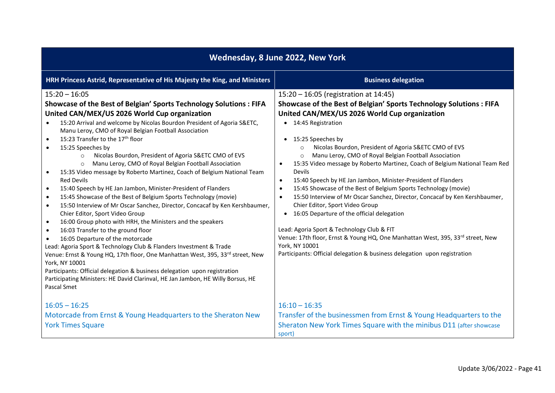| Wednesday, 8 June 2022, New York                                                                                                                                                                                                                                                                                                                                                                                                                                                                                                                                                                                                                                                                                                                                                                                                                                                                                                                                                                                                                                                                                                                                                                                                                                                                                                                                                                                                                                                  |                                                                                                                                                                                                                                                                                                                                                                                                                                                                                                                                                                                                                                                                                                                                                                                                                                                                                                                                                                                                                                                              |
|-----------------------------------------------------------------------------------------------------------------------------------------------------------------------------------------------------------------------------------------------------------------------------------------------------------------------------------------------------------------------------------------------------------------------------------------------------------------------------------------------------------------------------------------------------------------------------------------------------------------------------------------------------------------------------------------------------------------------------------------------------------------------------------------------------------------------------------------------------------------------------------------------------------------------------------------------------------------------------------------------------------------------------------------------------------------------------------------------------------------------------------------------------------------------------------------------------------------------------------------------------------------------------------------------------------------------------------------------------------------------------------------------------------------------------------------------------------------------------------|--------------------------------------------------------------------------------------------------------------------------------------------------------------------------------------------------------------------------------------------------------------------------------------------------------------------------------------------------------------------------------------------------------------------------------------------------------------------------------------------------------------------------------------------------------------------------------------------------------------------------------------------------------------------------------------------------------------------------------------------------------------------------------------------------------------------------------------------------------------------------------------------------------------------------------------------------------------------------------------------------------------------------------------------------------------|
| HRH Princess Astrid, Representative of His Majesty the King, and Ministers                                                                                                                                                                                                                                                                                                                                                                                                                                                                                                                                                                                                                                                                                                                                                                                                                                                                                                                                                                                                                                                                                                                                                                                                                                                                                                                                                                                                        | <b>Business delegation</b>                                                                                                                                                                                                                                                                                                                                                                                                                                                                                                                                                                                                                                                                                                                                                                                                                                                                                                                                                                                                                                   |
| $15:20 - 16:05$<br>Showcase of the Best of Belgian' Sports Technology Solutions : FIFA<br>United CAN/MEX/US 2026 World Cup organization<br>15:20 Arrival and welcome by Nicolas Bourdon President of Agoria S&ETC,<br>$\bullet$<br>Manu Leroy, CMO of Royal Belgian Football Association<br>15:23 Transfer to the 17 <sup>th</sup> floor<br>$\bullet$<br>15:25 Speeches by<br>$\bullet$<br>Nicolas Bourdon, President of Agoria S&ETC CMO of EVS<br>$\circ$<br>Manu Leroy, CMO of Royal Belgian Football Association<br>$\circ$<br>15:35 Video message by Roberto Martinez, Coach of Belgium National Team<br>$\bullet$<br><b>Red Devils</b><br>15:40 Speech by HE Jan Jambon, Minister-President of Flanders<br>$\bullet$<br>15:45 Showcase of the Best of Belgium Sports Technology (movie)<br>$\bullet$<br>15:50 Interview of Mr Oscar Sanchez, Director, Concacaf by Ken Kershbaumer,<br>$\bullet$<br>Chier Editor, Sport Video Group<br>16:00 Group photo with HRH, the Ministers and the speakers<br>$\bullet$<br>16:03 Transfer to the ground floor<br>$\bullet$<br>16:05 Departure of the motorcade<br>$\bullet$<br>Lead: Agoria Sport & Technology Club & Flanders Investment & Trade<br>Venue: Ernst & Young HQ, 17th floor, One Manhattan West, 395, 33rd street, New<br>York, NY 10001<br>Participants: Official delegation & business delegation upon registration<br>Participating Ministers: HE David Clarinval, HE Jan Jambon, HE Willy Borsus, HE<br>Pascal Smet | 15:20 - 16:05 (registration at 14:45)<br>Showcase of the Best of Belgian' Sports Technology Solutions : FIFA<br>United CAN/MEX/US 2026 World Cup organization<br>• 14:45 Registration<br>15:25 Speeches by<br>$\bullet$<br>Nicolas Bourdon, President of Agoria S&ETC CMO of EVS<br>$\circ$<br>Manu Leroy, CMO of Royal Belgian Football Association<br>$\circ$<br>15:35 Video message by Roberto Martinez, Coach of Belgium National Team Red<br>$\bullet$<br>Devils<br>15:40 Speech by HE Jan Jambon, Minister-President of Flanders<br>$\bullet$<br>15:45 Showcase of the Best of Belgium Sports Technology (movie)<br>$\bullet$<br>15:50 Interview of Mr Oscar Sanchez, Director, Concacaf by Ken Kershbaumer,<br>$\bullet$<br>Chier Editor, Sport Video Group<br>16:05 Departure of the official delegation<br>$\bullet$<br>Lead: Agoria Sport & Technology Club & FIT<br>Venue: 17th floor, Ernst & Young HQ, One Manhattan West, 395, 33rd street, New<br>York, NY 10001<br>Participants: Official delegation & business delegation upon registration |
| $16:05 - 16:25$<br>Motorcade from Ernst & Young Headquarters to the Sheraton New<br><b>York Times Square</b>                                                                                                                                                                                                                                                                                                                                                                                                                                                                                                                                                                                                                                                                                                                                                                                                                                                                                                                                                                                                                                                                                                                                                                                                                                                                                                                                                                      | $16:10 - 16:35$<br>Transfer of the businessmen from Ernst & Young Headquarters to the<br>Sheraton New York Times Square with the minibus D11 (after showcase<br>sport)                                                                                                                                                                                                                                                                                                                                                                                                                                                                                                                                                                                                                                                                                                                                                                                                                                                                                       |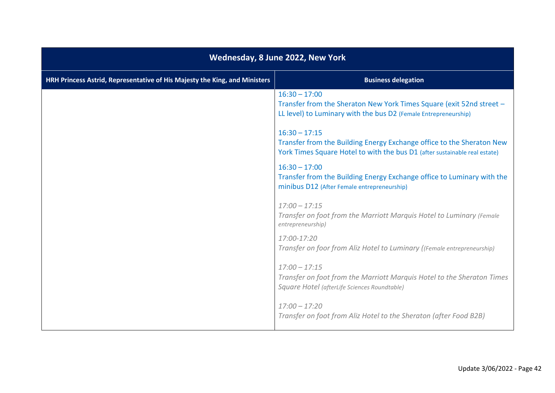| Wednesday, 8 June 2022, New York                                           |                                                                                                                                                                        |
|----------------------------------------------------------------------------|------------------------------------------------------------------------------------------------------------------------------------------------------------------------|
| HRH Princess Astrid, Representative of His Majesty the King, and Ministers | <b>Business delegation</b>                                                                                                                                             |
|                                                                            | $16:30 - 17:00$<br>Transfer from the Sheraton New York Times Square (exit 52nd street -<br>LL level) to Luminary with the bus D2 (Female Entrepreneurship)             |
|                                                                            | $16:30 - 17:15$<br>Transfer from the Building Energy Exchange office to the Sheraton New<br>York Times Square Hotel to with the bus D1 (after sustainable real estate) |
|                                                                            | $16:30 - 17:00$<br>Transfer from the Building Energy Exchange office to Luminary with the<br>minibus D12 (After Female entrepreneurship)                               |
|                                                                            | $17:00 - 17:15$<br>Transfer on foot from the Marriott Marquis Hotel to Luminary (Female<br>entrepreneurship)                                                           |
|                                                                            | 17:00-17:20<br>Transfer on foor from Aliz Hotel to Luminary ((Female entrepreneurship)                                                                                 |
|                                                                            | $17:00 - 17:15$<br>Transfer on foot from the Marriott Marquis Hotel to the Sheraton Times<br>Square Hotel (afterLife Sciences Roundtable)                              |
|                                                                            | $17:00 - 17:20$<br>Transfer on foot from Aliz Hotel to the Sheraton (after Food B2B)                                                                                   |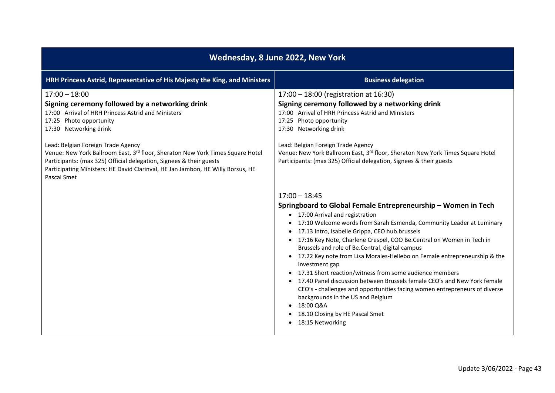| Wednesday, 8 June 2022, New York                                                                                                                                                                                                                                                              |                                                                                                                                                                                                                                                                                                                                                                                                                                                                                                                                                                                                                                                                                                                                                                                                                    |
|-----------------------------------------------------------------------------------------------------------------------------------------------------------------------------------------------------------------------------------------------------------------------------------------------|--------------------------------------------------------------------------------------------------------------------------------------------------------------------------------------------------------------------------------------------------------------------------------------------------------------------------------------------------------------------------------------------------------------------------------------------------------------------------------------------------------------------------------------------------------------------------------------------------------------------------------------------------------------------------------------------------------------------------------------------------------------------------------------------------------------------|
| HRH Princess Astrid, Representative of His Majesty the King, and Ministers                                                                                                                                                                                                                    | <b>Business delegation</b>                                                                                                                                                                                                                                                                                                                                                                                                                                                                                                                                                                                                                                                                                                                                                                                         |
| $17:00 - 18:00$<br>Signing ceremony followed by a networking drink<br>17:00 Arrival of HRH Princess Astrid and Ministers<br>17:25 Photo opportunity<br>17:30 Networking drink                                                                                                                 | 17:00 - 18:00 (registration at 16:30)<br>Signing ceremony followed by a networking drink<br>17:00 Arrival of HRH Princess Astrid and Ministers<br>17:25 Photo opportunity<br>17:30 Networking drink                                                                                                                                                                                                                                                                                                                                                                                                                                                                                                                                                                                                                |
| Lead: Belgian Foreign Trade Agency<br>Venue: New York Ballroom East, 3rd floor, Sheraton New York Times Square Hotel<br>Participants: (max 325) Official delegation, Signees & their guests<br>Participating Ministers: HE David Clarinval, HE Jan Jambon, HE Willy Borsus, HE<br>Pascal Smet | Lead: Belgian Foreign Trade Agency<br>Venue: New York Ballroom East, 3rd floor, Sheraton New York Times Square Hotel<br>Participants: (max 325) Official delegation, Signees & their guests                                                                                                                                                                                                                                                                                                                                                                                                                                                                                                                                                                                                                        |
|                                                                                                                                                                                                                                                                                               | $17:00 - 18:45$<br>Springboard to Global Female Entrepreneurship - Women in Tech<br>• 17:00 Arrival and registration<br>• 17:10 Welcome words from Sarah Esmenda, Community Leader at Luminary<br>• 17.13 Intro, Isabelle Grippa, CEO hub.brussels<br>• 17:16 Key Note, Charlene Crespel, COO Be.Central on Women in Tech in<br>Brussels and role of Be.Central, digital campus<br>• 17.22 Key note from Lisa Morales-Hellebo on Female entrepreneurship & the<br>investment gap<br>• 17.31 Short reaction/witness from some audience members<br>• 17.40 Panel discussion between Brussels female CEO's and New York female<br>CEO's - challenges and opportunities facing women entrepreneurs of diverse<br>backgrounds in the US and Belgium<br>18:00 Q&A<br>18.10 Closing by HE Pascal Smet<br>18:15 Networking |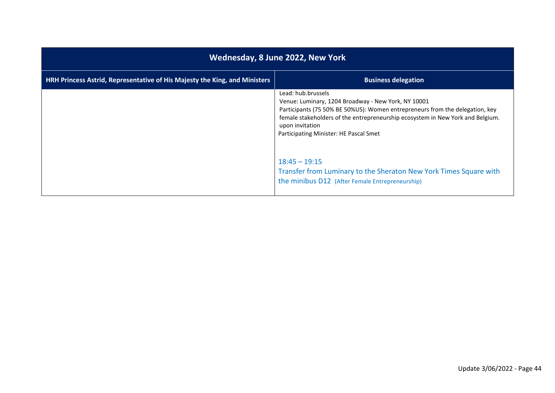| Wednesday, 8 June 2022, New York                                           |                                                                                                                                                                                                                                                                                                          |
|----------------------------------------------------------------------------|----------------------------------------------------------------------------------------------------------------------------------------------------------------------------------------------------------------------------------------------------------------------------------------------------------|
| HRH Princess Astrid, Representative of His Majesty the King, and Ministers | <b>Business delegation</b>                                                                                                                                                                                                                                                                               |
|                                                                            | Lead: hub.brussels<br>Venue: Luminary, 1204 Broadway - New York, NY 10001<br>Participants (75 50% BE 50%US): Women entrepreneurs from the delegation, key<br>female stakeholders of the entrepreneurship ecosystem in New York and Belgium.<br>upon invitation<br>Participating Minister: HE Pascal Smet |
|                                                                            | $18:45 - 19:15$<br>Transfer from Luminary to the Sheraton New York Times Square with<br>the minibus D12 (After Female Entrepreneurship)                                                                                                                                                                  |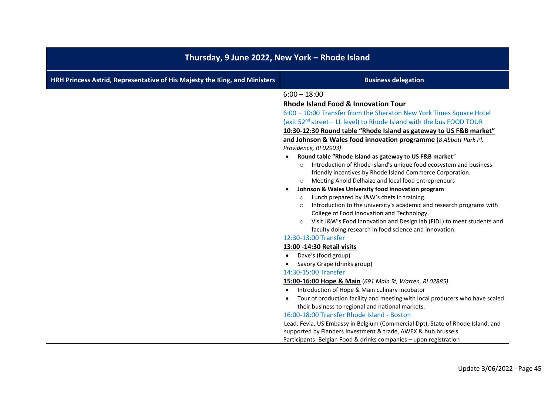| Thursday, 9 June 2022, New York - Rhode Island                                                                                                                                                                                                                                                                                                                                                                                                                                                                                                                                                                                                                                                                                                                                                                                                                                                                                                                                                                                                                                                                                                                                                                                                                                                                                                                                                                                                                                                                                                                                                                                                                                                                |  |
|---------------------------------------------------------------------------------------------------------------------------------------------------------------------------------------------------------------------------------------------------------------------------------------------------------------------------------------------------------------------------------------------------------------------------------------------------------------------------------------------------------------------------------------------------------------------------------------------------------------------------------------------------------------------------------------------------------------------------------------------------------------------------------------------------------------------------------------------------------------------------------------------------------------------------------------------------------------------------------------------------------------------------------------------------------------------------------------------------------------------------------------------------------------------------------------------------------------------------------------------------------------------------------------------------------------------------------------------------------------------------------------------------------------------------------------------------------------------------------------------------------------------------------------------------------------------------------------------------------------------------------------------------------------------------------------------------------------|--|
| <b>Business delegation</b>                                                                                                                                                                                                                                                                                                                                                                                                                                                                                                                                                                                                                                                                                                                                                                                                                                                                                                                                                                                                                                                                                                                                                                                                                                                                                                                                                                                                                                                                                                                                                                                                                                                                                    |  |
| $6:00 - 18:00$<br>Rhode Island Food & Innovation Tour<br>6:00 - 10:00 Transfer from the Sheraton New York Times Square Hotel<br>(exit 52 <sup>nd</sup> street - LL level) to Rhode Island with the bus FOOD TOUR<br>10:30-12:30 Round table "Rhode Island as gateway to US F&B market"<br>and Johnson & Wales food innovation programme (8 Abbott Park PI,<br>Providence, RI 02903)<br>Round table "Rhode Island as gateway to US F&B market"<br>Introduction of Rhode Island's unique food ecosystem and business-<br>$\circ$<br>friendly incentives by Rhode Island Commerce Corporation.<br>Meeting Ahold Delhaize and local food entrepreneurs<br>$\circ$<br>Johnson & Wales University food innovation program<br>Lunch prepared by J&W's chefs in training.<br>$\circ$<br>Introduction to the university's academic and research programs with<br>$\circ$<br>College of Food Innovation and Technology.<br>Visit J&W's Food Innovation and Design lab (FIDL) to meet students and<br>faculty doing research in food science and innovation.<br>12:30-13:00 Transfer<br>13:00 -14:30 Retail visits<br>Dave's (food group)<br>Savory Grape (drinks group)<br>14:30-15:00 Transfer<br>15:00-16:00 Hope & Main (691 Main St, Warren, RI 02885)<br>Introduction of Hope & Main culinary incubator<br>Tour of production facility and meeting with local producers who have scaled<br>their business to regional and national markets.<br>16:00-18:00 Transfer Rhode Island - Boston<br>Lead: Fevia, US Embassy in Belgium (Commercial Dpt), State of Rhode Island, and<br>supported by Flanders Investment & trade, AWEX & hub.brussels<br>Participants: Belgian Food & drinks companies - upon registration |  |
|                                                                                                                                                                                                                                                                                                                                                                                                                                                                                                                                                                                                                                                                                                                                                                                                                                                                                                                                                                                                                                                                                                                                                                                                                                                                                                                                                                                                                                                                                                                                                                                                                                                                                                               |  |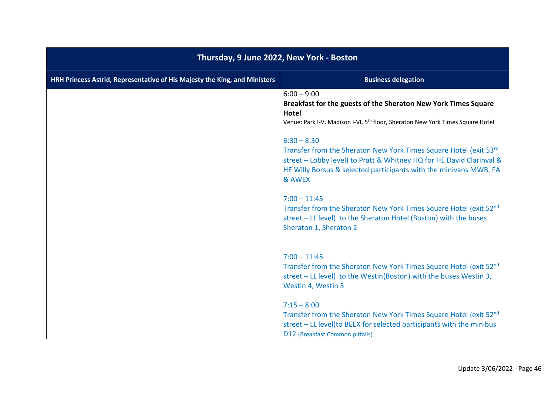| Thursday, 9 June 2022, New York - Boston                                   |                                                                                                                                                                                                                                            |
|----------------------------------------------------------------------------|--------------------------------------------------------------------------------------------------------------------------------------------------------------------------------------------------------------------------------------------|
| HRH Princess Astrid, Representative of His Majesty the King, and Ministers | <b>Business delegation</b>                                                                                                                                                                                                                 |
|                                                                            | $6:00 - 9:00$<br>Breakfast for the guests of the Sheraton New York Times Square<br><b>Hotel</b><br>Venue: Park I-V, Madison I-VI, 5 <sup>th</sup> floor, Sheraton New York Times Square Hotel                                              |
|                                                                            | $6:30 - 8:30$<br>Transfer from the Sheraton New York Times Square Hotel (exit 53rd)<br>street - Lobby level) to Pratt & Whitney HQ for HE David Clarinval &<br>HE Willy Borsus & selected participants with the minivans MWB, FA<br>& AWEX |
|                                                                            | $7:00 - 11:45$<br>Transfer from the Sheraton New York Times Square Hotel (exit 52nd<br>street - LL level) to the Sheraton Hotel (Boston) with the buses<br>Sheraton 1, Sheraton 2                                                          |
|                                                                            | $7:00 - 11:45$<br>Transfer from the Sheraton New York Times Square Hotel (exit 52nd)<br>street - LL level) to the Westin(Boston) with the buses Westin 3,<br>Westin 4, Westin 5                                                            |
|                                                                            | $7:15 - 8:00$<br>Transfer from the Sheraton New York Times Square Hotel (exit 52nd)<br>street - LL level) to BEEX for selected participants with the minibus<br>D12 (Breakfast Common pitfalls)                                            |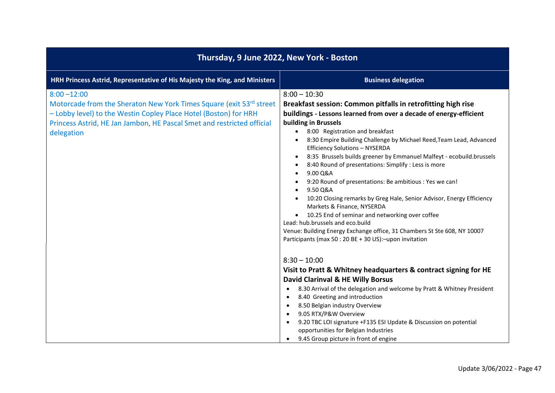| Thursday, 9 June 2022, New York - Boston                                                                                                                                                                                                          |                                                                                                                                                                                                                                                                                                                                                                                                                                                                                                                                                                                                                                                                                                                                                                                                                                                                                                            |
|---------------------------------------------------------------------------------------------------------------------------------------------------------------------------------------------------------------------------------------------------|------------------------------------------------------------------------------------------------------------------------------------------------------------------------------------------------------------------------------------------------------------------------------------------------------------------------------------------------------------------------------------------------------------------------------------------------------------------------------------------------------------------------------------------------------------------------------------------------------------------------------------------------------------------------------------------------------------------------------------------------------------------------------------------------------------------------------------------------------------------------------------------------------------|
| HRH Princess Astrid, Representative of His Majesty the King, and Ministers                                                                                                                                                                        | <b>Business delegation</b>                                                                                                                                                                                                                                                                                                                                                                                                                                                                                                                                                                                                                                                                                                                                                                                                                                                                                 |
| $8:00 - 12:00$<br>Motorcade from the Sheraton New York Times Square (exit 53rd street<br>- Lobby level) to the Westin Copley Place Hotel (Boston) for HRH<br>Princess Astrid, HE Jan Jambon, HE Pascal Smet and restricted official<br>delegation | $8:00 - 10:30$<br>Breakfast session: Common pitfalls in retrofitting high rise<br>buildings - Lessons learned from over a decade of energy-efficient<br>building in Brussels<br>8:00 Registration and breakfast<br>$\bullet$<br>8:30 Empire Building Challenge by Michael Reed, Team Lead, Advanced<br><b>Efficiency Solutions - NYSERDA</b><br>8:35 Brussels builds greener by Emmanuel Malfeyt - ecobuild.brussels<br>٠<br>8:40 Round of presentations: Simplify : Less is more<br>9.00 Q&A<br>9:20 Round of presentations: Be ambitious : Yes we can!<br>9.50 Q&A<br>10:20 Closing remarks by Greg Hale, Senior Advisor, Energy Efficiency<br>Markets & Finance, NYSERDA<br>10.25 End of seminar and networking over coffee<br>Lead: hub.brussels and eco.build<br>Venue: Building Energy Exchange office, 31 Chambers St Ste 608, NY 10007<br>Participants (max 50 : 20 BE + 30 US): - upon invitation |
|                                                                                                                                                                                                                                                   | $8:30 - 10:00$<br>Visit to Pratt & Whitney headquarters & contract signing for HE<br>David Clarinval & HE Willy Borsus<br>8.30 Arrival of the delegation and welcome by Pratt & Whitney President<br>8.40 Greeting and introduction<br>8.50 Belgian industry Overview<br>9.05 RTX/P&W Overview<br>9.20 TBC LOI signature +F135 ESI Update & Discussion on potential<br>opportunities for Belgian Industries<br>9.45 Group picture in front of engine                                                                                                                                                                                                                                                                                                                                                                                                                                                       |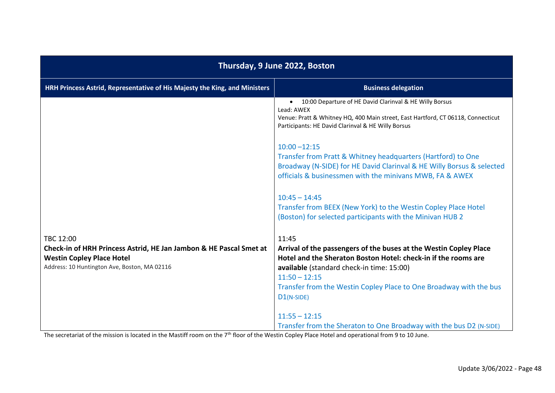| Thursday, 9 June 2022, Boston                                                                                                                          |                                                                                                                                                                                                                                                                                                      |
|--------------------------------------------------------------------------------------------------------------------------------------------------------|------------------------------------------------------------------------------------------------------------------------------------------------------------------------------------------------------------------------------------------------------------------------------------------------------|
| HRH Princess Astrid, Representative of His Majesty the King, and Ministers                                                                             | <b>Business delegation</b>                                                                                                                                                                                                                                                                           |
|                                                                                                                                                        | 10:00 Departure of HE David Clarinval & HE Willy Borsus<br>$\bullet$<br>Lead: AWEX<br>Venue: Pratt & Whitney HQ, 400 Main street, East Hartford, CT 06118, Connecticut<br>Participants: HE David Clarinval & HE Willy Borsus                                                                         |
|                                                                                                                                                        | $10:00 - 12:15$<br>Transfer from Pratt & Whitney headquarters (Hartford) to One<br>Broadway (N-SIDE) for HE David Clarinval & HE Willy Borsus & selected<br>officials & businessmen with the minivans MWB, FA & AWEX                                                                                 |
|                                                                                                                                                        | $10:45 - 14:45$<br>Transfer from BEEX (New York) to the Westin Copley Place Hotel<br>(Boston) for selected participants with the Minivan HUB 2                                                                                                                                                       |
| TBC 12:00                                                                                                                                              | 11:45                                                                                                                                                                                                                                                                                                |
| Check-in of HRH Princess Astrid, HE Jan Jambon & HE Pascal Smet at<br><b>Westin Copley Place Hotel</b><br>Address: 10 Huntington Ave, Boston, MA 02116 | Arrival of the passengers of the buses at the Westin Copley Place<br>Hotel and the Sheraton Boston Hotel: check-in if the rooms are<br>available (standard check-in time: 15:00)<br>$11:50 - 12:15$<br>Transfer from the Westin Copley Place to One Broadway with the bus<br>D <sub>1</sub> (N-SIDE) |
|                                                                                                                                                        | $11:55 - 12:15$<br>Transfer from the Sheraton to One Broadway with the bus D2 (N-SIDE)                                                                                                                                                                                                               |

The secretariat of the mission is located in the Mastiff room on the 7<sup>th</sup> floor of the Westin Copley Place Hotel and operational from 9 to 10 June.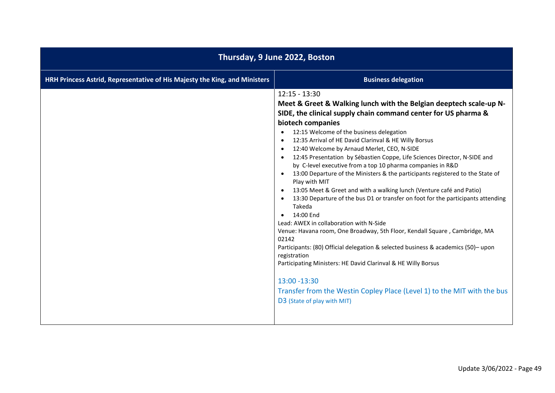| Thursday, 9 June 2022, Boston                                              |                                                                                                                                                                                                                                                                                                                                                                                                                                                                                                                                                                                                                                                                                                                                                                                                                                                                                                                                                                                                                                                                                                                                                                                                                              |
|----------------------------------------------------------------------------|------------------------------------------------------------------------------------------------------------------------------------------------------------------------------------------------------------------------------------------------------------------------------------------------------------------------------------------------------------------------------------------------------------------------------------------------------------------------------------------------------------------------------------------------------------------------------------------------------------------------------------------------------------------------------------------------------------------------------------------------------------------------------------------------------------------------------------------------------------------------------------------------------------------------------------------------------------------------------------------------------------------------------------------------------------------------------------------------------------------------------------------------------------------------------------------------------------------------------|
| HRH Princess Astrid, Representative of His Majesty the King, and Ministers | <b>Business delegation</b>                                                                                                                                                                                                                                                                                                                                                                                                                                                                                                                                                                                                                                                                                                                                                                                                                                                                                                                                                                                                                                                                                                                                                                                                   |
|                                                                            | $12:15 - 13:30$<br>Meet & Greet & Walking lunch with the Belgian deeptech scale-up N-<br>SIDE, the clinical supply chain command center for US pharma &<br>biotech companies<br>12:15 Welcome of the business delegation<br>12:35 Arrival of HE David Clarinval & HE Willy Borsus<br>$\bullet$<br>12:40 Welcome by Arnaud Merlet, CEO, N-SIDE<br>12:45 Presentation by Sébastien Coppe, Life Sciences Director, N-SIDE and<br>by C-level executive from a top 10 pharma companies in R&D<br>13:00 Departure of the Ministers & the participants registered to the State of<br>Play with MIT<br>13:05 Meet & Greet and with a walking lunch (Venture café and Patio)<br>13:30 Departure of the bus D1 or transfer on foot for the participants attending<br>Takeda<br>14:00 End<br>$\bullet$<br>Lead: AWEX in collaboration with N-Side<br>Venue: Havana room, One Broadway, 5th Floor, Kendall Square, Cambridge, MA<br>02142<br>Participants: (80) Official delegation & selected business & academics (50)-upon<br>registration<br>Participating Ministers: HE David Clarinval & HE Willy Borsus<br>13:00 -13:30<br>Transfer from the Westin Copley Place (Level 1) to the MIT with the bus<br>D3 (State of play with MIT) |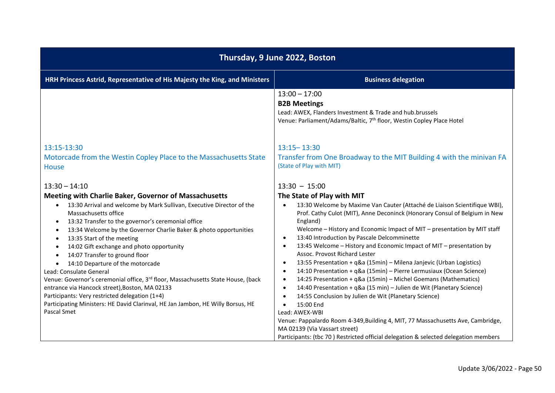| Thursday, 9 June 2022, Boston                                                                                                                                                                                                                                                                                                                                                                                                                                                                                                                                                                                                                                                                                                                                                                                                                                       |                                                                                                                                                                                                                                                                                                                                                                                                                                                                                                                                                                                                                                                                                                                                                                                                                                                                                                                                                                                                                                                                                       |  |
|---------------------------------------------------------------------------------------------------------------------------------------------------------------------------------------------------------------------------------------------------------------------------------------------------------------------------------------------------------------------------------------------------------------------------------------------------------------------------------------------------------------------------------------------------------------------------------------------------------------------------------------------------------------------------------------------------------------------------------------------------------------------------------------------------------------------------------------------------------------------|---------------------------------------------------------------------------------------------------------------------------------------------------------------------------------------------------------------------------------------------------------------------------------------------------------------------------------------------------------------------------------------------------------------------------------------------------------------------------------------------------------------------------------------------------------------------------------------------------------------------------------------------------------------------------------------------------------------------------------------------------------------------------------------------------------------------------------------------------------------------------------------------------------------------------------------------------------------------------------------------------------------------------------------------------------------------------------------|--|
| HRH Princess Astrid, Representative of His Majesty the King, and Ministers                                                                                                                                                                                                                                                                                                                                                                                                                                                                                                                                                                                                                                                                                                                                                                                          | <b>Business delegation</b>                                                                                                                                                                                                                                                                                                                                                                                                                                                                                                                                                                                                                                                                                                                                                                                                                                                                                                                                                                                                                                                            |  |
|                                                                                                                                                                                                                                                                                                                                                                                                                                                                                                                                                                                                                                                                                                                                                                                                                                                                     | $13:00 - 17:00$<br><b>B2B Meetings</b><br>Lead: AWEX, Flanders Investment & Trade and hub.brussels<br>Venue: Parliament/Adams/Baltic, 7 <sup>th</sup> floor, Westin Copley Place Hotel                                                                                                                                                                                                                                                                                                                                                                                                                                                                                                                                                                                                                                                                                                                                                                                                                                                                                                |  |
| 13:15-13:30<br>Motorcade from the Westin Copley Place to the Massachusetts State<br>House                                                                                                                                                                                                                                                                                                                                                                                                                                                                                                                                                                                                                                                                                                                                                                           | $13:15 - 13:30$<br>Transfer from One Broadway to the MIT Building 4 with the minivan FA<br>(State of Play with MIT)                                                                                                                                                                                                                                                                                                                                                                                                                                                                                                                                                                                                                                                                                                                                                                                                                                                                                                                                                                   |  |
| $13:30 - 14:10$<br><b>Meeting with Charlie Baker, Governor of Massachusetts</b><br>13:30 Arrival and welcome by Mark Sullivan, Executive Director of the<br>$\bullet$<br>Massachusetts office<br>13:32 Transfer to the governor's ceremonial office<br>٠<br>13:34 Welcome by the Governor Charlie Baker & photo opportunities<br>$\bullet$<br>13:35 Start of the meeting<br>$\bullet$<br>14:02 Gift exchange and photo opportunity<br>$\bullet$<br>14:07 Transfer to ground floor<br>$\bullet$<br>14:10 Departure of the motorcade<br>Lead: Consulate General<br>Venue: Governor's ceremonial office, 3 <sup>rd</sup> floor, Massachusetts State House, (back<br>entrance via Hancock street), Boston, MA 02133<br>Participants: Very restricted delegation (1+4)<br>Participating Ministers: HE David Clarinval, HE Jan Jambon, HE Willy Borsus, HE<br>Pascal Smet | $13:30 - 15:00$<br>The State of Play with MIT<br>13:30 Welcome by Maxime Van Cauter (Attaché de Liaison Scientifique WBI),<br>$\bullet$<br>Prof. Cathy Culot (MIT), Anne Deconinck (Honorary Consul of Belgium in New<br>England)<br>Welcome - History and Economic Impact of MIT - presentation by MIT staff<br>13:40 Introduction by Pascale Delcomminette<br>$\bullet$<br>13:45 Welcome - History and Economic Impact of MIT - presentation by<br>$\bullet$<br>Assoc. Provost Richard Lester<br>13:55 Presentation + q&a (15min) - Milena Janjevic (Urban Logistics)<br>$\bullet$<br>14:10 Presentation + q&a (15min) - Pierre Lermusiaux (Ocean Science)<br>$\bullet$<br>14:25 Presentation + q&a (15min) - Michel Goemans (Mathematics)<br>$\bullet$<br>14:40 Presentation + q&a (15 min) - Julien de Wit (Planetary Science)<br>$\bullet$<br>14:55 Conclusion by Julien de Wit (Planetary Science)<br>$\bullet$<br>15:00 End<br>$\bullet$<br>Lead: AWEX-WBI<br>Venue: Pappalardo Room 4-349, Building 4, MIT, 77 Massachusetts Ave, Cambridge,<br>MA 02139 (Via Vassart street) |  |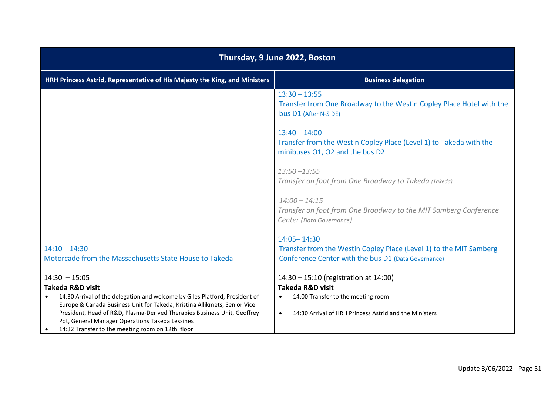| Thursday, 9 June 2022, Boston                                                                                                                                                   |                                                                                                                           |  |  |
|---------------------------------------------------------------------------------------------------------------------------------------------------------------------------------|---------------------------------------------------------------------------------------------------------------------------|--|--|
| HRH Princess Astrid, Representative of His Majesty the King, and Ministers<br><b>Business delegation</b>                                                                        |                                                                                                                           |  |  |
|                                                                                                                                                                                 | $13:30 - 13:55$<br>Transfer from One Broadway to the Westin Copley Place Hotel with the<br>bus D1 (After N-SIDE)          |  |  |
|                                                                                                                                                                                 | $13:40 - 14:00$<br>Transfer from the Westin Copley Place (Level 1) to Takeda with the<br>minibuses O1, O2 and the bus D2  |  |  |
|                                                                                                                                                                                 | $13:50 - 13:55$<br>Transfer on foot from One Broadway to Takeda (Takeda)                                                  |  |  |
|                                                                                                                                                                                 | $14:00 - 14:15$<br>Transfer on foot from One Broadway to the MIT Samberg Conference<br>Center (Data Governance)           |  |  |
|                                                                                                                                                                                 | $14:05 - 14:30$                                                                                                           |  |  |
| $14:10 - 14:30$<br>Motorcade from the Massachusetts State House to Takeda                                                                                                       | Transfer from the Westin Copley Place (Level 1) to the MIT Samberg<br>Conference Center with the bus D1 (Data Governance) |  |  |
| $14:30 - 15:05$                                                                                                                                                                 | 14:30 - 15:10 (registration at 14:00)                                                                                     |  |  |
| <b>Takeda R&amp;D visit</b>                                                                                                                                                     | <b>Takeda R&amp;D visit</b>                                                                                               |  |  |
| 14:30 Arrival of the delegation and welcome by Giles Platford, President of<br>$\bullet$<br>Europe & Canada Business Unit for Takeda, Kristina Allikmets, Senior Vice           | 14:00 Transfer to the meeting room<br>$\bullet$                                                                           |  |  |
| President, Head of R&D, Plasma-Derived Therapies Business Unit, Geoffrey<br>Pot, General Manager Operations Takeda Lessines<br>14:32 Transfer to the meeting room on 12th floor | 14:30 Arrival of HRH Princess Astrid and the Ministers<br>$\bullet$                                                       |  |  |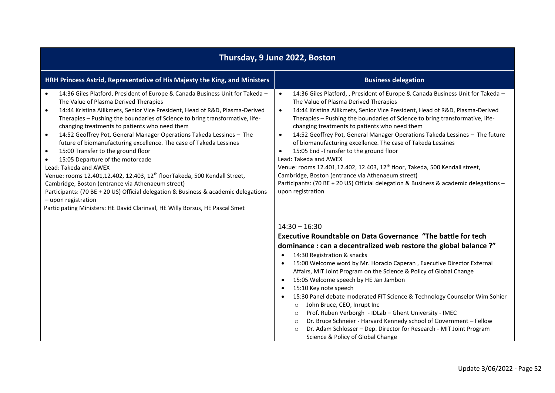| Thursday, 9 June 2022, Boston                                                                                                                                                                                                                                                                                                                                                                                                                                                                                                                                                                                                                                                                                                                                                                                                                                                                                                                                                                         |                                                                                                                                                                                                                                                                                                                                                                                                                                                                                                                                                                                                                                                                                                                                                                                                                                                                  |  |
|-------------------------------------------------------------------------------------------------------------------------------------------------------------------------------------------------------------------------------------------------------------------------------------------------------------------------------------------------------------------------------------------------------------------------------------------------------------------------------------------------------------------------------------------------------------------------------------------------------------------------------------------------------------------------------------------------------------------------------------------------------------------------------------------------------------------------------------------------------------------------------------------------------------------------------------------------------------------------------------------------------|------------------------------------------------------------------------------------------------------------------------------------------------------------------------------------------------------------------------------------------------------------------------------------------------------------------------------------------------------------------------------------------------------------------------------------------------------------------------------------------------------------------------------------------------------------------------------------------------------------------------------------------------------------------------------------------------------------------------------------------------------------------------------------------------------------------------------------------------------------------|--|
| HRH Princess Astrid, Representative of His Majesty the King, and Ministers                                                                                                                                                                                                                                                                                                                                                                                                                                                                                                                                                                                                                                                                                                                                                                                                                                                                                                                            | <b>Business delegation</b>                                                                                                                                                                                                                                                                                                                                                                                                                                                                                                                                                                                                                                                                                                                                                                                                                                       |  |
| 14:36 Giles Platford, President of Europe & Canada Business Unit for Takeda -<br>$\bullet$<br>The Value of Plasma Derived Therapies<br>14:44 Kristina Allikmets, Senior Vice President, Head of R&D, Plasma-Derived<br>$\bullet$<br>Therapies - Pushing the boundaries of Science to bring transformative, life-<br>changing treatments to patients who need them<br>14:52 Geoffrey Pot, General Manager Operations Takeda Lessines - The<br>$\bullet$<br>future of biomanufacturing excellence. The case of Takeda Lessines<br>15:00 Transfer to the ground floor<br>$\bullet$<br>15:05 Departure of the motorcade<br>$\bullet$<br>Lead: Takeda and AWEX<br>Venue: rooms 12.401,12.402, 12.403, 12 <sup>th</sup> floorTakeda, 500 Kendall Street,<br>Cambridge, Boston (entrance via Athenaeum street)<br>Participants: (70 BE + 20 US) Official delegation & Business & academic delegations<br>- upon registration<br>Participating Ministers: HE David Clarinval, HE Willy Borsus, HE Pascal Smet | 14:36 Giles Platford, , President of Europe & Canada Business Unit for Takeda -<br>$\bullet$<br>The Value of Plasma Derived Therapies<br>14:44 Kristina Allikmets, Senior Vice President, Head of R&D, Plasma-Derived<br>$\bullet$<br>Therapies - Pushing the boundaries of Science to bring transformative, life-<br>changing treatments to patients who need them<br>14:52 Geoffrey Pot, General Manager Operations Takeda Lessines - The future<br>$\bullet$<br>of biomanufacturing excellence. The case of Takeda Lessines<br>15:05 End -Transfer to the ground floor<br>Lead: Takeda and AWEX<br>Venue: rooms 12.401,12.402, 12.403, 12 <sup>th</sup> floor, Takeda, 500 Kendall street,<br>Cambridge, Boston (entrance via Athenaeum street)<br>Participants: (70 BE + 20 US) Official delegation & Business & academic delegations -<br>upon registration |  |
|                                                                                                                                                                                                                                                                                                                                                                                                                                                                                                                                                                                                                                                                                                                                                                                                                                                                                                                                                                                                       | $14:30 - 16:30$<br>Executive Roundtable on Data Governance "The battle for tech<br>dominance : can a decentralized web restore the global balance ?"<br>14:30 Registration & snacks<br>$\bullet$<br>15:00 Welcome word by Mr. Horacio Caperan, Executive Director External<br>$\bullet$<br>Affairs, MIT Joint Program on the Science & Policy of Global Change<br>15:05 Welcome speech by HE Jan Jambon<br>$\bullet$<br>15:10 Key note speech<br>15:30 Panel debate moderated FIT Science & Technology Counselor Wim Sohier<br>John Bruce, CEO, Inrupt Inc<br>$\circ$<br>Prof. Ruben Verborgh - IDLab - Ghent University - IMEC<br>$\circ$<br>Dr. Bruce Schneier - Harvard Kennedy school of Government - Fellow<br>$\circ$<br>Dr. Adam Schlosser - Dep. Director for Research - MIT Joint Program<br>Science & Policy of Global Change                          |  |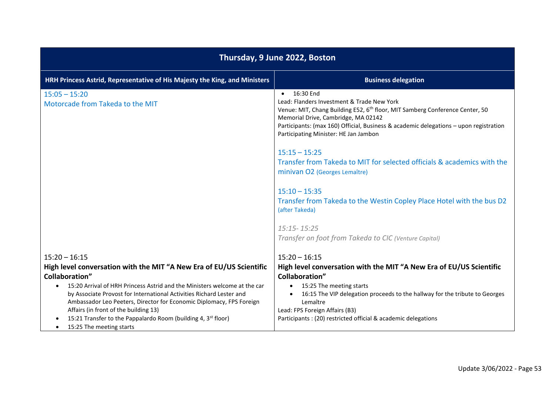| Thursday, 9 June 2022, Boston                                                                                                                                                                                                                                                                                                                                                                                                                                                                               |                                                                                                                                                                                                                                                                                                                                                                                                                                                                                                                                                                                                                                                                  |  |
|-------------------------------------------------------------------------------------------------------------------------------------------------------------------------------------------------------------------------------------------------------------------------------------------------------------------------------------------------------------------------------------------------------------------------------------------------------------------------------------------------------------|------------------------------------------------------------------------------------------------------------------------------------------------------------------------------------------------------------------------------------------------------------------------------------------------------------------------------------------------------------------------------------------------------------------------------------------------------------------------------------------------------------------------------------------------------------------------------------------------------------------------------------------------------------------|--|
| HRH Princess Astrid, Representative of His Majesty the King, and Ministers                                                                                                                                                                                                                                                                                                                                                                                                                                  | <b>Business delegation</b>                                                                                                                                                                                                                                                                                                                                                                                                                                                                                                                                                                                                                                       |  |
| $15:05 - 15:20$<br>Motorcade from Takeda to the MIT                                                                                                                                                                                                                                                                                                                                                                                                                                                         | 16:30 End<br>$\bullet$<br>Lead: Flanders Investment & Trade New York<br>Venue: MIT, Chang Building E52, 6 <sup>th</sup> floor, MIT Samberg Conference Center, 50<br>Memorial Drive, Cambridge, MA 02142<br>Participants: (max 160) Official, Business & academic delegations - upon registration<br>Participating Minister: HE Jan Jambon<br>$15:15 - 15:25$<br>Transfer from Takeda to MIT for selected officials & academics with the<br>minivan O2 (Georges Lemaître)<br>$15:10 - 15:35$<br>Transfer from Takeda to the Westin Copley Place Hotel with the bus D2<br>(after Takeda)<br>15:15 - 15:25<br>Transfer on foot from Takeda to CIC (Venture Capital) |  |
| $15:20 - 16:15$<br>High level conversation with the MIT "A New Era of EU/US Scientific<br><b>Collaboration"</b><br>15:20 Arrival of HRH Princess Astrid and the Ministers welcome at the car<br>by Associate Provost for International Activities Richard Lester and<br>Ambassador Leo Peeters, Director for Economic Diplomacy, FPS Foreign<br>Affairs (in front of the building 13)<br>15:21 Transfer to the Pappalardo Room (building 4, 3 <sup>st</sup> floor)<br>15:25 The meeting starts<br>$\bullet$ | $15:20 - 16:15$<br>High level conversation with the MIT "A New Era of EU/US Scientific<br><b>Collaboration"</b><br>15:25 The meeting starts<br>$\bullet$<br>16:15 The VIP delegation proceeds to the hallway for the tribute to Georges<br>Lemaître<br>Lead: FPS Foreign Affairs (B3)<br>Participants : (20) restricted official & academic delegations                                                                                                                                                                                                                                                                                                          |  |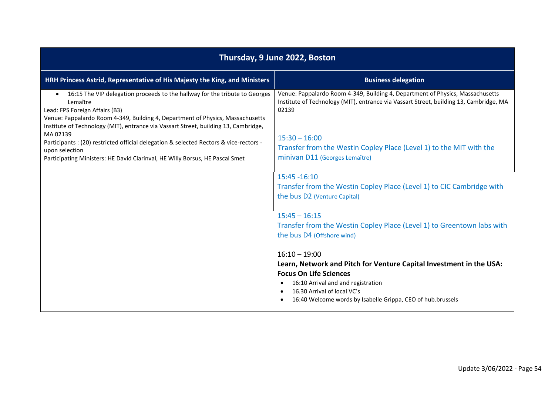| Thursday, 9 June 2022, Boston                                                                                                                                                                                                                                                                                   |                                                                                                                                                                                                                                                                                       |
|-----------------------------------------------------------------------------------------------------------------------------------------------------------------------------------------------------------------------------------------------------------------------------------------------------------------|---------------------------------------------------------------------------------------------------------------------------------------------------------------------------------------------------------------------------------------------------------------------------------------|
| HRH Princess Astrid, Representative of His Majesty the King, and Ministers                                                                                                                                                                                                                                      | <b>Business delegation</b>                                                                                                                                                                                                                                                            |
| 16:15 The VIP delegation proceeds to the hallway for the tribute to Georges<br>$\bullet$<br>Lemaître<br>Lead: FPS Foreign Affairs (B3)<br>Venue: Pappalardo Room 4-349, Building 4, Department of Physics, Massachusetts<br>Institute of Technology (MIT), entrance via Vassart Street, building 13, Cambridge, | Venue: Pappalardo Room 4-349, Building 4, Department of Physics, Massachusetts<br>Institute of Technology (MIT), entrance via Vassart Street, building 13, Cambridge, MA<br>02139                                                                                                     |
| MA 02139<br>Participants : (20) restricted official delegation & selected Rectors & vice-rectors -<br>upon selection                                                                                                                                                                                            | $15:30 - 16:00$<br>Transfer from the Westin Copley Place (Level 1) to the MIT with the                                                                                                                                                                                                |
| Participating Ministers: HE David Clarinval, HE Willy Borsus, HE Pascal Smet                                                                                                                                                                                                                                    | minivan D11 (Georges Lemaître)<br>$15:45 - 16:10$<br>Transfer from the Westin Copley Place (Level 1) to CIC Cambridge with<br>the bus D2 (Venture Capital)<br>$15:45 - 16:15$<br>Transfer from the Westin Copley Place (Level 1) to Greentown labs with<br>the bus D4 (Offshore wind) |
|                                                                                                                                                                                                                                                                                                                 | $16:10 - 19:00$<br>Learn, Network and Pitch for Venture Capital Investment in the USA:<br><b>Focus On Life Sciences</b><br>16:10 Arrival and and registration<br>16.30 Arrival of local VC's<br>16:40 Welcome words by Isabelle Grippa, CEO of hub.brussels                           |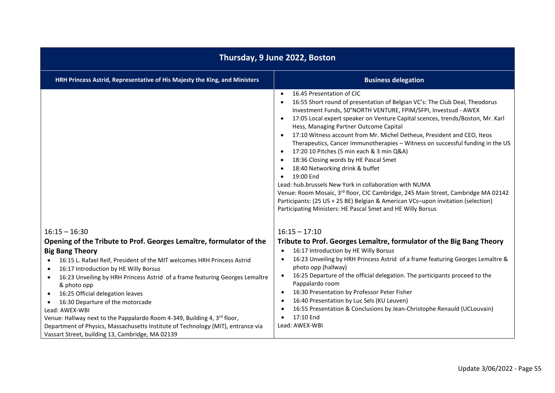| Thursday, 9 June 2022, Boston                                                                                                                                                                                                                                                                                                                                                                                                                                                                                                                                                     |                                                                                                                                                                                                                                                                                                                                                                                                                                                                                                                                                                                                                                                                                                                                                                                                                                                                                                                                                                                            |  |
|-----------------------------------------------------------------------------------------------------------------------------------------------------------------------------------------------------------------------------------------------------------------------------------------------------------------------------------------------------------------------------------------------------------------------------------------------------------------------------------------------------------------------------------------------------------------------------------|--------------------------------------------------------------------------------------------------------------------------------------------------------------------------------------------------------------------------------------------------------------------------------------------------------------------------------------------------------------------------------------------------------------------------------------------------------------------------------------------------------------------------------------------------------------------------------------------------------------------------------------------------------------------------------------------------------------------------------------------------------------------------------------------------------------------------------------------------------------------------------------------------------------------------------------------------------------------------------------------|--|
| HRH Princess Astrid, Representative of His Majesty the King, and Ministers                                                                                                                                                                                                                                                                                                                                                                                                                                                                                                        | <b>Business delegation</b>                                                                                                                                                                                                                                                                                                                                                                                                                                                                                                                                                                                                                                                                                                                                                                                                                                                                                                                                                                 |  |
|                                                                                                                                                                                                                                                                                                                                                                                                                                                                                                                                                                                   | 16.45 Presentation of CIC<br>$\bullet$<br>16:55 Short round of presentation of Belgian VC's: The Club Deal, Theodorus<br>$\bullet$<br>Investment Funds, 50°NORTH VENTURE, FPIM/SFPI, Investsud - AWEX<br>17:05 Local expert speaker on Venture Capital scences, trends/Boston, Mr. Karl<br>$\bullet$<br>Hess, Managing Partner Outcome Capital<br>17:10 Witness account from Mr. Michel Detheux, President and CEO, Iteos<br>Therapeutics, Cancer Immunotherapies - Witness on successful funding in the US<br>17:20 10 Pitches (5 min each & 3 min Q&A)<br>$\bullet$<br>18:36 Closing words by HE Pascal Smet<br>$\bullet$<br>18:40 Networking drink & buffet<br>19:00 End<br>$\bullet$<br>Lead: hub.brussels New York in collaboration with NUMA<br>Venue: Room Mosaic, 3rd floor, CIC Cambridge, 245 Main Street, Cambridge MA 02142<br>Participants: (25 US + 25 BE) Belgian & American VCs-upon invitation (selection)<br>Participating Ministers: HE Pascal Smet and HE Willy Borsus |  |
| $16:15 - 16:30$                                                                                                                                                                                                                                                                                                                                                                                                                                                                                                                                                                   | $16:15 - 17:10$                                                                                                                                                                                                                                                                                                                                                                                                                                                                                                                                                                                                                                                                                                                                                                                                                                                                                                                                                                            |  |
| Opening of the Tribute to Prof. Georges Lemaître, formulator of the                                                                                                                                                                                                                                                                                                                                                                                                                                                                                                               | Tribute to Prof. Georges Lemaître, formulator of the Big Bang Theory                                                                                                                                                                                                                                                                                                                                                                                                                                                                                                                                                                                                                                                                                                                                                                                                                                                                                                                       |  |
| <b>Big Bang Theory</b><br>16:15 L. Rafael Reif, President of the MIT welcomes HRH Princess Astrid<br>$\bullet$<br>16:17 Introduction by HE Willy Borsus<br>16:23 Unveiling by HRH Princess Astrid of a frame featuring Georges Lemaître<br>$\bullet$<br>& photo opp<br>16:25 Official delegation leaves<br>16:30 Departure of the motorcade<br>Lead: AWEX-WBI<br>Venue: Hallway next to the Pappalardo Room 4-349, Building 4, 3rd floor,<br>Department of Physics, Massachusetts Institute of Technology (MIT), entrance via<br>Vassart Street, building 13, Cambridge, MA 02139 | 16:17 Introduction by HE Willy Borsus<br>$\bullet$<br>16:23 Unveiling by HRH Princess Astrid of a frame featuring Georges Lemaître &<br>photo opp (hallway)<br>16:25 Departure of the official delegation. The participants proceed to the<br>$\bullet$<br>Pappalardo room<br>16:30 Presentation by Professor Peter Fisher<br>$\bullet$<br>16:40 Presentation by Luc Sels (KU Leuven)<br>16:55 Presentation & Conclusions by Jean-Christophe Renauld (UCLouvain)<br>17:10 End<br>$\bullet$<br>Lead: AWEX-WBI                                                                                                                                                                                                                                                                                                                                                                                                                                                                               |  |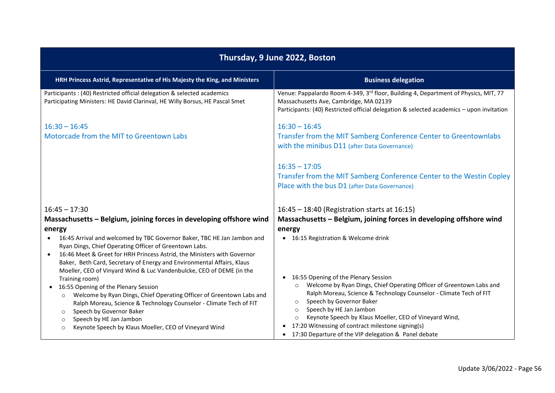| Thursday, 9 June 2022, Boston                                                                                                                                                                                                                                                                                                                                                                                                                                                                                                                                                                                                                                                                                                                                       |                                                                                                                                                                                                                                                                                                                                                                                                                                          |  |
|---------------------------------------------------------------------------------------------------------------------------------------------------------------------------------------------------------------------------------------------------------------------------------------------------------------------------------------------------------------------------------------------------------------------------------------------------------------------------------------------------------------------------------------------------------------------------------------------------------------------------------------------------------------------------------------------------------------------------------------------------------------------|------------------------------------------------------------------------------------------------------------------------------------------------------------------------------------------------------------------------------------------------------------------------------------------------------------------------------------------------------------------------------------------------------------------------------------------|--|
| HRH Princess Astrid, Representative of His Majesty the King, and Ministers                                                                                                                                                                                                                                                                                                                                                                                                                                                                                                                                                                                                                                                                                          | <b>Business delegation</b>                                                                                                                                                                                                                                                                                                                                                                                                               |  |
| Participants : (40) Restricted official delegation & selected academics<br>Participating Ministers: HE David Clarinval, HE Willy Borsus, HE Pascal Smet                                                                                                                                                                                                                                                                                                                                                                                                                                                                                                                                                                                                             | Venue: Pappalardo Room 4-349, 3rd floor, Building 4, Department of Physics, MIT, 77<br>Massachusetts Ave, Cambridge, MA 02139<br>Participants: (40) Restricted official delegation & selected academics - upon invitation                                                                                                                                                                                                                |  |
| $16:30 - 16:45$<br>Motorcade from the MIT to Greentown Labs                                                                                                                                                                                                                                                                                                                                                                                                                                                                                                                                                                                                                                                                                                         | $16:30 - 16:45$<br>Transfer from the MIT Samberg Conference Center to Greentownlabs<br>with the minibus D11 (after Data Governance)<br>$16:35 - 17:05$<br>Transfer from the MIT Samberg Conference Center to the Westin Copley<br>Place with the bus D1 (after Data Governance)                                                                                                                                                          |  |
| $16:45 - 17:30$<br>Massachusetts - Belgium, joining forces in developing offshore wind<br>energy<br>16:45 Arrival and welcomed by TBC Governor Baker, TBC HE Jan Jambon and<br>$\bullet$<br>Ryan Dings, Chief Operating Officer of Greentown Labs.<br>16:46 Meet & Greet for HRH Princess Astrid, the Ministers with Governor<br>$\bullet$<br>Baker, Beth Card, Secretary of Energy and Environmental Affairs, Klaus<br>Moeller, CEO of Vinyard Wind & Luc Vandenbulcke, CEO of DEME (in the<br>Training room)<br>16:55 Opening of the Plenary Session<br>$\bullet$<br>Welcome by Ryan Dings, Chief Operating Officer of Greentown Labs and<br>$\circ$<br>Ralph Moreau, Science & Technology Counselor - Climate Tech of FIT<br>Speech by Governor Baker<br>$\circ$ | 16:45 - 18:40 (Registration starts at 16:15)<br>Massachusetts - Belgium, joining forces in developing offshore wind<br>energy<br>• 16:15 Registration & Welcome drink<br>16:55 Opening of the Plenary Session<br>Welcome by Ryan Dings, Chief Operating Officer of Greentown Labs and<br>Ralph Moreau, Science & Technology Counselor - Climate Tech of FIT<br>Speech by Governor Baker<br>$\circ$<br>Speech by HE Jan Jambon<br>$\circ$ |  |
| Speech by HE Jan Jambon<br>$\circ$<br>Keynote Speech by Klaus Moeller, CEO of Vineyard Wind<br>$\circ$                                                                                                                                                                                                                                                                                                                                                                                                                                                                                                                                                                                                                                                              | Keynote Speech by Klaus Moeller, CEO of Vineyard Wind,<br>$\circ$<br>• 17:20 Witnessing of contract milestone signing(s)<br>• 17:30 Departure of the VIP delegation & Panel debate                                                                                                                                                                                                                                                       |  |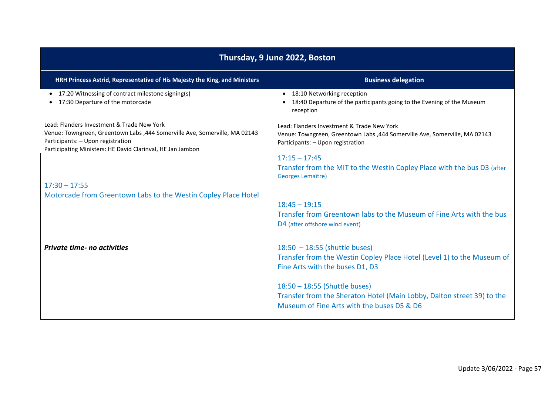| Thursday, 9 June 2022, Boston                                                                                                                                                                                                |                                                                                                                                                                                   |  |
|------------------------------------------------------------------------------------------------------------------------------------------------------------------------------------------------------------------------------|-----------------------------------------------------------------------------------------------------------------------------------------------------------------------------------|--|
| HRH Princess Astrid, Representative of His Majesty the King, and Ministers                                                                                                                                                   | <b>Business delegation</b>                                                                                                                                                        |  |
| 17:20 Witnessing of contract milestone signing(s)<br>$\bullet$<br>17:30 Departure of the motorcade                                                                                                                           | • 18:10 Networking reception<br>18:40 Departure of the participants going to the Evening of the Museum<br>$\bullet$<br>reception                                                  |  |
| Lead: Flanders Investment & Trade New York<br>Venue: Towngreen, Greentown Labs , 444 Somerville Ave, Somerville, MA 02143<br>Participants: - Upon registration<br>Participating Ministers: HE David Clarinval, HE Jan Jambon | Lead: Flanders Investment & Trade New York<br>Venue: Towngreen, Greentown Labs , 444 Somerville Ave, Somerville, MA 02143<br>Participants: - Upon registration<br>$17:15 - 17:45$ |  |
|                                                                                                                                                                                                                              | Transfer from the MIT to the Westin Copley Place with the bus D3 (after<br>Georges Lemaître)                                                                                      |  |
| $17:30 - 17:55$                                                                                                                                                                                                              |                                                                                                                                                                                   |  |
| Motorcade from Greentown Labs to the Westin Copley Place Hotel                                                                                                                                                               |                                                                                                                                                                                   |  |
|                                                                                                                                                                                                                              | $18:45 - 19:15$<br>Transfer from Greentown labs to the Museum of Fine Arts with the bus<br>D4 (after offshore wind event)                                                         |  |
| <b>Private time- no activities</b>                                                                                                                                                                                           | $18:50 - 18:55$ (shuttle buses)<br>Transfer from the Westin Copley Place Hotel (Level 1) to the Museum of<br>Fine Arts with the buses D1, D3                                      |  |
|                                                                                                                                                                                                                              | 18:50 - 18:55 (Shuttle buses)<br>Transfer from the Sheraton Hotel (Main Lobby, Dalton street 39) to the<br>Museum of Fine Arts with the buses D5 & D6                             |  |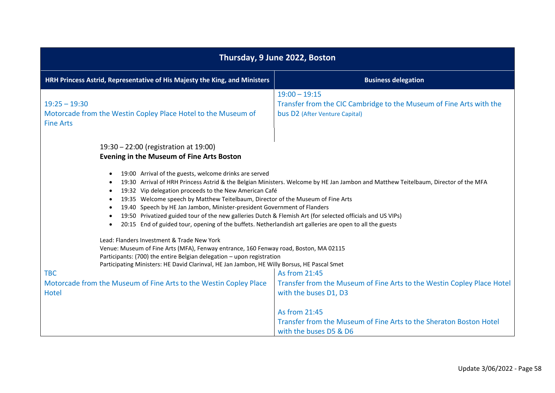| Thursday, 9 June 2022, Boston                                                                                                                                                                                                                                                                                                                                                                                                                                                                                                                                                                                                                                |                                                                                                                                        |  |
|--------------------------------------------------------------------------------------------------------------------------------------------------------------------------------------------------------------------------------------------------------------------------------------------------------------------------------------------------------------------------------------------------------------------------------------------------------------------------------------------------------------------------------------------------------------------------------------------------------------------------------------------------------------|----------------------------------------------------------------------------------------------------------------------------------------|--|
| HRH Princess Astrid, Representative of His Majesty the King, and Ministers                                                                                                                                                                                                                                                                                                                                                                                                                                                                                                                                                                                   | <b>Business delegation</b>                                                                                                             |  |
| $19:25 - 19:30$<br>Motorcade from the Westin Copley Place Hotel to the Museum of<br><b>Fine Arts</b>                                                                                                                                                                                                                                                                                                                                                                                                                                                                                                                                                         | $19:00 - 19:15$<br>Transfer from the CIC Cambridge to the Museum of Fine Arts with the<br>bus D2 (After Venture Capital)               |  |
| 19:30 - 22:00 (registration at 19:00)<br>Evening in the Museum of Fine Arts Boston                                                                                                                                                                                                                                                                                                                                                                                                                                                                                                                                                                           |                                                                                                                                        |  |
| 19:00 Arrival of the guests, welcome drinks are served<br>19:30 Arrival of HRH Princess Astrid & the Belgian Ministers. Welcome by HE Jan Jambon and Matthew Teitelbaum, Director of the MFA<br>19:32 Vip delegation proceeds to the New American Café<br>19:35 Welcome speech by Matthew Teitelbaum, Director of the Museum of Fine Arts<br>19.40 Speech by HE Jan Jambon, Minister-president Government of Flanders<br>19:50 Privatized guided tour of the new galleries Dutch & Flemish Art (for selected officials and US VIPs)<br>20:15 End of guided tour, opening of the buffets. Netherlandish art galleries are open to all the guests<br>$\bullet$ |                                                                                                                                        |  |
| Lead: Flanders Investment & Trade New York<br>Venue: Museum of Fine Arts (MFA), Fenway entrance, 160 Fenway road, Boston, MA 02115<br>Participants: (700) the entire Belgian delegation - upon registration<br>Participating Ministers: HE David Clarinval, HE Jan Jambon, HE Willy Borsus, HE Pascal Smet<br>As from 21:45<br><b>TBC</b><br>Motorcade from the Museum of Fine Arts to the Westin Copley Place<br>Transfer from the Museum of Fine Arts to the Westin Copley Place Hotel                                                                                                                                                                     |                                                                                                                                        |  |
| Hotel                                                                                                                                                                                                                                                                                                                                                                                                                                                                                                                                                                                                                                                        | with the buses D1, D3<br>As from 21:45<br>Transfer from the Museum of Fine Arts to the Sheraton Boston Hotel<br>with the buses D5 & D6 |  |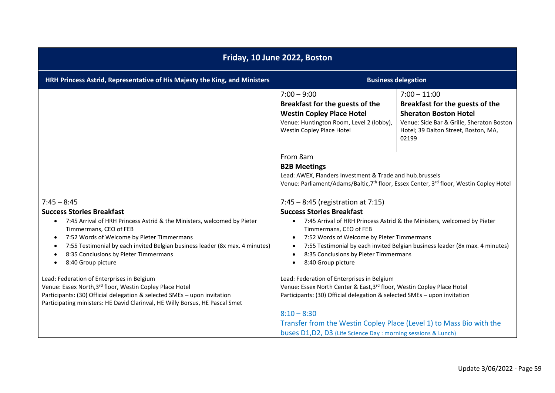| Friday, 10 June 2022, Boston                                                                                                                                                                                                                                                                                                                                                               |                                                                                                                                                                                                                                                                                                                                                            |                                                                                                                                                                                 |
|--------------------------------------------------------------------------------------------------------------------------------------------------------------------------------------------------------------------------------------------------------------------------------------------------------------------------------------------------------------------------------------------|------------------------------------------------------------------------------------------------------------------------------------------------------------------------------------------------------------------------------------------------------------------------------------------------------------------------------------------------------------|---------------------------------------------------------------------------------------------------------------------------------------------------------------------------------|
| HRH Princess Astrid, Representative of His Majesty the King, and Ministers                                                                                                                                                                                                                                                                                                                 |                                                                                                                                                                                                                                                                                                                                                            | <b>Business delegation</b>                                                                                                                                                      |
|                                                                                                                                                                                                                                                                                                                                                                                            | $7:00 - 9:00$<br>Breakfast for the guests of the<br><b>Westin Copley Place Hotel</b><br>Venue: Huntington Room, Level 2 (lobby),<br>Westin Copley Place Hotel                                                                                                                                                                                              | $7:00 - 11:00$<br>Breakfast for the guests of the<br><b>Sheraton Boston Hotel</b><br>Venue: Side Bar & Grille, Sheraton Boston<br>Hotel; 39 Dalton Street, Boston, MA,<br>02199 |
|                                                                                                                                                                                                                                                                                                                                                                                            | From 8am<br><b>B2B Meetings</b><br>Lead: AWEX, Flanders Investment & Trade and hub.brussels                                                                                                                                                                                                                                                                | Venue: Parliament/Adams/Baltic, 7 <sup>th</sup> floor, Essex Center, 3 <sup>rd</sup> floor, Westin Copley Hotel                                                                 |
| $7:45 - 8:45$<br><b>Success Stories Breakfast</b><br>7:45 Arrival of HRH Princess Astrid & the Ministers, welcomed by Pieter<br>$\bullet$<br>Timmermans, CEO of FEB<br>7:52 Words of Welcome by Pieter Timmermans<br>$\bullet$<br>7:55 Testimonial by each invited Belgian business leader (8x max. 4 minutes)<br>$\bullet$<br>8:35 Conclusions by Pieter Timmermans<br>8:40 Group picture | $7:45 - 8:45$ (registration at 7:15)<br><b>Success Stories Breakfast</b><br>$\bullet$<br>Timmermans, CEO of FEB<br>7:52 Words of Welcome by Pieter Timmermans<br>8:35 Conclusions by Pieter Timmermans<br>8:40 Group picture<br>$\bullet$                                                                                                                  | 7:45 Arrival of HRH Princess Astrid & the Ministers, welcomed by Pieter<br>7:55 Testimonial by each invited Belgian business leader (8x max. 4 minutes)                         |
| Lead: Federation of Enterprises in Belgium<br>Venue: Essex North, 3rd floor, Westin Copley Place Hotel<br>Participants: (30) Official delegation & selected SMEs - upon invitation<br>Participating ministers: HE David Clarinval, HE Willy Borsus, HE Pascal Smet                                                                                                                         | Lead: Federation of Enterprises in Belgium<br>Venue: Essex North Center & East, 3rd floor, Westin Copley Place Hotel<br>Participants: (30) Official delegation & selected SMEs - upon invitation<br>$8:10 - 8:30$<br>Transfer from the Westin Copley Place (Level 1) to Mass Bio with the<br>buses D1, D2, D3 (Life Science Day: morning sessions & Lunch) |                                                                                                                                                                                 |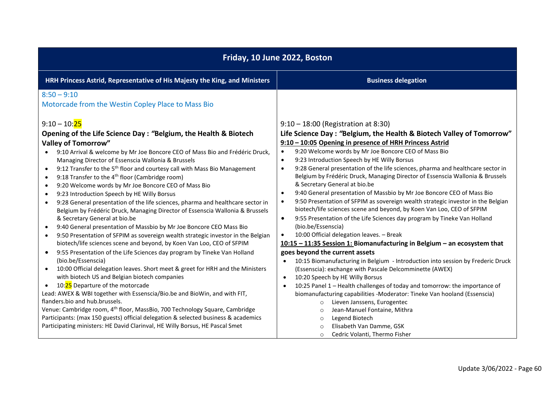| Friday, 10 June 2022, Boston                                                                                                                                                                                                                                                                                                                                                                                                                                                                                                                                                                                                                                                                                                                                                                                                                                                                                                                                                                                                                                                                                                             |                                                                                                                                                                                                                                                                                                                                                                                                                                                                                                                                                                                                                                                                                                                                                                                                                                                                                                                                                                                                                                                                                                                                            |
|------------------------------------------------------------------------------------------------------------------------------------------------------------------------------------------------------------------------------------------------------------------------------------------------------------------------------------------------------------------------------------------------------------------------------------------------------------------------------------------------------------------------------------------------------------------------------------------------------------------------------------------------------------------------------------------------------------------------------------------------------------------------------------------------------------------------------------------------------------------------------------------------------------------------------------------------------------------------------------------------------------------------------------------------------------------------------------------------------------------------------------------|--------------------------------------------------------------------------------------------------------------------------------------------------------------------------------------------------------------------------------------------------------------------------------------------------------------------------------------------------------------------------------------------------------------------------------------------------------------------------------------------------------------------------------------------------------------------------------------------------------------------------------------------------------------------------------------------------------------------------------------------------------------------------------------------------------------------------------------------------------------------------------------------------------------------------------------------------------------------------------------------------------------------------------------------------------------------------------------------------------------------------------------------|
| HRH Princess Astrid, Representative of His Majesty the King, and Ministers                                                                                                                                                                                                                                                                                                                                                                                                                                                                                                                                                                                                                                                                                                                                                                                                                                                                                                                                                                                                                                                               | <b>Business delegation</b>                                                                                                                                                                                                                                                                                                                                                                                                                                                                                                                                                                                                                                                                                                                                                                                                                                                                                                                                                                                                                                                                                                                 |
| $8:50 - 9:10$<br>Motorcade from the Westin Copley Place to Mass Bio<br>$9:10 - 10:25$                                                                                                                                                                                                                                                                                                                                                                                                                                                                                                                                                                                                                                                                                                                                                                                                                                                                                                                                                                                                                                                    | $9:10 - 18:00$ (Registration at 8:30)                                                                                                                                                                                                                                                                                                                                                                                                                                                                                                                                                                                                                                                                                                                                                                                                                                                                                                                                                                                                                                                                                                      |
| Opening of the Life Science Day: "Belgium, the Health & Biotech<br><b>Valley of Tomorrow"</b><br>9:10 Arrival & welcome by Mr Joe Boncore CEO of Mass Bio and Frédéric Druck,<br>Managing Director of Essenscia Wallonia & Brussels<br>9:12 Transfer to the 5 <sup>th</sup> floor and courtesy call with Mass Bio Management<br>$\bullet$<br>9:18 Transfer to the 4 <sup>th</sup> floor (Cambridge room)<br>$\bullet$<br>9:20 Welcome words by Mr Joe Boncore CEO of Mass Bio<br>$\bullet$<br>9:23 Introduction Speech by HE Willy Borsus<br>$\bullet$<br>9:28 General presentation of the life sciences, pharma and healthcare sector in<br>$\bullet$<br>Belgium by Frédéric Druck, Managing Director of Essenscia Wallonia & Brussels<br>& Secretary General at bio.be<br>9:40 General presentation of Massbio by Mr Joe Boncore CEO Mass Bio<br>9:50 Presentation of SFPIM as sovereign wealth strategic investor in the Belgian<br>$\bullet$<br>biotech/life sciences scene and beyond, by Koen Van Loo, CEO of SFPIM<br>9:55 Presentation of the Life Sciences day program by Tineke Van Holland<br>$\bullet$<br>(bio.be/Essenscia) | Life Science Day: "Belgium, the Health & Biotech Valley of Tomorrow"<br>9:10 - 10:05 Opening in presence of HRH Princess Astrid<br>9:20 Welcome words by Mr Joe Boncore CEO of Mass Bio<br>$\bullet$<br>9:23 Introduction Speech by HE Willy Borsus<br>$\bullet$<br>9:28 General presentation of the life sciences, pharma and healthcare sector in<br>$\bullet$<br>Belgium by Frédéric Druck, Managing Director of Essenscia Wallonia & Brussels<br>& Secretary General at bio.be<br>9:40 General presentation of Massbio by Mr Joe Boncore CEO of Mass Bio<br>$\bullet$<br>9:50 Presentation of SFPIM as sovereign wealth strategic investor in the Belgian<br>$\bullet$<br>biotech/life sciences scene and beyond, by Koen Van Loo, CEO of SFPIM<br>9:55 Presentation of the Life Sciences day program by Tineke Van Holland<br>$\bullet$<br>(bio.be/Essenscia)<br>10:00 Official delegation leaves. - Break<br>$\bullet$<br>10:15 - 11:35 Session 1: Biomanufacturing in Belgium - an ecosystem that<br>goes beyond the current assets<br>10:15 Biomanufacturing in Belgium - Introduction into session by Frederic Druck<br>$\bullet$ |
| 10:00 Official delegation leaves. Short meet & greet for HRH and the Ministers<br>$\bullet$<br>with biotech US and Belgian biotech companies<br>10:25 Departure of the motorcade<br>Lead: AWEX & WBI together with Essenscia/Bio.be and BioWin, and with FIT,<br>flanders.bio and hub.brussels.<br>Venue: Cambridge room, 4 <sup>th</sup> floor, MassBio, 700 Technology Square, Cambridge<br>Participants: (max 150 guests) official delegation & selected business & academics<br>Participating ministers: HE David Clarinval, HE Willy Borsus, HE Pascal Smet                                                                                                                                                                                                                                                                                                                                                                                                                                                                                                                                                                         | (Essenscia): exchange with Pascale Delcomminette (AWEX)<br>10:20 Speech by HE Willy Borsus<br>$\bullet$<br>10:25 Panel 1 - Health challenges of today and tomorrow: the importance of<br>$\bullet$<br>biomanufacturing capabilities -Moderator: Tineke Van hooland (Essenscia)<br>Lieven Janssens, Eurogentec<br>$\circ$<br>Jean-Manuel Fontaine, Mithra<br>$\circ$<br>Legend Biotech<br>$\circ$<br>Elisabeth Van Damme, GSK<br>$\circ$<br>Cedric Volanti, Thermo Fisher<br>$\circ$                                                                                                                                                                                                                                                                                                                                                                                                                                                                                                                                                                                                                                                        |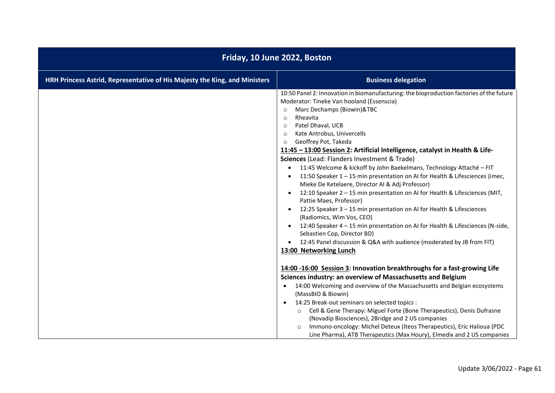| Friday, 10 June 2022, Boston                                               |                                                                                                                                                                                                                                                                                                                                                                                                                                                                                                                                                                                                                                                                                                                                                                                                                                                                                                                                                                                                                                                                                                   |  |
|----------------------------------------------------------------------------|---------------------------------------------------------------------------------------------------------------------------------------------------------------------------------------------------------------------------------------------------------------------------------------------------------------------------------------------------------------------------------------------------------------------------------------------------------------------------------------------------------------------------------------------------------------------------------------------------------------------------------------------------------------------------------------------------------------------------------------------------------------------------------------------------------------------------------------------------------------------------------------------------------------------------------------------------------------------------------------------------------------------------------------------------------------------------------------------------|--|
| HRH Princess Astrid, Representative of His Majesty the King, and Ministers | <b>Business delegation</b>                                                                                                                                                                                                                                                                                                                                                                                                                                                                                                                                                                                                                                                                                                                                                                                                                                                                                                                                                                                                                                                                        |  |
|                                                                            | 10:50 Panel 2: Innovation in biomanufacturing: the bioproduction factories of the future<br>Moderator: Tineke Van hooland (Essenscia)<br>Marc Dechamps (Biowin)&TBC<br>$\circ$<br>Rheavita<br>$\circ$<br>Patel Dhaval, UCB<br>$\circ$<br>Kate Antrobus, Univercells<br>$\circ$<br>Geoffrey Pot, Takeda<br>$\circ$<br>11:45 - 13:00 Session 2: Artificial Intelligence, catalyst in Health & Life-<br>Sciences (Lead: Flanders Investment & Trade)<br>11:45 Welcome & kickoff by John Baekelmans, Technology Attaché - FIT<br>11:50 Speaker 1 - 15 min presentation on AI for Health & Lifesciences (imec,<br>Mieke De Ketelaere, Director Al & Adj Professor)<br>12:10 Speaker 2 - 15 min presentation on AI for Health & Lifesciences (MIT,<br>Pattie Maes, Professor)<br>12:25 Speaker 3 - 15 min presentation on AI for Health & Lifesciences<br>(Radiomics, Wim Vos, CEO)<br>12:40 Speaker 4 - 15 min presentation on AI for Health & Lifesciences (N-side,<br>Sebastien Cop, Director BD)<br>12:45 Panel discussion & Q&A with audience (moderated by JB from FIT)<br>13:00 Networking Lunch |  |
|                                                                            | 14:00 -16:00 Session 3: Innovation breakthroughs for a fast-growing Life<br>Sciences industry: an overview of Massachusetts and Belgium<br>14:00 Welcoming and overview of the Massachusetts and Belgian ecosystems<br>$\bullet$<br>(MassBIO & Biowin)<br>14:25 Break-out seminars on selected topics :<br>$\bullet$<br>Cell & Gene Therapy: Miguel Forte (Bone Therapeutics), Denis Dufrasne<br>$\circ$<br>(Novadip Biosciences), 2Bridge and 2 US companies<br>Immuno-oncology: Michel Deteux (Iteos Therapeutics), Eric Halioua (PDC<br>$\Omega$<br>Line Pharma), ATB Therapeutics (Max Houry), Elmedix and 2 US companies                                                                                                                                                                                                                                                                                                                                                                                                                                                                     |  |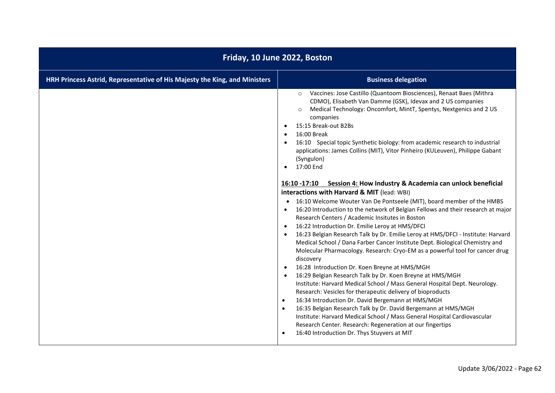| Friday, 10 June 2022, Boston                                               |                                                                                                                                                                                                                                                                                                                                                                                                                                                                                                                                                                                                                                                                                                                                                                                                                                                                                                                                                                                                                                                                                                                                                                                                                                                                                                                                                                                                                                                                                                                                                                                                                                                                                                                                                                                                                                                                  |  |
|----------------------------------------------------------------------------|------------------------------------------------------------------------------------------------------------------------------------------------------------------------------------------------------------------------------------------------------------------------------------------------------------------------------------------------------------------------------------------------------------------------------------------------------------------------------------------------------------------------------------------------------------------------------------------------------------------------------------------------------------------------------------------------------------------------------------------------------------------------------------------------------------------------------------------------------------------------------------------------------------------------------------------------------------------------------------------------------------------------------------------------------------------------------------------------------------------------------------------------------------------------------------------------------------------------------------------------------------------------------------------------------------------------------------------------------------------------------------------------------------------------------------------------------------------------------------------------------------------------------------------------------------------------------------------------------------------------------------------------------------------------------------------------------------------------------------------------------------------------------------------------------------------------------------------------------------------|--|
| HRH Princess Astrid, Representative of His Majesty the King, and Ministers | <b>Business delegation</b>                                                                                                                                                                                                                                                                                                                                                                                                                                                                                                                                                                                                                                                                                                                                                                                                                                                                                                                                                                                                                                                                                                                                                                                                                                                                                                                                                                                                                                                                                                                                                                                                                                                                                                                                                                                                                                       |  |
|                                                                            | Vaccines: Jose Castillo (Quantoom Biosciences), Renaat Baes (Mithra<br>$\circ$<br>CDMO), Elisabeth Van Damme (GSK), Idevax and 2 US companies<br>Medical Technology: Oncomfort, MintT, Spentys, Nextgenics and 2 US<br>$\circ$<br>companies<br>15:15 Break-out B2Bs<br>$\bullet$<br>16:00 Break<br>$\bullet$<br>16:10 Special topic Synthetic biology: from academic research to industrial<br>$\bullet$<br>applications: James Collins (MIT), Vitor Pinheiro (KULeuven), Philippe Gabant<br>(Syngulon)<br>17:00 End<br>$\bullet$<br>16:10 -17:10 Session 4: How Industry & Academia can unlock beneficial<br>interactions with Harvard & MIT (lead: WBI)<br>16:10 Welcome Wouter Van De Pontseele (MIT), board member of the HMBS<br>16:20 Introduction to the network of Belgian Fellows and their research at major<br>$\bullet$<br>Research Centers / Academic Insitutes in Boston<br>16:22 Introduction Dr. Emilie Leroy at HMS/DFCI<br>$\bullet$<br>16:23 Belgian Research Talk by Dr. Emilie Leroy at HMS/DFCI - Institute: Harvard<br>$\bullet$<br>Medical School / Dana Farber Cancer Institute Dept. Biological Chemistry and<br>Molecular Pharmacology. Research: Cryo-EM as a powerful tool for cancer drug<br>discovery<br>16:28 Introduction Dr. Koen Breyne at HMS/MGH<br>$\bullet$<br>16:29 Belgian Research Talk by Dr. Koen Breyne at HMS/MGH<br>$\bullet$<br>Institute: Harvard Medical School / Mass General Hospital Dept. Neurology.<br>Research: Vesicles for therapeutic delivery of bioproducts<br>16:34 Introduction Dr. David Bergemann at HMS/MGH<br>$\bullet$<br>16:35 Belgian Research Talk by Dr. David Bergemann at HMS/MGH<br>$\bullet$<br>Institute: Harvard Medical School / Mass General Hospital Cardiovascular<br>Research Center. Research: Regeneration at our fingertips<br>16:40 Introduction Dr. Thys Stuyvers at MIT |  |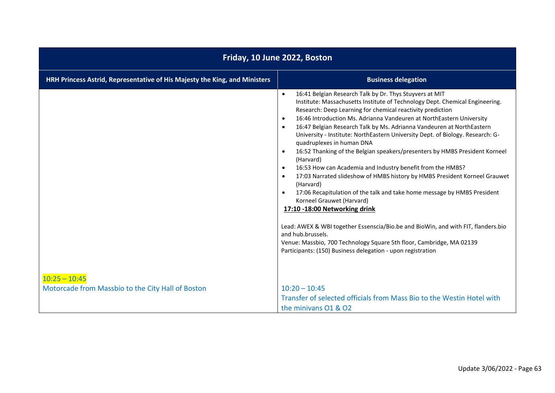| Friday, 10 June 2022, Boston                                               |                                                                                                                                                                                                                                                                                                                                                                                                                                                                                                                                                                                                                                                                                                                                                                                                                                                                                                                                                                                                                                                                                                                                                                                                     |  |
|----------------------------------------------------------------------------|-----------------------------------------------------------------------------------------------------------------------------------------------------------------------------------------------------------------------------------------------------------------------------------------------------------------------------------------------------------------------------------------------------------------------------------------------------------------------------------------------------------------------------------------------------------------------------------------------------------------------------------------------------------------------------------------------------------------------------------------------------------------------------------------------------------------------------------------------------------------------------------------------------------------------------------------------------------------------------------------------------------------------------------------------------------------------------------------------------------------------------------------------------------------------------------------------------|--|
| HRH Princess Astrid, Representative of His Majesty the King, and Ministers | <b>Business delegation</b>                                                                                                                                                                                                                                                                                                                                                                                                                                                                                                                                                                                                                                                                                                                                                                                                                                                                                                                                                                                                                                                                                                                                                                          |  |
|                                                                            | 16:41 Belgian Research Talk by Dr. Thys Stuyvers at MIT<br>$\bullet$<br>Institute: Massachusetts Institute of Technology Dept. Chemical Engineering.<br>Research: Deep Learning for chemical reactivity prediction<br>16:46 Introduction Ms. Adrianna Vandeuren at NorthEastern University<br>$\bullet$<br>16:47 Belgian Research Talk by Ms. Adrianna Vandeuren at NorthEastern<br>$\bullet$<br>University - Institute: NorthEastern University Dept. of Biology. Research: G-<br>quadruplexes in human DNA<br>16:52 Thanking of the Belgian speakers/presenters by HMBS President Korneel<br>$\bullet$<br>(Harvard)<br>16:53 How can Academia and Industry benefit from the HMBS?<br>$\bullet$<br>17:03 Narrated slideshow of HMBS history by HMBS President Korneel Grauwet<br>(Harvard)<br>17:06 Recapitulation of the talk and take home message by HMBS President<br>$\bullet$<br>Korneel Grauwet (Harvard)<br>17:10 -18:00 Networking drink<br>Lead: AWEX & WBI together Essenscia/Bio.be and BioWin, and with FIT, flanders.bio<br>and hub.brussels.<br>Venue: Massbio, 700 Technology Square 5th floor, Cambridge, MA 02139<br>Participants: (150) Business delegation - upon registration |  |
| $10:25 - 10:45$                                                            |                                                                                                                                                                                                                                                                                                                                                                                                                                                                                                                                                                                                                                                                                                                                                                                                                                                                                                                                                                                                                                                                                                                                                                                                     |  |
| Motorcade from Massbio to the City Hall of Boston                          | $10:20 - 10:45$<br>Transfer of selected officials from Mass Bio to the Westin Hotel with<br>the minivans 01 & 02                                                                                                                                                                                                                                                                                                                                                                                                                                                                                                                                                                                                                                                                                                                                                                                                                                                                                                                                                                                                                                                                                    |  |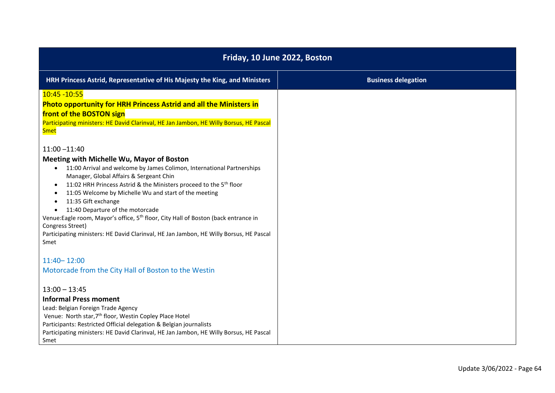| Friday, 10 June 2022, Boston                                                                                                                                                                                                                                                                                                                                                                                                                                                                                                                                                                                                                                                      |                            |  |
|-----------------------------------------------------------------------------------------------------------------------------------------------------------------------------------------------------------------------------------------------------------------------------------------------------------------------------------------------------------------------------------------------------------------------------------------------------------------------------------------------------------------------------------------------------------------------------------------------------------------------------------------------------------------------------------|----------------------------|--|
| HRH Princess Astrid, Representative of His Majesty the King, and Ministers                                                                                                                                                                                                                                                                                                                                                                                                                                                                                                                                                                                                        | <b>Business delegation</b> |  |
| 10:45 - 10:55<br><b>Photo opportunity for HRH Princess Astrid and all the Ministers in</b><br>front of the BOSTON sign<br>Participating ministers: HE David Clarinval, HE Jan Jambon, HE Willy Borsus, HE Pascal<br><b>Smet</b>                                                                                                                                                                                                                                                                                                                                                                                                                                                   |                            |  |
| $11:00 - 11:40$<br>Meeting with Michelle Wu, Mayor of Boston<br>11:00 Arrival and welcome by James Colimon, International Partnerships<br>$\bullet$<br>Manager, Global Affairs & Sergeant Chin<br>11:02 HRH Princess Astrid & the Ministers proceed to the 5 <sup>th</sup> floor<br>$\bullet$<br>11:05 Welcome by Michelle Wu and start of the meeting<br>$\bullet$<br>11:35 Gift exchange<br>$\bullet$<br>11:40 Departure of the motorcade<br>$\bullet$<br>Venue: Eagle room, Mayor's office, 5 <sup>th</sup> floor, City Hall of Boston (back entrance in<br>Congress Street)<br>Participating ministers: HE David Clarinval, HE Jan Jambon, HE Willy Borsus, HE Pascal<br>Smet |                            |  |
| $11:40 - 12:00$<br>Motorcade from the City Hall of Boston to the Westin                                                                                                                                                                                                                                                                                                                                                                                                                                                                                                                                                                                                           |                            |  |
| $13:00 - 13:45$<br><b>Informal Press moment</b><br>Lead: Belgian Foreign Trade Agency<br>Venue: North star, 7 <sup>th</sup> floor, Westin Copley Place Hotel<br>Participants: Restricted Official delegation & Belgian journalists<br>Participating ministers: HE David Clarinval, HE Jan Jambon, HE Willy Borsus, HE Pascal<br>Smet                                                                                                                                                                                                                                                                                                                                              |                            |  |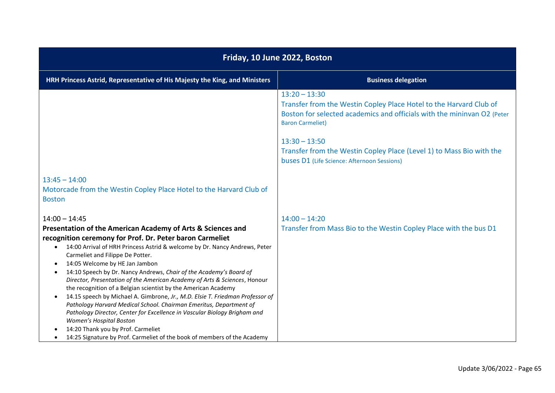| Friday, 10 June 2022, Boston                                                                                                                                                                                                                                                                                                                                                                                                                                                                                                                                                                                                                                                                                                                                                                                                                                                                                                                                          |                                                                                                                                                                                                                |  |
|-----------------------------------------------------------------------------------------------------------------------------------------------------------------------------------------------------------------------------------------------------------------------------------------------------------------------------------------------------------------------------------------------------------------------------------------------------------------------------------------------------------------------------------------------------------------------------------------------------------------------------------------------------------------------------------------------------------------------------------------------------------------------------------------------------------------------------------------------------------------------------------------------------------------------------------------------------------------------|----------------------------------------------------------------------------------------------------------------------------------------------------------------------------------------------------------------|--|
| HRH Princess Astrid, Representative of His Majesty the King, and Ministers                                                                                                                                                                                                                                                                                                                                                                                                                                                                                                                                                                                                                                                                                                                                                                                                                                                                                            | <b>Business delegation</b>                                                                                                                                                                                     |  |
|                                                                                                                                                                                                                                                                                                                                                                                                                                                                                                                                                                                                                                                                                                                                                                                                                                                                                                                                                                       | $13:20 - 13:30$<br>Transfer from the Westin Copley Place Hotel to the Harvard Club of<br>Boston for selected academics and officials with the mininvan O2 (Peter<br><b>Baron Carmeliet)</b><br>$13:30 - 13:50$ |  |
|                                                                                                                                                                                                                                                                                                                                                                                                                                                                                                                                                                                                                                                                                                                                                                                                                                                                                                                                                                       | Transfer from the Westin Copley Place (Level 1) to Mass Bio with the<br>buses D1 (Life Science: Afternoon Sessions)                                                                                            |  |
| $13:45 - 14:00$<br>Motorcade from the Westin Copley Place Hotel to the Harvard Club of<br><b>Boston</b>                                                                                                                                                                                                                                                                                                                                                                                                                                                                                                                                                                                                                                                                                                                                                                                                                                                               |                                                                                                                                                                                                                |  |
| $14:00 - 14:45$<br>Presentation of the American Academy of Arts & Sciences and<br>recognition ceremony for Prof. Dr. Peter baron Carmeliet<br>14:00 Arrival of HRH Princess Astrid & welcome by Dr. Nancy Andrews, Peter<br>$\bullet$<br>Carmeliet and Filippe De Potter.<br>14:05 Welcome by HE Jan Jambon<br>$\bullet$<br>14:10 Speech by Dr. Nancy Andrews, Chair of the Academy's Board of<br>$\bullet$<br>Director, Presentation of the American Academy of Arts & Sciences, Honour<br>the recognition of a Belgian scientist by the American Academy<br>14.15 speech by Michael A. Gimbrone, Jr., M.D. Elsie T. Friedman Professor of<br>$\bullet$<br>Pathology Harvard Medical School. Chairman Emeritus, Department of<br>Pathology Director, Center for Excellence in Vascular Biology Brigham and<br>Women's Hospital Boston<br>14:20 Thank you by Prof. Carmeliet<br>14:25 Signature by Prof. Carmeliet of the book of members of the Academy<br>$\bullet$ | $14:00 - 14:20$<br>Transfer from Mass Bio to the Westin Copley Place with the bus D1                                                                                                                           |  |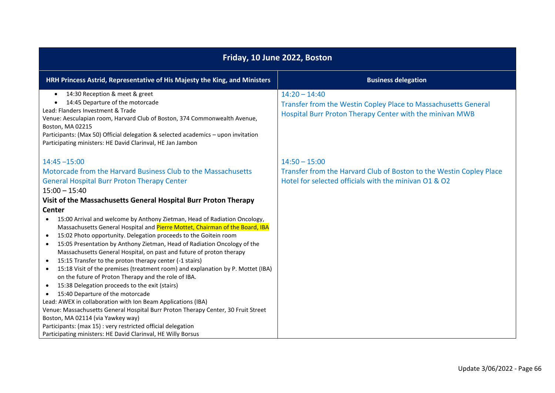| Friday, 10 June 2022, Boston                                                                                                                                                                                                                                                                                                                                                                                                                                                                                                                                                                                                                                                                                                                                                                                                   |                                                                                                                                                 |  |  |
|--------------------------------------------------------------------------------------------------------------------------------------------------------------------------------------------------------------------------------------------------------------------------------------------------------------------------------------------------------------------------------------------------------------------------------------------------------------------------------------------------------------------------------------------------------------------------------------------------------------------------------------------------------------------------------------------------------------------------------------------------------------------------------------------------------------------------------|-------------------------------------------------------------------------------------------------------------------------------------------------|--|--|
| HRH Princess Astrid, Representative of His Majesty the King, and Ministers                                                                                                                                                                                                                                                                                                                                                                                                                                                                                                                                                                                                                                                                                                                                                     | <b>Business delegation</b>                                                                                                                      |  |  |
| 14:30 Reception & meet & greet<br>$\bullet$<br>14:45 Departure of the motorcade<br>Lead: Flanders Investment & Trade<br>Venue: Aesculapian room, Harvard Club of Boston, 374 Commonwealth Avenue,<br>Boston, MA 02215<br>Participants: (Max 50) Official delegation & selected academics - upon invitation<br>Participating ministers: HE David Clarinval, HE Jan Jambon                                                                                                                                                                                                                                                                                                                                                                                                                                                       | $14:20 - 14:40$<br>Transfer from the Westin Copley Place to Massachusetts General<br>Hospital Burr Proton Therapy Center with the minivan MWB   |  |  |
| $14:45 - 15:00$<br>Motorcade from the Harvard Business Club to the Massachusetts<br><b>General Hospital Burr Proton Therapy Center</b><br>$15:00 - 15:40$<br>Visit of the Massachusetts General Hospital Burr Proton Therapy<br><b>Center</b><br>15:00 Arrival and welcome by Anthony Zietman, Head of Radiation Oncology,<br>$\bullet$<br>Massachusetts General Hospital and Pierre Mottet, Chairman of the Board, IBA                                                                                                                                                                                                                                                                                                                                                                                                        | $14:50 - 15:00$<br>Transfer from the Harvard Club of Boston to the Westin Copley Place<br>Hotel for selected officials with the minivan 01 & 02 |  |  |
| 15:02 Photo opportunity. Delegation proceeds to the Goitein room<br>$\bullet$<br>15:05 Presentation by Anthony Zietman, Head of Radiation Oncology of the<br>$\bullet$<br>Massachusetts General Hospital, on past and future of proton therapy<br>15:15 Transfer to the proton therapy center (-1 stairs)<br>15:18 Visit of the premises (treatment room) and explanation by P. Mottet (IBA)<br>$\bullet$<br>on the future of Proton Therapy and the role of IBA.<br>15:38 Delegation proceeds to the exit (stairs)<br>$\bullet$<br>15:40 Departure of the motorcade<br>Lead: AWEX in collaboration with Ion Beam Applications (IBA)<br>Venue: Massachusetts General Hospital Burr Proton Therapy Center, 30 Fruit Street<br>Boston, MA 02114 (via Yawkey way)<br>Participants: (max 15) : very restricted official delegation |                                                                                                                                                 |  |  |
| Participating ministers: HE David Clarinval, HE Willy Borsus                                                                                                                                                                                                                                                                                                                                                                                                                                                                                                                                                                                                                                                                                                                                                                   |                                                                                                                                                 |  |  |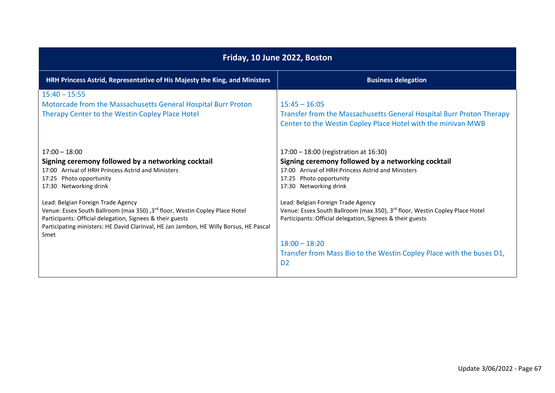| Friday, 10 June 2022, Boston                                                                                                                                                                                                                                                     |                                                                                                                                                                                                        |  |
|----------------------------------------------------------------------------------------------------------------------------------------------------------------------------------------------------------------------------------------------------------------------------------|--------------------------------------------------------------------------------------------------------------------------------------------------------------------------------------------------------|--|
| HRH Princess Astrid, Representative of His Majesty the King, and Ministers                                                                                                                                                                                                       | <b>Business delegation</b>                                                                                                                                                                             |  |
| $15:40 - 15:55$<br>Motorcade from the Massachusetts General Hospital Burr Proton<br>Therapy Center to the Westin Copley Place Hotel                                                                                                                                              | $15:45 - 16:05$<br>Transfer from the Massachusetts General Hospital Burr Proton Therapy<br>Center to the Westin Copley Place Hotel with the minivan MWB                                                |  |
| $17:00 - 18:00$<br>Signing ceremony followed by a networking cocktail<br>17:00 Arrival of HRH Princess Astrid and Ministers<br>17:25 Photo opportunity<br>17:30 Networking drink                                                                                                 | 17:00 - 18:00 (registration at 16:30)<br>Signing ceremony followed by a networking cocktail<br>17:00 Arrival of HRH Princess Astrid and Ministers<br>17:25 Photo opportunity<br>17:30 Networking drink |  |
| Lead: Belgian Foreign Trade Agency<br>Venue: Essex South Ballroom (max 350) ,3rd floor, Westin Copley Place Hotel<br>Participants: Official delegation, Signees & their guests<br>Participating ministers: HE David Clarinval, HE Jan Jambon, HE Willy Borsus, HE Pascal<br>Smet | Lead: Belgian Foreign Trade Agency<br>Venue: Essex South Ballroom (max 350), 3rd floor, Westin Copley Place Hotel<br>Participants: Official delegation, Signees & their guests                         |  |
|                                                                                                                                                                                                                                                                                  | $18:00 - 18:20$<br>Transfer from Mass Bio to the Westin Copley Place with the buses D1,<br>D <sub>2</sub>                                                                                              |  |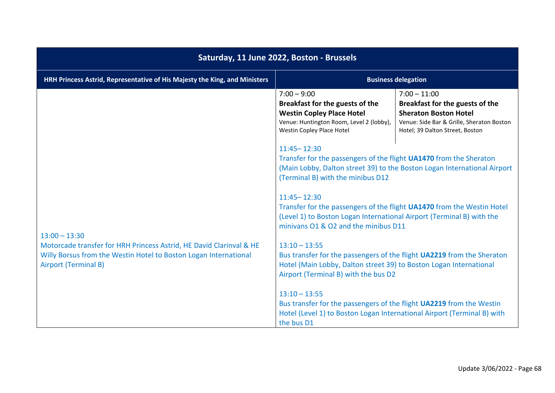| Saturday, 11 June 2022, Boston - Brussels                                                                                                                                                 |                                                                                                                                                                                                            |                                                                                                                                                                   |
|-------------------------------------------------------------------------------------------------------------------------------------------------------------------------------------------|------------------------------------------------------------------------------------------------------------------------------------------------------------------------------------------------------------|-------------------------------------------------------------------------------------------------------------------------------------------------------------------|
| HRH Princess Astrid, Representative of His Majesty the King, and Ministers                                                                                                                | <b>Business delegation</b>                                                                                                                                                                                 |                                                                                                                                                                   |
|                                                                                                                                                                                           | $7:00 - 9:00$<br>Breakfast for the guests of the<br><b>Westin Copley Place Hotel</b><br>Venue: Huntington Room, Level 2 (lobby),<br><b>Westin Copley Place Hotel</b>                                       | $7:00 - 11:00$<br>Breakfast for the guests of the<br><b>Sheraton Boston Hotel</b><br>Venue: Side Bar & Grille, Sheraton Boston<br>Hotel; 39 Dalton Street, Boston |
| $13:00 - 13:30$<br>Motorcade transfer for HRH Princess Astrid, HE David Clarinval & HE<br>Willy Borsus from the Westin Hotel to Boston Logan International<br><b>Airport (Terminal B)</b> | $11:45 - 12:30$<br>Transfer for the passengers of the flight UA1470 from the Sheraton<br>(Main Lobby, Dalton street 39) to the Boston Logan International Airport<br>(Terminal B) with the minibus D12     |                                                                                                                                                                   |
|                                                                                                                                                                                           | $11:45 - 12:30$<br>Transfer for the passengers of the flight UA1470 from the Westin Hotel<br>(Level 1) to Boston Logan International Airport (Terminal B) with the<br>minivans O1 & O2 and the minibus D11 |                                                                                                                                                                   |
|                                                                                                                                                                                           | $13:10 - 13:55$<br>Bus transfer for the passengers of the flight UA2219 from the Sheraton<br>Hotel (Main Lobby, Dalton street 39) to Boston Logan International<br>Airport (Terminal B) with the bus D2    |                                                                                                                                                                   |
|                                                                                                                                                                                           | $13:10 - 13:55$<br>Bus transfer for the passengers of the flight UA2219 from the Westin<br>Hotel (Level 1) to Boston Logan International Airport (Terminal B) with<br>the bus D1                           |                                                                                                                                                                   |